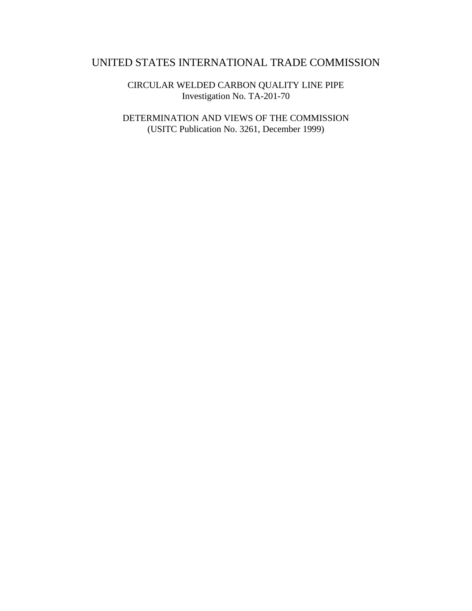# UNITED STATES INTERNATIONAL TRADE COMMISSION

CIRCULAR WELDED CARBON QUALITY LINE PIPE Investigation No. TA-201-70

DETERMINATION AND VIEWS OF THE COMMISSION (USITC Publication No. 3261, December 1999)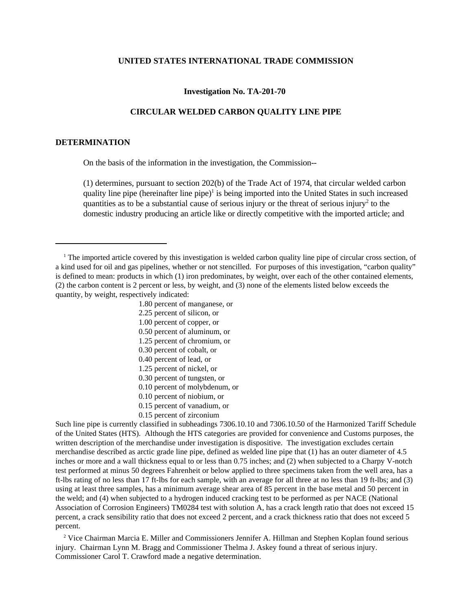#### **UNITED STATES INTERNATIONAL TRADE COMMISSION**

#### **Investigation No. TA-201-70**

### **CIRCULAR WELDED CARBON QUALITY LINE PIPE**

### **DETERMINATION**

On the basis of the information in the investigation, the Commission--

(1) determines, pursuant to section 202(b) of the Trade Act of 1974, that circular welded carbon quality line pipe (hereinafter line pipe)<sup>1</sup> is being imported into the United States in such increased quantities as to be a substantial cause of serious injury or the threat of serious injury<sup>2</sup> to the domestic industry producing an article like or directly competitive with the imported article; and

1.80 percent of manganese, or 2.25 percent of silicon, or

- 1.00 percent of copper, or
- 0.50 percent of aluminum, or
- 1.25 percent of chromium, or
- 0.30 percent of cobalt, or
- 0.40 percent of lead, or
- 1.25 percent of nickel, or
- 0.30 percent of tungsten, or
- 0.10 percent of molybdenum, or
- 0.10 percent of niobium, or
- 0.15 percent of vanadium, or
- 0.15 percent of zirconium

Such line pipe is currently classified in subheadings 7306.10.10 and 7306.10.50 of the Harmonized Tariff Schedule of the United States (HTS). Although the HTS categories are provided for convenience and Customs purposes, the written description of the merchandise under investigation is dispositive. The investigation excludes certain merchandise described as arctic grade line pipe, defined as welded line pipe that (1) has an outer diameter of 4.5 inches or more and a wall thickness equal to or less than 0.75 inches; and (2) when subjected to a Charpy V-notch test performed at minus 50 degrees Fahrenheit or below applied to three specimens taken from the well area, has a ft-lbs rating of no less than 17 ft-lbs for each sample, with an average for all three at no less than 19 ft-lbs; and (3) using at least three samples, has a minimum average shear area of 85 percent in the base metal and 50 percent in the weld; and (4) when subjected to a hydrogen induced cracking test to be performed as per NACE (National Association of Corrosion Engineers) TM0284 test with solution A, has a crack length ratio that does not exceed 15 percent, a crack sensibility ratio that does not exceed 2 percent, and a crack thickness ratio that does not exceed 5 percent.

<sup>2</sup> Vice Chairman Marcia E. Miller and Commissioners Jennifer A. Hillman and Stephen Koplan found serious injury. Chairman Lynn M. Bragg and Commissioner Thelma J. Askey found a threat of serious injury. Commissioner Carol T. Crawford made a negative determination.

<sup>&</sup>lt;sup>1</sup> The imported article covered by this investigation is welded carbon quality line pipe of circular cross section, of a kind used for oil and gas pipelines, whether or not stencilled. For purposes of this investigation, "carbon quality" is defined to mean: products in which (1) iron predominates, by weight, over each of the other contained elements, (2) the carbon content is 2 percent or less, by weight, and (3) none of the elements listed below exceeds the quantity, by weight, respectively indicated: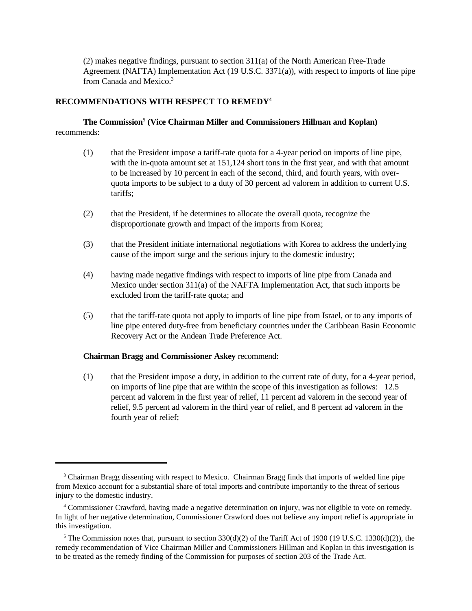(2) makes negative findings, pursuant to section 311(a) of the North American Free-Trade Agreement (NAFTA) Implementation Act (19 U.S.C. 3371(a)), with respect to imports of line pipe from Canada and Mexico.<sup>3</sup>

# **RECOMMENDATIONS WITH RESPECT TO REMEDY**<sup>4</sup>

# **The Commission**<sup>5</sup>  **(Vice Chairman Miller and Commissioners Hillman and Koplan)** recommends:

- (1) that the President impose a tariff-rate quota for a 4-year period on imports of line pipe, with the in-quota amount set at 151,124 short tons in the first year, and with that amount to be increased by 10 percent in each of the second, third, and fourth years, with overquota imports to be subject to a duty of 30 percent ad valorem in addition to current U.S. tariffs;
- (2) that the President, if he determines to allocate the overall quota, recognize the disproportionate growth and impact of the imports from Korea;
- (3) that the President initiate international negotiations with Korea to address the underlying cause of the import surge and the serious injury to the domestic industry;
- (4) having made negative findings with respect to imports of line pipe from Canada and Mexico under section 311(a) of the NAFTA Implementation Act, that such imports be excluded from the tariff-rate quota; and
- (5) that the tariff-rate quota not apply to imports of line pipe from Israel, or to any imports of line pipe entered duty-free from beneficiary countries under the Caribbean Basin Economic Recovery Act or the Andean Trade Preference Act.

# **Chairman Bragg and Commissioner Askey** recommend:

(1) that the President impose a duty, in addition to the current rate of duty, for a 4-year period, on imports of line pipe that are within the scope of this investigation as follows: 12.5 percent ad valorem in the first year of relief, 11 percent ad valorem in the second year of relief, 9.5 percent ad valorem in the third year of relief, and 8 percent ad valorem in the fourth year of relief;

<sup>&</sup>lt;sup>3</sup> Chairman Bragg dissenting with respect to Mexico. Chairman Bragg finds that imports of welded line pipe from Mexico account for a substantial share of total imports and contribute importantly to the threat of serious injury to the domestic industry.

<sup>4</sup> Commissioner Crawford, having made a negative determination on injury, was not eligible to vote on remedy. In light of her negative determination, Commissioner Crawford does not believe any import relief is appropriate in this investigation.

<sup>&</sup>lt;sup>5</sup> The Commission notes that, pursuant to section  $330(d)(2)$  of the Tariff Act of 1930 (19 U.S.C. 1330(d)(2)), the remedy recommendation of Vice Chairman Miller and Commissioners Hillman and Koplan in this investigation is to be treated as the remedy finding of the Commission for purposes of section 203 of the Trade Act.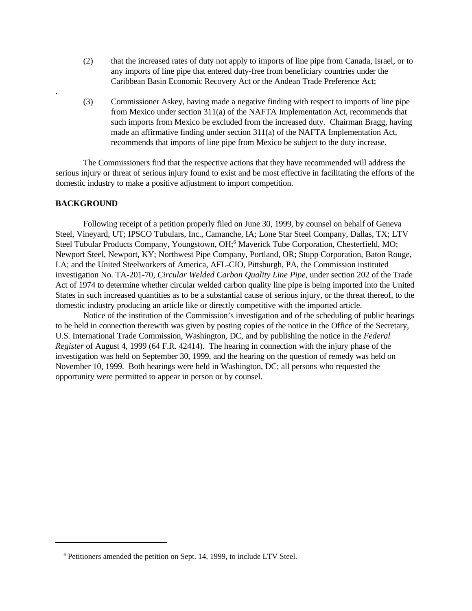- (2) that the increased rates of duty not apply to imports of line pipe from Canada, Israel, or to any imports of line pipe that entered duty-free from beneficiary countries under the Caribbean Basin Economic Recovery Act or the Andean Trade Preference Act;
- (3) Commissioner Askey, having made a negative finding with respect to imports of line pipe from Mexico under section 311(a) of the NAFTA Implementation Act, recommends that such imports from Mexico be excluded from the increased duty. Chairman Bragg, having made an affirmative finding under section 311(a) of the NAFTA Implementation Act, recommends that imports of line pipe from Mexico be subject to the duty increase.

The Commissioners find that the respective actions that they have recommended will address the serious injury or threat of serious injury found to exist and be most effective in facilitating the efforts of the domestic industry to make a positive adjustment to import competition.

## **BACKGROUND**

.

Following receipt of a petition properly filed on June 30, 1999, by counsel on behalf of Geneva Steel, Vineyard, UT; IPSCO Tubulars, Inc., Camanche, IA; Lone Star Steel Company, Dallas, TX; LTV Steel Tubular Products Company, Youngstown, OH;<sup>6</sup> Maverick Tube Corporation, Chesterfield, MO; Newport Steel, Newport, KY; Northwest Pipe Company, Portland, OR; Stupp Corporation, Baton Rouge, LA; and the United Steelworkers of America, AFL-CIO, Pittsburgh, PA, the Commission instituted investigation No. TA-201-70, *Circular Welded Carbon Quality Line Pipe*, under section 202 of the Trade Act of 1974 to determine whether circular welded carbon quality line pipe is being imported into the United States in such increased quantities as to be a substantial cause of serious injury, or the threat thereof, to the domestic industry producing an article like or directly competitive with the imported article.

Notice of the institution of the Commission's investigation and of the scheduling of public hearings to be held in connection therewith was given by posting copies of the notice in the Office of the Secretary, U.S. International Trade Commission, Washington, DC, and by publishing the notice in the *Federal Register* of August 4, 1999 (64 F.R. 42414). The hearing in connection with the injury phase of the investigation was held on September 30, 1999, and the hearing on the question of remedy was held on November 10, 1999. Both hearings were held in Washington, DC; all persons who requested the opportunity were permitted to appear in person or by counsel.

<sup>&</sup>lt;sup>6</sup> Petitioners amended the petition on Sept. 14, 1999, to include LTV Steel.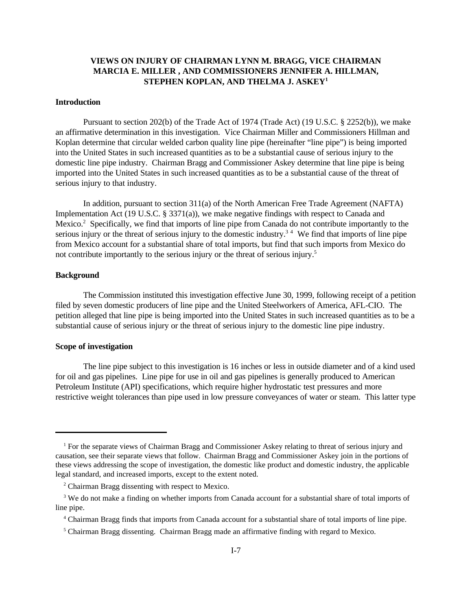# **VIEWS ON INJURY OF CHAIRMAN LYNN M. BRAGG, VICE CHAIRMAN MARCIA E. MILLER , AND COMMISSIONERS JENNIFER A. HILLMAN, STEPHEN KOPLAN, AND THELMA J. ASKEY<sup>1</sup>**

## **Introduction**

Pursuant to section 202(b) of the Trade Act of 1974 (Trade Act) (19 U.S.C. § 2252(b)), we make an affirmative determination in this investigation. Vice Chairman Miller and Commissioners Hillman and Koplan determine that circular welded carbon quality line pipe (hereinafter "line pipe") is being imported into the United States in such increased quantities as to be a substantial cause of serious injury to the domestic line pipe industry. Chairman Bragg and Commissioner Askey determine that line pipe is being imported into the United States in such increased quantities as to be a substantial cause of the threat of serious injury to that industry.

In addition, pursuant to section 311(a) of the North American Free Trade Agreement (NAFTA) Implementation Act (19 U.S.C. § 3371(a)), we make negative findings with respect to Canada and Mexico.<sup>2</sup> Specifically, we find that imports of line pipe from Canada do not contribute importantly to the serious injury or the threat of serious injury to the domestic industry.<sup>34</sup> We find that imports of line pipe from Mexico account for a substantial share of total imports, but find that such imports from Mexico do not contribute importantly to the serious injury or the threat of serious injury.<sup>5</sup>

### **Background**

The Commission instituted this investigation effective June 30, 1999, following receipt of a petition filed by seven domestic producers of line pipe and the United Steelworkers of America, AFL-CIO. The petition alleged that line pipe is being imported into the United States in such increased quantities as to be a substantial cause of serious injury or the threat of serious injury to the domestic line pipe industry.

### **Scope of investigation**

The line pipe subject to this investigation is 16 inches or less in outside diameter and of a kind used for oil and gas pipelines. Line pipe for use in oil and gas pipelines is generally produced to American Petroleum Institute (API) specifications, which require higher hydrostatic test pressures and more restrictive weight tolerances than pipe used in low pressure conveyances of water or steam. This latter type

<sup>1</sup> For the separate views of Chairman Bragg and Commissioner Askey relating to threat of serious injury and causation, see their separate views that follow. Chairman Bragg and Commissioner Askey join in the portions of these views addressing the scope of investigation, the domestic like product and domestic industry, the applicable legal standard, and increased imports, except to the extent noted.

<sup>&</sup>lt;sup>2</sup> Chairman Bragg dissenting with respect to Mexico.

<sup>&</sup>lt;sup>3</sup> We do not make a finding on whether imports from Canada account for a substantial share of total imports of line pipe.

<sup>4</sup> Chairman Bragg finds that imports from Canada account for a substantial share of total imports of line pipe.

<sup>&</sup>lt;sup>5</sup> Chairman Bragg dissenting. Chairman Bragg made an affirmative finding with regard to Mexico.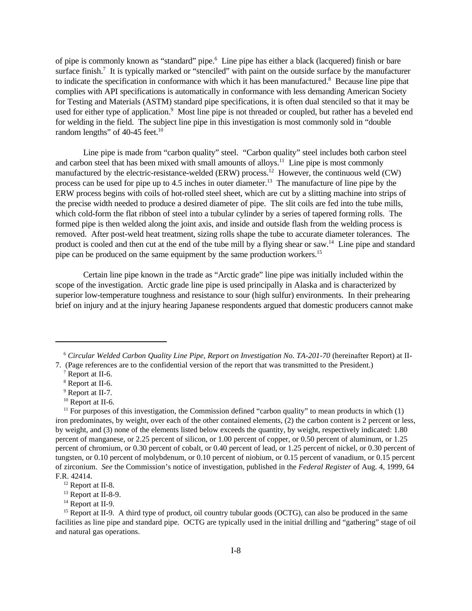of pipe is commonly known as "standard" pipe.<sup>6</sup> Line pipe has either a black (lacquered) finish or bare surface finish.<sup>7</sup> It is typically marked or "stenciled" with paint on the outside surface by the manufacturer to indicate the specification in conformance with which it has been manufactured.<sup>8</sup> Because line pipe that complies with API specifications is automatically in conformance with less demanding American Society for Testing and Materials (ASTM) standard pipe specifications, it is often dual stenciled so that it may be used for either type of application.<sup>9</sup> Most line pipe is not threaded or coupled, but rather has a beveled end for welding in the field. The subject line pipe in this investigation is most commonly sold in "double random lengths" of 40-45 feet.<sup>10</sup>

Line pipe is made from "carbon quality" steel. "Carbon quality" steel includes both carbon steel and carbon steel that has been mixed with small amounts of alloys.<sup>11</sup> Line pipe is most commonly manufactured by the electric-resistance-welded (ERW) process.<sup>12</sup> However, the continuous weld (CW) process can be used for pipe up to 4.5 inches in outer diameter.<sup>13</sup> The manufacture of line pipe by the ERW process begins with coils of hot-rolled steel sheet, which are cut by a slitting machine into strips of the precise width needed to produce a desired diameter of pipe. The slit coils are fed into the tube mills, which cold-form the flat ribbon of steel into a tubular cylinder by a series of tapered forming rolls. The formed pipe is then welded along the joint axis, and inside and outside flash from the welding process is removed. After post-weld heat treatment, sizing rolls shape the tube to accurate diameter tolerances. The product is cooled and then cut at the end of the tube mill by a flying shear or saw.<sup>14</sup> Line pipe and standard pipe can be produced on the same equipment by the same production workers.<sup>15</sup>

Certain line pipe known in the trade as "Arctic grade" line pipe was initially included within the scope of the investigation. Arctic grade line pipe is used principally in Alaska and is characterized by superior low-temperature toughness and resistance to sour (high sulfur) environments. In their prehearing brief on injury and at the injury hearing Japanese respondents argued that domestic producers cannot make

<sup>6</sup> *Circular Welded Carbon Quality Line Pipe, Report on Investigation No. TA-201-70* (hereinafter Report) at II-7. (Page references are to the confidential version of the report that was transmitted to the President.)

<sup>&</sup>lt;sup>7</sup> Report at II-6.

<sup>8</sup> Report at II-6.

<sup>&</sup>lt;sup>9</sup> Report at II-7.

<sup>&</sup>lt;sup>10</sup> Report at II-6.

 $11$  For purposes of this investigation, the Commission defined "carbon quality" to mean products in which  $(1)$ iron predominates, by weight, over each of the other contained elements, (2) the carbon content is 2 percent or less, by weight, and (3) none of the elements listed below exceeds the quantity, by weight, respectively indicated: 1.80 percent of manganese, or 2.25 percent of silicon, or 1.00 percent of copper, or 0.50 percent of aluminum, or 1.25 percent of chromium, or 0.30 percent of cobalt, or 0.40 percent of lead, or 1.25 percent of nickel, or 0.30 percent of tungsten, or 0.10 percent of molybdenum, or 0.10 percent of niobium, or 0.15 percent of vanadium, or 0.15 percent of zirconium. *See* the Commission's notice of investigation, published in the *Federal Register* of Aug. 4, 1999, 64 F.R. 42414.

 $12$  Report at II-8.

<sup>&</sup>lt;sup>13</sup> Report at II-8-9.

<sup>&</sup>lt;sup>14</sup> Report at II-9.

<sup>&</sup>lt;sup>15</sup> Report at II-9. A third type of product, oil country tubular goods (OCTG), can also be produced in the same facilities as line pipe and standard pipe. OCTG are typically used in the initial drilling and "gathering" stage of oil and natural gas operations.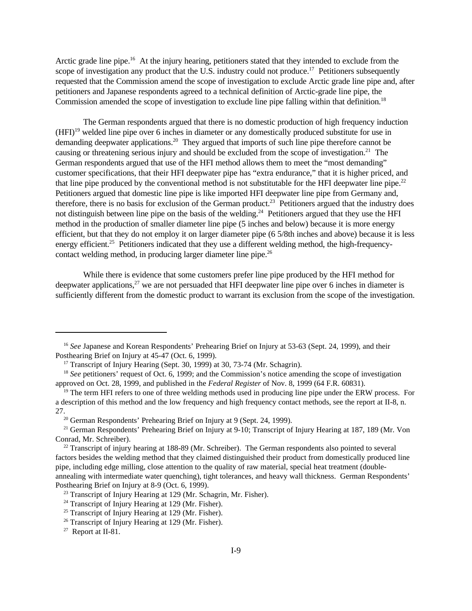Arctic grade line pipe.<sup>16</sup> At the injury hearing, petitioners stated that they intended to exclude from the scope of investigation any product that the U.S. industry could not produce.<sup>17</sup> Petitioners subsequently requested that the Commission amend the scope of investigation to exclude Arctic grade line pipe and, after petitioners and Japanese respondents agreed to a technical definition of Arctic-grade line pipe, the Commission amended the scope of investigation to exclude line pipe falling within that definition.<sup>18</sup>

The German respondents argued that there is no domestic production of high frequency induction  $(HFI)<sup>19</sup>$  welded line pipe over 6 inches in diameter or any domestically produced substitute for use in demanding deepwater applications.<sup>20</sup> They argued that imports of such line pipe therefore cannot be causing or threatening serious injury and should be excluded from the scope of investigation.<sup>21</sup> The German respondents argued that use of the HFI method allows them to meet the "most demanding" customer specifications, that their HFI deepwater pipe has "extra endurance," that it is higher priced, and that line pipe produced by the conventional method is not substitutable for the HFI deepwater line pipe.<sup>22</sup> Petitioners argued that domestic line pipe is like imported HFI deepwater line pipe from Germany and, therefore, there is no basis for exclusion of the German product.<sup>23</sup> Petitioners argued that the industry does not distinguish between line pipe on the basis of the welding.<sup>24</sup> Petitioners argued that they use the HFI method in the production of smaller diameter line pipe (5 inches and below) because it is more energy efficient, but that they do not employ it on larger diameter pipe (6 5/8th inches and above) because it is less energy efficient.<sup>25</sup> Petitioners indicated that they use a different welding method, the high-frequencycontact welding method, in producing larger diameter line pipe.<sup>26</sup>

While there is evidence that some customers prefer line pipe produced by the HFI method for deepwater applications, $^{27}$  we are not persuaded that HFI deepwater line pipe over 6 inches in diameter is sufficiently different from the domestic product to warrant its exclusion from the scope of the investigation.

<sup>&</sup>lt;sup>16</sup> See Japanese and Korean Respondents' Prehearing Brief on Injury at 53-63 (Sept. 24, 1999), and their Posthearing Brief on Injury at 45-47 (Oct. 6, 1999).

<sup>&</sup>lt;sup>17</sup> Transcript of Injury Hearing (Sept. 30, 1999) at 30, 73-74 (Mr. Schagrin).

<sup>&</sup>lt;sup>18</sup> *See* petitioners' request of Oct. 6, 1999; and the Commission's notice amending the scope of investigation approved on Oct. 28, 1999, and published in the *Federal Register* of Nov. 8, 1999 (64 F.R. 60831).

<sup>&</sup>lt;sup>19</sup> The term HFI refers to one of three welding methods used in producing line pipe under the ERW process. For a description of this method and the low frequency and high frequency contact methods, see the report at II-8, n. 27.

<sup>&</sup>lt;sup>20</sup> German Respondents' Prehearing Brief on Injury at 9 (Sept. 24, 1999).

<sup>&</sup>lt;sup>21</sup> German Respondents' Prehearing Brief on Injury at 9-10; Transcript of Injury Hearing at 187, 189 (Mr. Von Conrad, Mr. Schreiber).

 $22$  Transcript of injury hearing at 188-89 (Mr. Schreiber). The German respondents also pointed to several factors besides the welding method that they claimed distinguished their product from domestically produced line pipe, including edge milling, close attention to the quality of raw material, special heat treatment (doubleannealing with intermediate water quenching), tight tolerances, and heavy wall thickness. German Respondents' Posthearing Brief on Injury at 8-9 (Oct. 6, 1999).

<sup>&</sup>lt;sup>23</sup> Transcript of Injury Hearing at 129 (Mr. Schagrin, Mr. Fisher).

 $24$  Transcript of Injury Hearing at 129 (Mr. Fisher).

 $25$  Transcript of Injury Hearing at 129 (Mr. Fisher).

<sup>&</sup>lt;sup>26</sup> Transcript of Injury Hearing at 129 (Mr. Fisher).

 $27$  Report at II-81.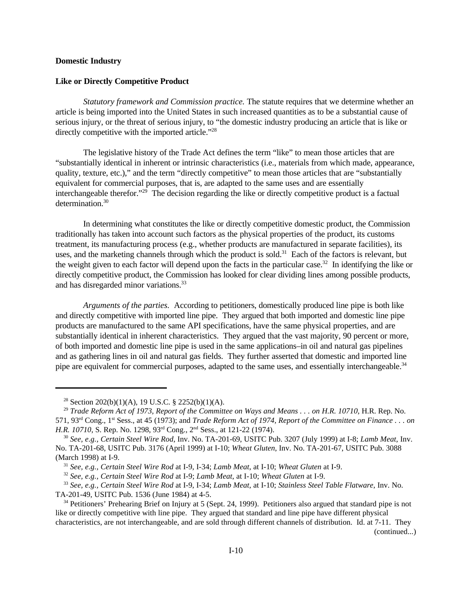### **Domestic Industry**

#### **Like or Directly Competitive Product**

*Statutory framework and Commission practice.* The statute requires that we determine whether an article is being imported into the United States in such increased quantities as to be a substantial cause of serious injury, or the threat of serious injury, to "the domestic industry producing an article that is like or directly competitive with the imported article."<sup>28</sup>

The legislative history of the Trade Act defines the term "like" to mean those articles that are "substantially identical in inherent or intrinsic characteristics (i.e., materials from which made, appearance, quality, texture, etc.)," and the term "directly competitive" to mean those articles that are "substantially equivalent for commercial purposes, that is, are adapted to the same uses and are essentially interchangeable therefor."<sup>29</sup> The decision regarding the like or directly competitive product is a factual determination.<sup>30</sup>

In determining what constitutes the like or directly competitive domestic product, the Commission traditionally has taken into account such factors as the physical properties of the product, its customs treatment, its manufacturing process (e.g., whether products are manufactured in separate facilities), its uses, and the marketing channels through which the product is sold.<sup>31</sup> Each of the factors is relevant, but the weight given to each factor will depend upon the facts in the particular case.<sup>32</sup> In identifying the like or directly competitive product, the Commission has looked for clear dividing lines among possible products, and has disregarded minor variations.<sup>33</sup>

*Arguments of the parties.* According to petitioners, domestically produced line pipe is both like and directly competitive with imported line pipe. They argued that both imported and domestic line pipe products are manufactured to the same API specifications, have the same physical properties, and are substantially identical in inherent characteristics. They argued that the vast majority, 90 percent or more, of both imported and domestic line pipe is used in the same applications–in oil and natural gas pipelines and as gathering lines in oil and natural gas fields. They further asserted that domestic and imported line pipe are equivalent for commercial purposes, adapted to the same uses, and essentially interchangeable.<sup>34</sup>

(continued...)

<sup>&</sup>lt;sup>28</sup> Section 202(b)(1)(A), 19 U.S.C. § 2252(b)(1)(A).

<sup>29</sup> *Trade Reform Act of 1973, Report of the Committee on Ways and Means . . . on H.R. 10710*, H.R. Rep. No. 571, 93rd Cong., 1st Sess., at 45 (1973); and *Trade Reform Act of 1974, Report of the Committee on Finance . . . on H.R. 10710*, S. Rep. No. 1298, 93<sup>rd</sup> Cong., 2<sup>nd</sup> Sess., at 121-22 (1974).

<sup>30</sup> *See, e.g., Certain Steel Wire Rod*, Inv. No. TA-201-69, USITC Pub. 3207 (July 1999) at I-8; *Lamb Meat*, Inv. No. TA-201-68, USITC Pub. 3176 (April 1999) at I-10; *Wheat Gluten*, Inv. No. TA-201-67, USITC Pub. 3088 (March 1998) at I-9.

<sup>31</sup> *See, e.g., Certain Steel Wire Rod* at I-9, I-34; *Lamb Meat*, at I-10; *Wheat Gluten* at I-9.

<sup>32</sup> *See, e.g., Certain Steel Wire Rod* at I-9; *Lamb Meat*, at I-10; *Wheat Gluten* at I-9.

<sup>33</sup> *See, e.g., Certain Steel Wire Rod* at I-9, I-34; *Lamb Meat*, at I-10; *Stainless Steel Table Flatware*, Inv. No. TA-201-49, USITC Pub. 1536 (June 1984) at 4-5.

<sup>34</sup> Petitioners' Prehearing Brief on Injury at 5 (Sept. 24, 1999). Petitioners also argued that standard pipe is not like or directly competitive with line pipe. They argued that standard and line pipe have different physical characteristics, are not interchangeable, and are sold through different channels of distribution. Id. at 7-11. They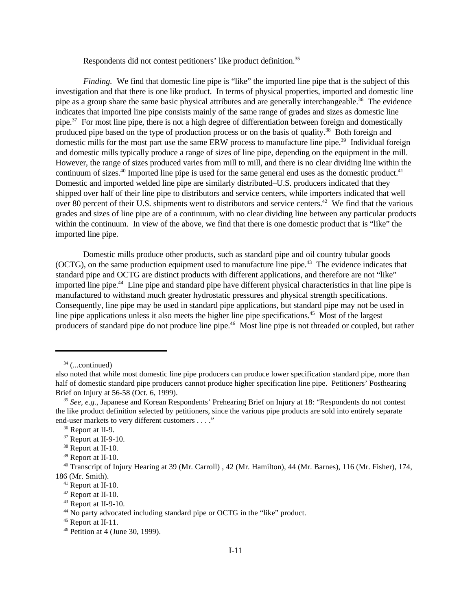Respondents did not contest petitioners' like product definition.<sup>35</sup>

*Finding.* We find that domestic line pipe is "like" the imported line pipe that is the subject of this investigation and that there is one like product. In terms of physical properties, imported and domestic line pipe as a group share the same basic physical attributes and are generally interchangeable.<sup>36</sup> The evidence indicates that imported line pipe consists mainly of the same range of grades and sizes as domestic line pipe.<sup>37</sup> For most line pipe, there is not a high degree of differentiation between foreign and domestically produced pipe based on the type of production process or on the basis of quality.<sup>38</sup> Both foreign and domestic mills for the most part use the same ERW process to manufacture line pipe.<sup>39</sup> Individual foreign and domestic mills typically produce a range of sizes of line pipe, depending on the equipment in the mill. However, the range of sizes produced varies from mill to mill, and there is no clear dividing line within the continuum of sizes. $40$  Imported line pipe is used for the same general end uses as the domestic product. $41$ Domestic and imported welded line pipe are similarly distributed–U.S. producers indicated that they shipped over half of their line pipe to distributors and service centers, while importers indicated that well over 80 percent of their U.S. shipments went to distributors and service centers.<sup>42</sup> We find that the various grades and sizes of line pipe are of a continuum, with no clear dividing line between any particular products within the continuum. In view of the above, we find that there is one domestic product that is "like" the imported line pipe.

Domestic mills produce other products, such as standard pipe and oil country tubular goods (OCTG), on the same production equipment used to manufacture line pipe.<sup>43</sup> The evidence indicates that standard pipe and OCTG are distinct products with different applications, and therefore are not "like" imported line pipe.<sup>44</sup> Line pipe and standard pipe have different physical characteristics in that line pipe is manufactured to withstand much greater hydrostatic pressures and physical strength specifications. Consequently, line pipe may be used in standard pipe applications, but standard pipe may not be used in line pipe applications unless it also meets the higher line pipe specifications.<sup>45</sup> Most of the largest producers of standard pipe do not produce line pipe.46 Most line pipe is not threaded or coupled, but rather

 $34$  (...continued)

also noted that while most domestic line pipe producers can produce lower specification standard pipe, more than half of domestic standard pipe producers cannot produce higher specification line pipe. Petitioners' Posthearing Brief on Injury at 56-58 (Oct. 6, 1999).

<sup>35</sup> *See, e.g.,* Japanese and Korean Respondents' Prehearing Brief on Injury at 18: "Respondents do not contest the like product definition selected by petitioners, since the various pipe products are sold into entirely separate end-user markets to very different customers . . . ."

<sup>&</sup>lt;sup>36</sup> Report at II-9.

<sup>37</sup> Report at II-9-10.

<sup>&</sup>lt;sup>38</sup> Report at II-10.

<sup>&</sup>lt;sup>39</sup> Report at II-10.

<sup>40</sup> Transcript of Injury Hearing at 39 (Mr. Carroll) , 42 (Mr. Hamilton), 44 (Mr. Barnes), 116 (Mr. Fisher), 174, 186 (Mr. Smith).

<sup>41</sup> Report at II-10.

<sup>42</sup> Report at II-10.

<sup>43</sup> Report at II-9-10.

<sup>44</sup> No party advocated including standard pipe or OCTG in the "like" product.

<sup>45</sup> Report at II-11.

<sup>46</sup> Petition at 4 (June 30, 1999).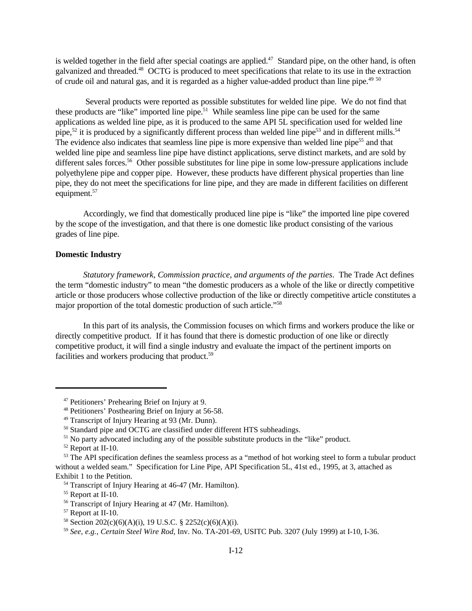is welded together in the field after special coatings are applied.<sup>47</sup> Standard pipe, on the other hand, is often galvanized and threaded.<sup>48</sup> OCTG is produced to meet specifications that relate to its use in the extraction of crude oil and natural gas, and it is regarded as a higher value-added product than line pipe.<sup>49 50</sup>

 Several products were reported as possible substitutes for welded line pipe. We do not find that these products are "like" imported line pipe.<sup>51</sup> While seamless line pipe can be used for the same applications as welded line pipe, as it is produced to the same API 5L specification used for welded line pipe,<sup>52</sup> it is produced by a significantly different process than welded line pipe<sup>53</sup> and in different mills.<sup>54</sup> The evidence also indicates that seamless line pipe is more expensive than welded line pipe<sup>55</sup> and that welded line pipe and seamless line pipe have distinct applications, serve distinct markets, and are sold by different sales forces.<sup>56</sup> Other possible substitutes for line pipe in some low-pressure applications include polyethylene pipe and copper pipe. However, these products have different physical properties than line pipe, they do not meet the specifications for line pipe, and they are made in different facilities on different equipment.<sup>57</sup>

Accordingly, we find that domestically produced line pipe is "like" the imported line pipe covered by the scope of the investigation, and that there is one domestic like product consisting of the various grades of line pipe.

# **Domestic Industry**

*Statutory framework, Commission practice, and arguments of the parties*. The Trade Act defines the term "domestic industry" to mean "the domestic producers as a whole of the like or directly competitive article or those producers whose collective production of the like or directly competitive article constitutes a major proportion of the total domestic production of such article."<sup>58</sup>

In this part of its analysis, the Commission focuses on which firms and workers produce the like or directly competitive product. If it has found that there is domestic production of one like or directly competitive product, it will find a single industry and evaluate the impact of the pertinent imports on facilities and workers producing that product.<sup>59</sup>

<sup>47</sup> Petitioners' Prehearing Brief on Injury at 9.

<sup>48</sup> Petitioners' Posthearing Brief on Injury at 56-58.

<sup>49</sup> Transcript of Injury Hearing at 93 (Mr. Dunn).

<sup>&</sup>lt;sup>50</sup> Standard pipe and OCTG are classified under different HTS subheadings.

<sup>&</sup>lt;sup>51</sup> No party advocated including any of the possible substitute products in the "like" product.

<sup>52</sup> Report at II-10.

<sup>&</sup>lt;sup>53</sup> The API specification defines the seamless process as a "method of hot working steel to form a tubular product without a welded seam." Specification for Line Pipe, API Specification 5L, 41st ed., 1995, at 3, attached as Exhibit 1 to the Petition.

<sup>54</sup> Transcript of Injury Hearing at 46-47 (Mr. Hamilton).

<sup>&</sup>lt;sup>55</sup> Report at II-10.

<sup>56</sup> Transcript of Injury Hearing at 47 (Mr. Hamilton).

<sup>57</sup> Report at II-10.

<sup>&</sup>lt;sup>58</sup> Section 202(c)(6)(A)(i), 19 U.S.C. § 2252(c)(6)(A)(i).

<sup>59</sup> *See, e.g.*, *Certain Steel Wire Rod*, Inv. No. TA-201-69, USITC Pub. 3207 (July 1999) at I-10, I-36.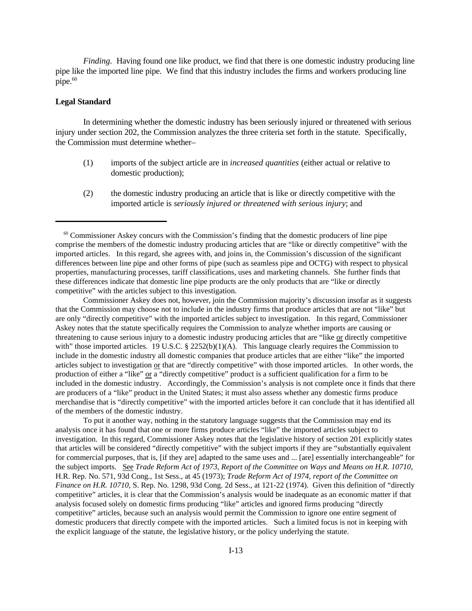*Finding*. Having found one like product, we find that there is one domestic industry producing line pipe like the imported line pipe. We find that this industry includes the firms and workers producing line pipe.<sup>60</sup>

# **Legal Standard**

In determining whether the domestic industry has been seriously injured or threatened with serious injury under section 202, the Commission analyzes the three criteria set forth in the statute. Specifically, the Commission must determine whether–

- (1) imports of the subject article are in *increased quantities* (either actual or relative to domestic production);
- (2) the domestic industry producing an article that is like or directly competitive with the imported article is *seriously injured or threatened with serious injury*; and

Commissioner Askey does not, however, join the Commission majority's discussion insofar as it suggests that the Commission may choose not to include in the industry firms that produce articles that are not "like" but are only "directly competitive" with the imported articles subject to investigation. In this regard, Commissioner Askey notes that the statute specifically requires the Commission to analyze whether imports are causing or threatening to cause serious injury to a domestic industry producing articles that are "like or directly competitive with" those imported articles. 19 U.S.C. § 2252(b)(1)(A). This language clearly requires the Commission to include in the domestic industry all domestic companies that produce articles that are either "like" the imported articles subject to investigation or that are "directly competitive" with those imported articles. In other words, the production of either a "like" or a "directly competitive" product is a sufficient qualification for a firm to be included in the domestic industry. Accordingly, the Commission's analysis is not complete once it finds that there are producers of a "like" product in the United States; it must also assess whether any domestic firms produce merchandise that is "directly competitive" with the imported articles before it can conclude that it has identified all of the members of the domestic industry.

To put it another way, nothing in the statutory language suggests that the Commission may end its analysis once it has found that one or more firms produce articles "like" the imported articles subject to investigation. In this regard, Commissioner Askey notes that the legislative history of section 201 explicitly states that articles will be considered "directly competitive" with the subject imports if they are "substantially equivalent for commercial purposes, that is, [if they are] adapted to the same uses and ... [are] essentially interchangeable" for the subject imports. See *Trade Reform Act of 1973, Report of the Committee on Ways and Means on H.R. 10710*, H.R. Rep. No. 571, 93d Cong., 1st Sess., at 45 (1973); *Trade Reform Act of 1974, report of the Committee on Finance on H.R. 10710,* S. Rep. No. 1298, 93d Cong. 2d Sess., at 121-22 (1974). Given this definition of "directly competitive" articles, it is clear that the Commission's analysis would be inadequate as an economic matter if that analysis focused solely on domestic firms producing "like" articles and ignored firms producing "directly competitive" articles, because such an analysis would permit the Commission to ignore one entire segment of domestic producers that directly compete with the imported articles. Such a limited focus is not in keeping with the explicit language of the statute, the legislative history, or the policy underlying the statute.

 $60$  Commissioner Askey concurs with the Commission's finding that the domestic producers of line pipe comprise the members of the domestic industry producing articles that are "like or directly competitive" with the imported articles. In this regard, she agrees with, and joins in, the Commission's discussion of the significant differences between line pipe and other forms of pipe (such as seamless pipe and OCTG) with respect to physical properties, manufacturing processes, tariff classifications, uses and marketing channels. She further finds that these differences indicate that domestic line pipe products are the only products that are "like or directly competitive" with the articles subject to this investigation.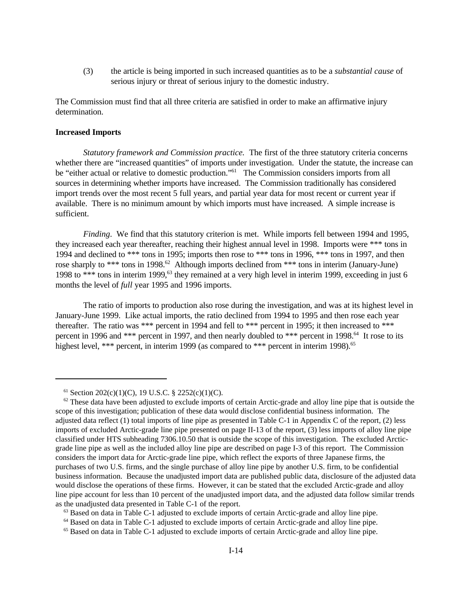(3) the article is being imported in such increased quantities as to be a *substantial cause* of serious injury or threat of serious injury to the domestic industry.

The Commission must find that all three criteria are satisfied in order to make an affirmative injury determination.

### **Increased Imports**

*Statutory framework and Commission practice.* The first of the three statutory criteria concerns whether there are "increased quantities" of imports under investigation. Under the statute, the increase can be "either actual or relative to domestic production."<sup>61</sup> The Commission considers imports from all sources in determining whether imports have increased. The Commission traditionally has considered import trends over the most recent 5 full years, and partial year data for most recent or current year if available. There is no minimum amount by which imports must have increased. A simple increase is sufficient.

*Finding*. We find that this statutory criterion is met. While imports fell between 1994 and 1995, they increased each year thereafter, reaching their highest annual level in 1998. Imports were \*\*\* tons in 1994 and declined to \*\*\* tons in 1995; imports then rose to \*\*\* tons in 1996, \*\*\* tons in 1997, and then rose sharply to \*\*\* tons in 1998.<sup>62</sup> Although imports declined from \*\*\* tons in interim (January-June) 1998 to \*\*\* tons in interim 1999,<sup>63</sup> they remained at a very high level in interim 1999, exceeding in just 6 months the level of *full* year 1995 and 1996 imports.

The ratio of imports to production also rose during the investigation, and was at its highest level in January-June 1999. Like actual imports, the ratio declined from 1994 to 1995 and then rose each year thereafter. The ratio was \*\*\* percent in 1994 and fell to \*\*\* percent in 1995; it then increased to \*\*\* percent in 1996 and \*\*\* percent in 1997, and then nearly doubled to \*\*\* percent in 1998.<sup>64</sup> It rose to its highest level, \*\*\* percent, in interim 1999 (as compared to \*\*\* percent in interim 1998).<sup>65</sup>

 $^{61}$  Section 202(c)(1)(C), 19 U.S.C. § 2252(c)(1)(C).

 $62$  These data have been adjusted to exclude imports of certain Arctic-grade and alloy line pipe that is outside the scope of this investigation; publication of these data would disclose confidential business information. The adjusted data reflect (1) total imports of line pipe as presented in Table C-1 in Appendix C of the report, (2) less imports of excluded Arctic-grade line pipe presented on page II-13 of the report, (3) less imports of alloy line pipe classified under HTS subheading 7306.10.50 that is outside the scope of this investigation. The excluded Arcticgrade line pipe as well as the included alloy line pipe are described on page I-3 of this report. The Commission considers the import data for Arctic-grade line pipe, which reflect the exports of three Japanese firms, the purchases of two U.S. firms, and the single purchase of alloy line pipe by another U.S. firm, to be confidential business information. Because the unadjusted import data are published public data, disclosure of the adjusted data would disclose the operations of these firms. However, it can be stated that the excluded Arctic-grade and alloy line pipe account for less than 10 percent of the unadjusted import data, and the adjusted data follow similar trends as the unadjusted data presented in Table C-1 of the report.

 $63$  Based on data in Table C-1 adjusted to exclude imports of certain Arctic-grade and alloy line pipe.

<sup>64</sup> Based on data in Table C-1 adjusted to exclude imports of certain Arctic-grade and alloy line pipe.

<sup>65</sup> Based on data in Table C-1 adjusted to exclude imports of certain Arctic-grade and alloy line pipe.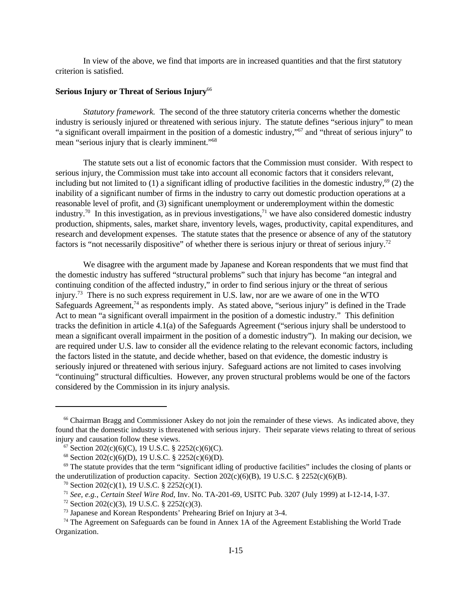In view of the above, we find that imports are in increased quantities and that the first statutory criterion is satisfied.

# **Serious Injury or Threat of Serious Injury**<sup>66</sup>

*Statutory framework.* The second of the three statutory criteria concerns whether the domestic industry is seriously injured or threatened with serious injury. The statute defines "serious injury" to mean "a significant overall impairment in the position of a domestic industry,"<sup>67</sup> and "threat of serious injury" to mean "serious injury that is clearly imminent."<sup>68</sup>

The statute sets out a list of economic factors that the Commission must consider. With respect to serious injury, the Commission must take into account all economic factors that it considers relevant, including but not limited to (1) a significant idling of productive facilities in the domestic industry,<sup>69</sup> (2) the inability of a significant number of firms in the industry to carry out domestic production operations at a reasonable level of profit, and (3) significant unemployment or underemployment within the domestic industry.<sup>70</sup> In this investigation, as in previous investigations,<sup>71</sup> we have also considered domestic industry production, shipments, sales, market share, inventory levels, wages, productivity, capital expenditures, and research and development expenses. The statute states that the presence or absence of any of the statutory factors is "not necessarily dispositive" of whether there is serious injury or threat of serious injury.<sup>72</sup>

We disagree with the argument made by Japanese and Korean respondents that we must find that the domestic industry has suffered "structural problems" such that injury has become "an integral and continuing condition of the affected industry," in order to find serious injury or the threat of serious injury.<sup>73</sup> There is no such express requirement in U.S. law, nor are we aware of one in the WTO Safeguards Agreement,<sup>74</sup> as respondents imply. As stated above, "serious injury" is defined in the Trade Act to mean "a significant overall impairment in the position of a domestic industry." This definition tracks the definition in article 4.1(a) of the Safeguards Agreement ("serious injury shall be understood to mean a significant overall impairment in the position of a domestic industry"). In making our decision, we are required under U.S. law to consider all the evidence relating to the relevant economic factors, including the factors listed in the statute, and decide whether, based on that evidence, the domestic industry is seriously injured or threatened with serious injury. Safeguard actions are not limited to cases involving "continuing" structural difficulties. However, any proven structural problems would be one of the factors considered by the Commission in its injury analysis.

<sup>&</sup>lt;sup>66</sup> Chairman Bragg and Commissioner Askey do not join the remainder of these views. As indicated above, they found that the domestic industry is threatened with serious injury. Their separate views relating to threat of serious injury and causation follow these views.

 $67$  Section 202(c)(6)(C), 19 U.S.C. § 2252(c)(6)(C).

 $68$  Section 202(c)(6)(D), 19 U.S.C. § 2252(c)(6)(D).

 $\degree$  The statute provides that the term "significant idling of productive facilities" includes the closing of plants or the underutilization of production capacity. Section  $202(c)(6)(B)$ , 19 U.S.C. §  $2252(c)(6)(B)$ .

 $70$  Section 202(c)(1), 19 U.S.C. § 2252(c)(1).

<sup>71</sup> *See, e.g.*, *Certain Steel Wire Rod*, Inv. No. TA-201-69, USITC Pub. 3207 (July 1999) at I-12-14, I-37.

 $72$  Section 202(c)(3), 19 U.S.C. § 2252(c)(3).

<sup>73</sup> Japanese and Korean Respondents' Prehearing Brief on Injury at 3-4.

<sup>&</sup>lt;sup>74</sup> The Agreement on Safeguards can be found in Annex 1A of the Agreement Establishing the World Trade Organization.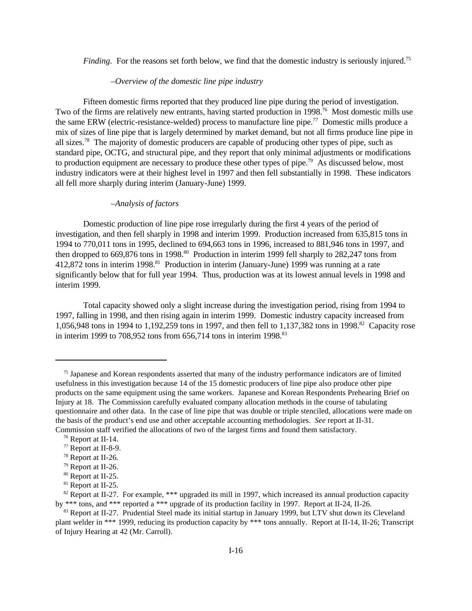*Finding*. For the reasons set forth below, we find that the domestic industry is seriously injured.<sup>75</sup>

# *–Overview of the domestic line pipe industry*

Fifteen domestic firms reported that they produced line pipe during the period of investigation. Two of the firms are relatively new entrants, having started production in 1998.<sup>76</sup> Most domestic mills use the same ERW (electric-resistance-welded) process to manufacture line pipe.<sup>77</sup> Domestic mills produce a mix of sizes of line pipe that is largely determined by market demand, but not all firms produce line pipe in all sizes.<sup>78</sup> The majority of domestic producers are capable of producing other types of pipe, such as standard pipe, OCTG, and structural pipe, and they report that only minimal adjustments or modifications to production equipment are necessary to produce these other types of pipe.<sup>79</sup> As discussed below, most industry indicators were at their highest level in 1997 and then fell substantially in 1998. These indicators all fell more sharply during interim (January-June) 1999.

### *–Analysis of factors*

Domestic production of line pipe rose irregularly during the first 4 years of the period of investigation, and then fell sharply in 1998 and interim 1999. Production increased from 635,815 tons in 1994 to 770,011 tons in 1995, declined to 694,663 tons in 1996, increased to 881,946 tons in 1997, and then dropped to  $669,876$  tons in 1998.<sup>80</sup> Production in interim 1999 fell sharply to  $282,247$  tons from 412,872 tons in interim 1998.<sup>81</sup> Production in interim (January-June) 1999 was running at a rate significantly below that for full year 1994. Thus, production was at its lowest annual levels in 1998 and interim 1999.

Total capacity showed only a slight increase during the investigation period, rising from 1994 to 1997, falling in 1998, and then rising again in interim 1999. Domestic industry capacity increased from 1,056,948 tons in 1994 to 1,192,259 tons in 1997, and then fell to 1,137,382 tons in 1998.<sup>82</sup> Capacity rose in interim 1999 to 708,952 tons from 656,714 tons in interim 1998. $83$ 

<sup>75</sup> Japanese and Korean respondents asserted that many of the industry performance indicators are of limited usefulness in this investigation because 14 of the 15 domestic producers of line pipe also produce other pipe products on the same equipment using the same workers. Japanese and Korean Respondents Prehearing Brief on Injury at 18. The Commission carefully evaluated company allocation methods in the course of tabulating questionnaire and other data. In the case of line pipe that was double or triple stenciled, allocations were made on the basis of the product's end use and other acceptable accounting methodologies. *See* report at II-31. Commission staff verified the allocations of two of the largest firms and found them satisfactory.

<sup>76</sup> Report at II-14.

<sup>77</sup> Report at II-8-9.

<sup>78</sup> Report at II-26.

<sup>79</sup> Report at II-26.

<sup>80</sup> Report at II-25.

<sup>&</sup>lt;sup>81</sup> Report at II-25.

<sup>&</sup>lt;sup>82</sup> Report at II-27. For example, \*\*\* upgraded its mill in 1997, which increased its annual production capacity by \*\*\* tons, and \*\*\* reported a \*\*\* upgrade of its production facility in 1997. Report at II-24, II-26.

<sup>83</sup> Report at II-27. Prudential Steel made its initial startup in January 1999, but LTV shut down its Cleveland plant welder in \*\*\* 1999, reducing its production capacity by \*\*\* tons annually. Report at II-14, II-26; Transcript of Injury Hearing at 42 (Mr. Carroll).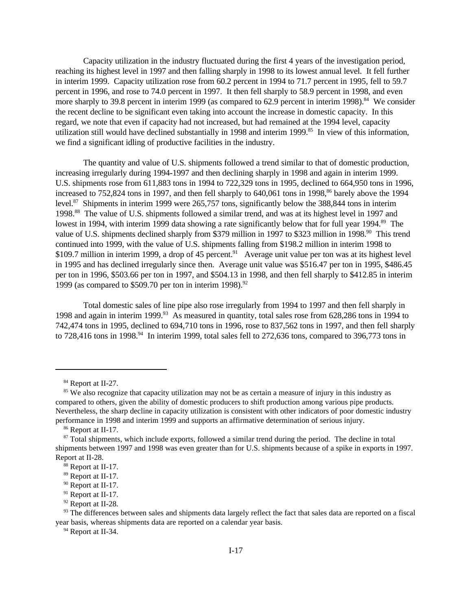Capacity utilization in the industry fluctuated during the first 4 years of the investigation period, reaching its highest level in 1997 and then falling sharply in 1998 to its lowest annual level. It fell further in interim 1999. Capacity utilization rose from 60.2 percent in 1994 to 71.7 percent in 1995, fell to 59.7 percent in 1996, and rose to 74.0 percent in 1997. It then fell sharply to 58.9 percent in 1998, and even more sharply to 39.8 percent in interim 1999 (as compared to 62.9 percent in interim 1998).<sup>84</sup> We consider the recent decline to be significant even taking into account the increase in domestic capacity. In this regard, we note that even if capacity had not increased, but had remained at the 1994 level, capacity utilization still would have declined substantially in 1998 and interim 1999.<sup>85</sup> In view of this information, we find a significant idling of productive facilities in the industry.

The quantity and value of U.S. shipments followed a trend similar to that of domestic production, increasing irregularly during 1994-1997 and then declining sharply in 1998 and again in interim 1999. U.S. shipments rose from 611,883 tons in 1994 to 722,329 tons in 1995, declined to 664,950 tons in 1996, increased to  $752,824$  tons in 1997, and then fell sharply to  $640,061$  tons in 1998, $86$  barely above the 1994 level.<sup>87</sup> Shipments in interim 1999 were 265,757 tons, significantly below the 388,844 tons in interim 1998.<sup>88</sup> The value of U.S. shipments followed a similar trend, and was at its highest level in 1997 and lowest in 1994, with interim 1999 data showing a rate significantly below that for full year 1994.<sup>89</sup> The value of U.S. shipments declined sharply from \$379 million in 1997 to \$323 million in 1998.<sup>90</sup> This trend continued into 1999, with the value of U.S. shipments falling from \$198.2 million in interim 1998 to \$109.7 million in interim 1999, a drop of 45 percent.<sup>91</sup> Average unit value per ton was at its highest level in 1995 and has declined irregularly since then. Average unit value was \$516.47 per ton in 1995, \$486.45 per ton in 1996, \$503.66 per ton in 1997, and \$504.13 in 1998, and then fell sharply to \$412.85 in interim 1999 (as compared to  $$509.70$  per ton in interim 1998).<sup>92</sup>

Total domestic sales of line pipe also rose irregularly from 1994 to 1997 and then fell sharply in 1998 and again in interim 1999.<sup>93</sup> As measured in quantity, total sales rose from 628,286 tons in 1994 to 742,474 tons in 1995, declined to 694,710 tons in 1996, rose to 837,562 tons in 1997, and then fell sharply to 728,416 tons in 1998.<sup>94</sup> In interim 1999, total sales fell to 272,636 tons, compared to 396,773 tons in

<sup>94</sup> Report at II-34.

<sup>&</sup>lt;sup>84</sup> Report at II-27.

<sup>&</sup>lt;sup>85</sup> We also recognize that capacity utilization may not be as certain a measure of injury in this industry as compared to others, given the ability of domestic producers to shift production among various pipe products. Nevertheless, the sharp decline in capacity utilization is consistent with other indicators of poor domestic industry performance in 1998 and interim 1999 and supports an affirmative determination of serious injury.

<sup>86</sup> Report at II-17.

<sup>&</sup>lt;sup>87</sup> Total shipments, which include exports, followed a similar trend during the period. The decline in total shipments between 1997 and 1998 was even greater than for U.S. shipments because of a spike in exports in 1997. Report at II-28.

<sup>88</sup> Report at II-17.

<sup>89</sup> Report at II-17.

<sup>90</sup> Report at II-17.

<sup>91</sup> Report at II-17.

<sup>92</sup> Report at II-28.

 $93$  The differences between sales and shipments data largely reflect the fact that sales data are reported on a fiscal year basis, whereas shipments data are reported on a calendar year basis.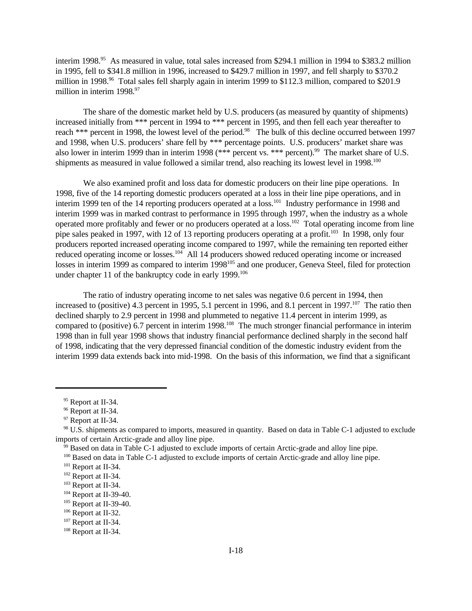interim 1998.<sup>95</sup> As measured in value, total sales increased from \$294.1 million in 1994 to \$383.2 million in 1995, fell to \$341.8 million in 1996, increased to \$429.7 million in 1997, and fell sharply to \$370.2 million in 1998.<sup>96</sup> Total sales fell sharply again in interim 1999 to \$112.3 million, compared to \$201.9 million in interim  $1998.<sup>97</sup>$ 

The share of the domestic market held by U.S. producers (as measured by quantity of shipments) increased initially from \*\*\* percent in 1994 to \*\*\* percent in 1995, and then fell each year thereafter to reach \*\*\* percent in 1998, the lowest level of the period.<sup>98</sup> The bulk of this decline occurred between 1997 and 1998, when U.S. producers' share fell by \*\*\* percentage points. U.S. producers' market share was also lower in interim 1999 than in interim 1998 (\*\*\* percent vs. \*\*\* percent).<sup>99</sup> The market share of U.S. shipments as measured in value followed a similar trend, also reaching its lowest level in 1998.<sup>100</sup>

We also examined profit and loss data for domestic producers on their line pipe operations. In 1998, five of the 14 reporting domestic producers operated at a loss in their line pipe operations, and in interim 1999 ten of the 14 reporting producers operated at a loss.<sup>101</sup> Industry performance in 1998 and interim 1999 was in marked contrast to performance in 1995 through 1997, when the industry as a whole operated more profitably and fewer or no producers operated at a loss.<sup>102</sup> Total operating income from line pipe sales peaked in 1997, with 12 of 13 reporting producers operating at a profit.<sup>103</sup> In 1998, only four producers reported increased operating income compared to 1997, while the remaining ten reported either reduced operating income or losses.<sup>104</sup> All 14 producers showed reduced operating income or increased losses in interim 1999 as compared to interim 1998<sup>105</sup> and one producer, Geneva Steel, filed for protection under chapter 11 of the bankruptcy code in early 1999.<sup>106</sup>

The ratio of industry operating income to net sales was negative 0.6 percent in 1994, then increased to (positive) 4.3 percent in 1995, 5.1 percent in 1996, and 8.1 percent in 1997.<sup>107</sup> The ratio then declined sharply to 2.9 percent in 1998 and plummeted to negative 11.4 percent in interim 1999, as compared to (positive) 6.7 percent in interim 1998.<sup>108</sup> The much stronger financial performance in interim 1998 than in full year 1998 shows that industry financial performance declined sharply in the second half of 1998, indicating that the very depressed financial condition of the domestic industry evident from the interim 1999 data extends back into mid-1998. On the basis of this information, we find that a significant

<sup>&</sup>lt;sup>95</sup> Report at II-34.

<sup>&</sup>lt;sup>96</sup> Report at II-34.

<sup>&</sup>lt;sup>97</sup> Report at II-34.

<sup>98</sup> U.S. shipments as compared to imports, measured in quantity. Based on data in Table C-1 adjusted to exclude imports of certain Arctic-grade and alloy line pipe.

 $99$  Based on data in Table C-1 adjusted to exclude imports of certain Arctic-grade and alloy line pipe.

<sup>&</sup>lt;sup>100</sup> Based on data in Table C-1 adjusted to exclude imports of certain Arctic-grade and alloy line pipe.

<sup>&</sup>lt;sup>101</sup> Report at II-34.

<sup>102</sup> Report at II-34.

<sup>103</sup> Report at II-34.

<sup>&</sup>lt;sup>104</sup> Report at II-39-40.

<sup>&</sup>lt;sup>105</sup> Report at II-39-40.

<sup>106</sup> Report at II-32.

<sup>&</sup>lt;sup>107</sup> Report at II-34.

<sup>108</sup> Report at II-34.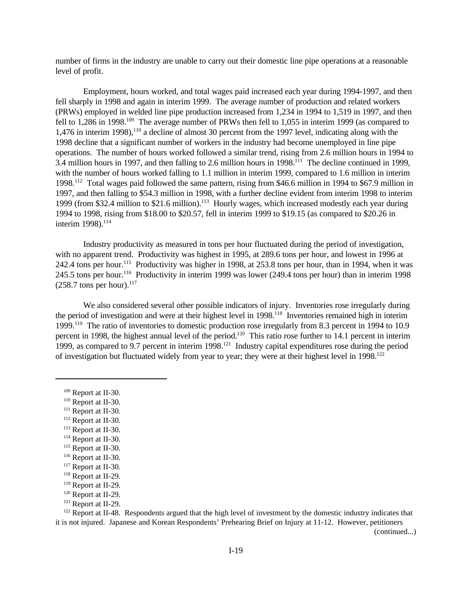number of firms in the industry are unable to carry out their domestic line pipe operations at a reasonable level of profit.

Employment, hours worked, and total wages paid increased each year during 1994-1997, and then fell sharply in 1998 and again in interim 1999. The average number of production and related workers (PRWs) employed in welded line pipe production increased from 1,234 in 1994 to 1,519 in 1997, and then fell to 1,286 in 1998.<sup>109</sup> The average number of PRWs then fell to 1,055 in interim 1999 (as compared to 1,476 in interim 1998),  $110$  a decline of almost 30 percent from the 1997 level, indicating along with the 1998 decline that a significant number of workers in the industry had become unemployed in line pipe operations. The number of hours worked followed a similar trend, rising from 2.6 million hours in 1994 to  $3.4$  million hours in 1997, and then falling to 2.6 million hours in 1998.<sup>111</sup> The decline continued in 1999, with the number of hours worked falling to 1.1 million in interim 1999, compared to 1.6 million in interim 1998.<sup>112</sup> Total wages paid followed the same pattern, rising from \$46.6 million in 1994 to \$67.9 million in 1997, and then falling to \$54.3 million in 1998, with a further decline evident from interim 1998 to interim 1999 (from \$32.4 million to \$21.6 million).<sup>113</sup> Hourly wages, which increased modestly each year during 1994 to 1998, rising from \$18.00 to \$20.57, fell in interim 1999 to \$19.15 (as compared to \$20.26 in interim 1998).<sup>114</sup>

Industry productivity as measured in tons per hour fluctuated during the period of investigation, with no apparent trend. Productivity was highest in 1995, at 289.6 tons per hour, and lowest in 1996 at 242.4 tons per hour.<sup>115</sup> Productivity was higher in 1998, at 253.8 tons per hour, than in 1994, when it was 245.5 tons per hour.<sup>116</sup> Productivity in interim 1999 was lower (249.4 tons per hour) than in interim 1998  $(258.7 \text{ tons per hour}).$ <sup>117</sup>

We also considered several other possible indicators of injury. Inventories rose irregularly during the period of investigation and were at their highest level in 1998.<sup>118</sup> Inventories remained high in interim 1999.<sup>119</sup> The ratio of inventories to domestic production rose irregularly from 8.3 percent in 1994 to 10.9 percent in 1998, the highest annual level of the period.<sup>120</sup> This ratio rose further to 14.1 percent in interim 1999, as compared to 9.7 percent in interim  $1998$ <sup>121</sup> Industry capital expenditures rose during the period of investigation but fluctuated widely from year to year; they were at their highest level in 1998.<sup>122</sup>

- <sup>111</sup> Report at II-30.
- <sup>112</sup> Report at II-30.
- <sup>113</sup> Report at II-30.
- <sup>114</sup> Report at II-30.
- <sup>115</sup> Report at II-30.

<sup>122</sup> Report at II-48. Respondents argued that the high level of investment by the domestic industry indicates that it is not injured. Japanese and Korean Respondents' Prehearing Brief on Injury at 11-12. However, petitioners

(continued...)

<sup>109</sup> Report at II-30.

<sup>&</sup>lt;sup>110</sup> Report at II-30.

<sup>116</sup> Report at II-30.

<sup>&</sup>lt;sup>117</sup> Report at II-30.

<sup>118</sup> Report at II-29.

<sup>119</sup> Report at II-29.

<sup>120</sup> Report at II-29.

<sup>121</sup> Report at II-29.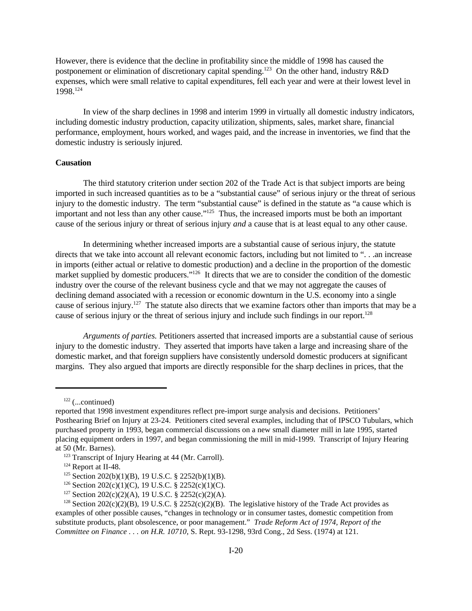However, there is evidence that the decline in profitability since the middle of 1998 has caused the postponement or elimination of discretionary capital spending.<sup>123</sup> On the other hand, industry R&D expenses, which were small relative to capital expenditures, fell each year and were at their lowest level in 1998.<sup>124</sup>

In view of the sharp declines in 1998 and interim 1999 in virtually all domestic industry indicators, including domestic industry production, capacity utilization, shipments, sales, market share, financial performance, employment, hours worked, and wages paid, and the increase in inventories, we find that the domestic industry is seriously injured.

### **Causation**

The third statutory criterion under section 202 of the Trade Act is that subject imports are being imported in such increased quantities as to be a "substantial cause" of serious injury or the threat of serious injury to the domestic industry. The term "substantial cause" is defined in the statute as "a cause which is important and not less than any other cause."<sup>125</sup> Thus, the increased imports must be both an important cause of the serious injury or threat of serious injury *and* a cause that is at least equal to any other cause.

In determining whether increased imports are a substantial cause of serious injury, the statute directs that we take into account all relevant economic factors, including but not limited to "... an increase in imports (either actual or relative to domestic production) and a decline in the proportion of the domestic market supplied by domestic producers."<sup>126</sup> It directs that we are to consider the condition of the domestic industry over the course of the relevant business cycle and that we may not aggregate the causes of declining demand associated with a recession or economic downturn in the U.S. economy into a single cause of serious injury.<sup>127</sup> The statute also directs that we examine factors other than imports that may be a cause of serious injury or the threat of serious injury and include such findings in our report.<sup>128</sup>

*Arguments of parties.* Petitioners asserted that increased imports are a substantial cause of serious injury to the domestic industry. They asserted that imports have taken a large and increasing share of the domestic market, and that foreign suppliers have consistently undersold domestic producers at significant margins. They also argued that imports are directly responsible for the sharp declines in prices, that the

 $122$  (...continued)

reported that 1998 investment expenditures reflect pre-import surge analysis and decisions. Petitioners' Posthearing Brief on Injury at 23-24. Petitioners cited several examples, including that of IPSCO Tubulars, which purchased property in 1993, began commercial discussions on a new small diameter mill in late 1995, started placing equipment orders in 1997, and began commissioning the mill in mid-1999. Transcript of Injury Hearing at 50 (Mr. Barnes).

<sup>123</sup> Transcript of Injury Hearing at 44 (Mr. Carroll).

<sup>124</sup> Report at II-48.

<sup>&</sup>lt;sup>125</sup> Section 202(b)(1)(B), 19 U.S.C. § 2252(b)(1)(B).

<sup>&</sup>lt;sup>126</sup> Section 202(c)(1)(C), 19 U.S.C. § 2252(c)(1)(C).

<sup>&</sup>lt;sup>127</sup> Section 202(c)(2)(A), 19 U.S.C. § 2252(c)(2)(A).

<sup>&</sup>lt;sup>128</sup> Section 202(c)(2)(B), 19 U.S.C. § 2252(c)(2)(B). The legislative history of the Trade Act provides as examples of other possible causes, "changes in technology or in consumer tastes, domestic competition from substitute products, plant obsolescence, or poor management." *Trade Reform Act of 1974, Report of the Committee on Finance . . . on H.R. 10710,* S. Rept. 93-1298, 93rd Cong., 2d Sess. (1974) at 121.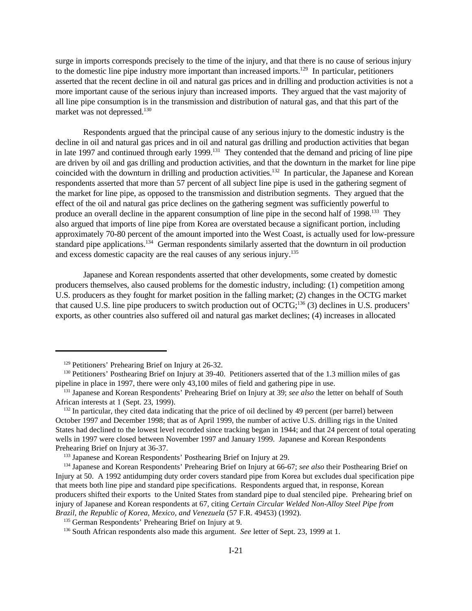surge in imports corresponds precisely to the time of the injury, and that there is no cause of serious injury to the domestic line pipe industry more important than increased imports.<sup>129</sup> In particular, petitioners asserted that the recent decline in oil and natural gas prices and in drilling and production activities is not a more important cause of the serious injury than increased imports. They argued that the vast majority of all line pipe consumption is in the transmission and distribution of natural gas, and that this part of the market was not depressed.<sup>130</sup>

Respondents argued that the principal cause of any serious injury to the domestic industry is the decline in oil and natural gas prices and in oil and natural gas drilling and production activities that began in late 1997 and continued through early 1999.<sup>131</sup> They contended that the demand and pricing of line pipe are driven by oil and gas drilling and production activities, and that the downturn in the market for line pipe coincided with the downturn in drilling and production activities.<sup>132</sup> In particular, the Japanese and Korean respondents asserted that more than 57 percent of all subject line pipe is used in the gathering segment of the market for line pipe, as opposed to the transmission and distribution segments. They argued that the effect of the oil and natural gas price declines on the gathering segment was sufficiently powerful to produce an overall decline in the apparent consumption of line pipe in the second half of 1998.<sup>133</sup> They also argued that imports of line pipe from Korea are overstated because a significant portion, including approximately 70-80 percent of the amount imported into the West Coast, is actually used for low-pressure standard pipe applications.<sup>134</sup> German respondents similarly asserted that the downturn in oil production and excess domestic capacity are the real causes of any serious injury.<sup>135</sup>

Japanese and Korean respondents asserted that other developments, some created by domestic producers themselves, also caused problems for the domestic industry, including: (1) competition among U.S. producers as they fought for market position in the falling market; (2) changes in the OCTG market that caused U.S. line pipe producers to switch production out of OCTG;<sup>136</sup> (3) declines in U.S. producers' exports, as other countries also suffered oil and natural gas market declines; (4) increases in allocated

<sup>129</sup> Petitioners' Prehearing Brief on Injury at 26-32.

<sup>&</sup>lt;sup>130</sup> Petitioners' Posthearing Brief on Injury at 39-40. Petitioners asserted that of the 1.3 million miles of gas pipeline in place in 1997, there were only 43,100 miles of field and gathering pipe in use.

<sup>&</sup>lt;sup>131</sup> Japanese and Korean Respondents' Prehearing Brief on Injury at 39; see also the letter on behalf of South African interests at 1 (Sept. 23, 1999).

<sup>&</sup>lt;sup>132</sup> In particular, they cited data indicating that the price of oil declined by 49 percent (per barrel) between October 1997 and December 1998; that as of April 1999, the number of active U.S. drilling rigs in the United States had declined to the lowest level recorded since tracking began in 1944; and that 24 percent of total operating wells in 1997 were closed between November 1997 and January 1999. Japanese and Korean Respondents Prehearing Brief on Injury at 36-37.

<sup>133</sup> Japanese and Korean Respondents' Posthearing Brief on Injury at 29.

<sup>134</sup> Japanese and Korean Respondents' Prehearing Brief on Injury at 66-67; *see also* their Posthearing Brief on Injury at 50. A 1992 antidumping duty order covers standard pipe from Korea but excludes dual specification pipe that meets both line pipe and standard pipe specifications. Respondents argued that, in response, Korean producers shifted their exports to the United States from standard pipe to dual stenciled pipe. Prehearing brief on injury of Japanese and Korean respondents at 67, citing *Certain Circular Welded Non-Alloy Steel Pipe from Brazil, the Republic of Korea, Mexico, and Venezuela* (57 F.R. 49453) (1992).

<sup>&</sup>lt;sup>135</sup> German Respondents' Prehearing Brief on Injury at 9.

<sup>&</sup>lt;sup>136</sup> South African respondents also made this argument. *See* letter of Sept. 23, 1999 at 1.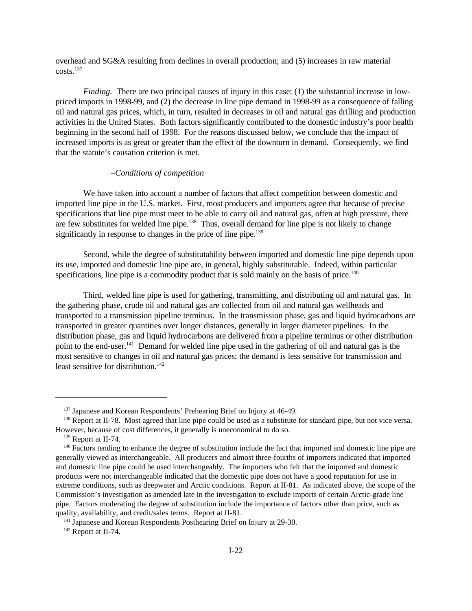overhead and SG&A resulting from declines in overall production; and (5) increases in raw material  $costs.<sup>137</sup>$ 

*Finding.* There are two principal causes of injury in this case: (1) the substantial increase in lowpriced imports in 1998-99, and (2) the decrease in line pipe demand in 1998-99 as a consequence of falling oil and natural gas prices, which, in turn, resulted in decreases in oil and natural gas drilling and production activities in the United States. Both factors significantly contributed to the domestic industry's poor health beginning in the second half of 1998. For the reasons discussed below, we conclude that the impact of increased imports is as great or greater than the effect of the downturn in demand. Consequently, we find that the statute's causation criterion is met.

### –*Conditions of competition*

We have taken into account a number of factors that affect competition between domestic and imported line pipe in the U.S. market. First, most producers and importers agree that because of precise specifications that line pipe must meet to be able to carry oil and natural gas, often at high pressure, there are few substitutes for welded line pipe.<sup>138</sup> Thus, overall demand for line pipe is not likely to change significantly in response to changes in the price of line pipe.<sup>139</sup>

Second, while the degree of substitutability between imported and domestic line pipe depends upon its use, imported and domestic line pipe are, in general, highly substitutable. Indeed, within particular specifications, line pipe is a commodity product that is sold mainly on the basis of price.<sup>140</sup>

Third, welded line pipe is used for gathering, transmitting, and distributing oil and natural gas. In the gathering phase, crude oil and natural gas are collected from oil and natural gas wellheads and transported to a transmission pipeline terminus. In the transmission phase, gas and liquid hydrocarbons are transported in greater quantities over longer distances, generally in larger diameter pipelines. In the distribution phase, gas and liquid hydrocarbons are delivered from a pipeline terminus or other distribution point to the end-user.<sup>141</sup> Demand for welded line pipe used in the gathering of oil and natural gas is the most sensitive to changes in oil and natural gas prices; the demand is less sensitive for transmission and least sensitive for distribution.<sup>142</sup>

<sup>&</sup>lt;sup>137</sup> Japanese and Korean Respondents' Prehearing Brief on Injury at 46-49.

<sup>&</sup>lt;sup>138</sup> Report at II-78. Most agreed that line pipe could be used as a substitute for standard pipe, but not vice versa. However, because of cost differences, it generally is uneconomical to do so.

<sup>139</sup> Report at II-74.

<sup>&</sup>lt;sup>140</sup> Factors tending to enhance the degree of substitution include the fact that imported and domestic line pipe are generally viewed as interchangeable. All producers and almost three-fourths of importers indicated that imported and domestic line pipe could be used interchangeably. The importers who felt that the imported and domestic products were not interchangeable indicated that the domestic pipe does not have a good reputation for use in extreme conditions, such as deepwater and Arctic conditions. Report at II-81. As indicated above, the scope of the Commission's investigation as amended late in the investigation to exclude imports of certain Arctic-grade line pipe. Factors moderating the degree of substitution include the importance of factors other than price, such as quality, availability, and credit/sales terms. Report at II-81.

<sup>&</sup>lt;sup>141</sup> Japanese and Korean Respondents Posthearing Brief on Injury at 29-30.

<sup>142</sup> Report at II-74.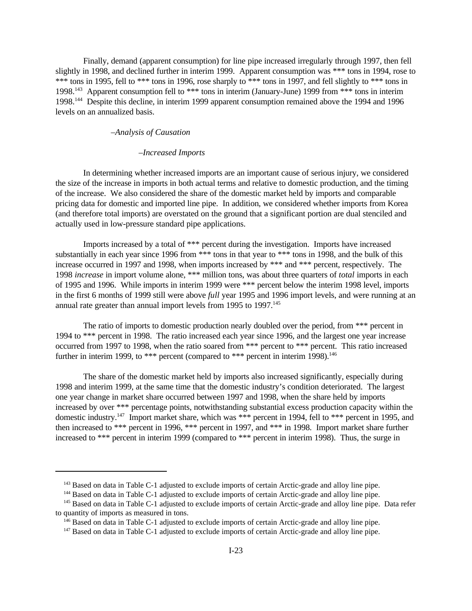Finally, demand (apparent consumption) for line pipe increased irregularly through 1997, then fell slightly in 1998, and declined further in interim 1999. Apparent consumption was \*\*\* tons in 1994, rose to \*\*\* tons in 1995, fell to \*\*\* tons in 1996, rose sharply to \*\*\* tons in 1997, and fell slightly to \*\*\* tons in 1998.<sup>143</sup> Apparent consumption fell to \*\*\* tons in interim (January-June) 1999 from \*\*\* tons in interim 1998.<sup>144</sup> Despite this decline, in interim 1999 apparent consumption remained above the 1994 and 1996 levels on an annualized basis.

### –*Analysis of Causation*

### –*Increased Imports*

In determining whether increased imports are an important cause of serious injury, we considered the size of the increase in imports in both actual terms and relative to domestic production, and the timing of the increase. We also considered the share of the domestic market held by imports and comparable pricing data for domestic and imported line pipe. In addition, we considered whether imports from Korea (and therefore total imports) are overstated on the ground that a significant portion are dual stenciled and actually used in low-pressure standard pipe applications.

Imports increased by a total of \*\*\* percent during the investigation. Imports have increased substantially in each year since 1996 from \*\*\* tons in that year to \*\*\* tons in 1998, and the bulk of this increase occurred in 1997 and 1998, when imports increased by \*\*\* and \*\*\* percent, respectively. The 1998 *increase* in import volume alone, \*\*\* million tons, was about three quarters of *total* imports in each of 1995 and 1996. While imports in interim 1999 were \*\*\* percent below the interim 1998 level, imports in the first 6 months of 1999 still were above *full* year 1995 and 1996 import levels, and were running at an annual rate greater than annual import levels from 1995 to 1997.<sup>145</sup>

The ratio of imports to domestic production nearly doubled over the period, from \*\*\* percent in 1994 to \*\*\* percent in 1998. The ratio increased each year since 1996, and the largest one year increase occurred from 1997 to 1998, when the ratio soared from \*\*\* percent to \*\*\* percent. This ratio increased further in interim 1999, to \*\*\* percent (compared to \*\*\* percent in interim 1998).<sup>146</sup>

The share of the domestic market held by imports also increased significantly, especially during 1998 and interim 1999, at the same time that the domestic industry's condition deteriorated. The largest one year change in market share occurred between 1997 and 1998, when the share held by imports increased by over \*\*\* percentage points, notwithstanding substantial excess production capacity within the domestic industry.<sup>147</sup> Import market share, which was \*\*\* percent in 1994, fell to \*\*\* percent in 1995, and then increased to \*\*\* percent in 1996, \*\*\* percent in 1997, and \*\*\* in 1998. Import market share further increased to \*\*\* percent in interim 1999 (compared to \*\*\* percent in interim 1998). Thus, the surge in

<sup>&</sup>lt;sup>143</sup> Based on data in Table C-1 adjusted to exclude imports of certain Arctic-grade and alloy line pipe.

<sup>&</sup>lt;sup>144</sup> Based on data in Table C-1 adjusted to exclude imports of certain Arctic-grade and alloy line pipe.

<sup>&</sup>lt;sup>145</sup> Based on data in Table C-1 adjusted to exclude imports of certain Arctic-grade and alloy line pipe. Data refer to quantity of imports as measured in tons.

<sup>&</sup>lt;sup>146</sup> Based on data in Table C-1 adjusted to exclude imports of certain Arctic-grade and alloy line pipe.

<sup>&</sup>lt;sup>147</sup> Based on data in Table C-1 adjusted to exclude imports of certain Arctic-grade and alloy line pipe.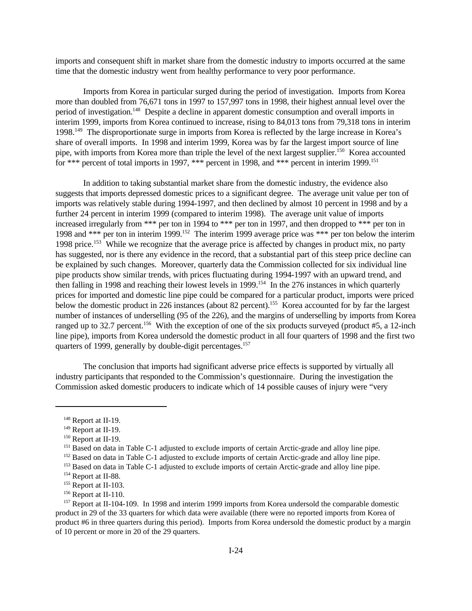imports and consequent shift in market share from the domestic industry to imports occurred at the same time that the domestic industry went from healthy performance to very poor performance.

Imports from Korea in particular surged during the period of investigation. Imports from Korea more than doubled from 76,671 tons in 1997 to 157,997 tons in 1998, their highest annual level over the period of investigation.<sup>148</sup> Despite a decline in apparent domestic consumption and overall imports in interim 1999, imports from Korea continued to increase, rising to 84,013 tons from 79,318 tons in interim 1998.<sup>149</sup> The disproportionate surge in imports from Korea is reflected by the large increase in Korea's share of overall imports. In 1998 and interim 1999, Korea was by far the largest import source of line pipe, with imports from Korea more than triple the level of the next largest supplier.<sup>150</sup> Korea accounted for \*\*\* percent of total imports in 1997, \*\*\* percent in 1998, and \*\*\* percent in interim 1999.<sup>151</sup>

In addition to taking substantial market share from the domestic industry, the evidence also suggests that imports depressed domestic prices to a significant degree. The average unit value per ton of imports was relatively stable during 1994-1997, and then declined by almost 10 percent in 1998 and by a further 24 percent in interim 1999 (compared to interim 1998). The average unit value of imports increased irregularly from \*\*\* per ton in 1994 to \*\*\* per ton in 1997, and then dropped to \*\*\* per ton in 1998 and \*\*\* per ton in interim 1999.<sup>152</sup> The interim 1999 average price was \*\*\* per ton below the interim 1998 price.<sup>153</sup> While we recognize that the average price is affected by changes in product mix, no party has suggested, nor is there any evidence in the record, that a substantial part of this steep price decline can be explained by such changes. Moreover, quarterly data the Commission collected for six individual line pipe products show similar trends, with prices fluctuating during 1994-1997 with an upward trend, and then falling in 1998 and reaching their lowest levels in 1999.<sup>154</sup> In the 276 instances in which quarterly prices for imported and domestic line pipe could be compared for a particular product, imports were priced below the domestic product in 226 instances (about 82 percent).<sup>155</sup> Korea accounted for by far the largest number of instances of underselling (95 of the 226), and the margins of underselling by imports from Korea ranged up to 32.7 percent.<sup>156</sup> With the exception of one of the six products surveyed (product #5, a 12-inch line pipe), imports from Korea undersold the domestic product in all four quarters of 1998 and the first two quarters of 1999, generally by double-digit percentages.<sup>157</sup>

The conclusion that imports had significant adverse price effects is supported by virtually all industry participants that responded to the Commission's questionnaire. During the investigation the Commission asked domestic producers to indicate which of 14 possible causes of injury were "very

<sup>&</sup>lt;sup>148</sup> Report at II-19.

<sup>&</sup>lt;sup>149</sup> Report at II-19.

<sup>150</sup> Report at II-19.

<sup>&</sup>lt;sup>151</sup> Based on data in Table C-1 adjusted to exclude imports of certain Arctic-grade and alloy line pipe.

<sup>&</sup>lt;sup>152</sup> Based on data in Table C-1 adjusted to exclude imports of certain Arctic-grade and alloy line pipe.

<sup>&</sup>lt;sup>153</sup> Based on data in Table C-1 adjusted to exclude imports of certain Arctic-grade and alloy line pipe.

<sup>154</sup> Report at II-88.

<sup>&</sup>lt;sup>155</sup> Report at II-103.

<sup>&</sup>lt;sup>156</sup> Report at II-110.

<sup>&</sup>lt;sup>157</sup> Report at II-104-109. In 1998 and interim 1999 imports from Korea undersold the comparable domestic product in 29 of the 33 quarters for which data were available (there were no reported imports from Korea of product #6 in three quarters during this period). Imports from Korea undersold the domestic product by a margin of 10 percent or more in 20 of the 29 quarters.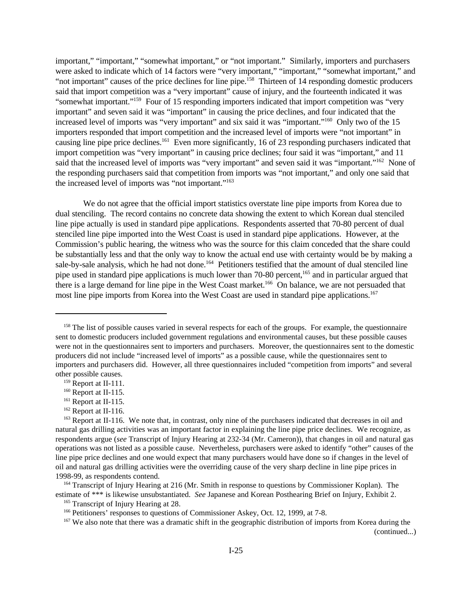important," "important," "somewhat important," or "not important." Similarly, importers and purchasers were asked to indicate which of 14 factors were "very important," "important," "somewhat important," and "not important" causes of the price declines for line pipe.<sup>158</sup> Thirteen of 14 responding domestic producers said that import competition was a "very important" cause of injury, and the fourteenth indicated it was "somewhat important."<sup>159</sup> Four of 15 responding importers indicated that import competition was "very important" and seven said it was "important" in causing the price declines, and four indicated that the increased level of imports was "very important" and six said it was "important."<sup>160</sup> Only two of the 15 importers responded that import competition and the increased level of imports were "not important" in causing line pipe price declines.<sup>161</sup> Even more significantly, 16 of 23 responding purchasers indicated that import competition was "very important" in causing price declines; four said it was "important," and 11 said that the increased level of imports was "very important" and seven said it was "important."<sup>162</sup> None of the responding purchasers said that competition from imports was "not important," and only one said that the increased level of imports was "not important."<sup>163</sup>

We do not agree that the official import statistics overstate line pipe imports from Korea due to dual stenciling. The record contains no concrete data showing the extent to which Korean dual stenciled line pipe actually is used in standard pipe applications. Respondents asserted that 70-80 percent of dual stenciled line pipe imported into the West Coast is used in standard pipe applications. However, at the Commission's public hearing, the witness who was the source for this claim conceded that the share could be substantially less and that the only way to know the actual end use with certainty would be by making a sale-by-sale analysis, which he had not done.<sup>164</sup> Petitioners testified that the amount of dual stenciled line pipe used in standard pipe applications is much lower than 70-80 percent,<sup>165</sup> and in particular argued that there is a large demand for line pipe in the West Coast market.<sup>166</sup> On balance, we are not persuaded that most line pipe imports from Korea into the West Coast are used in standard pipe applications.<sup>167</sup>

<sup>&</sup>lt;sup>158</sup> The list of possible causes varied in several respects for each of the groups. For example, the questionnaire sent to domestic producers included government regulations and environmental causes, but these possible causes were not in the questionnaires sent to importers and purchasers. Moreover, the questionnaires sent to the domestic producers did not include "increased level of imports" as a possible cause, while the questionnaires sent to importers and purchasers did. However, all three questionnaires included "competition from imports" and several other possible causes.

<sup>159</sup> Report at II-111.

<sup>&</sup>lt;sup>160</sup> Report at II-115.

<sup>&</sup>lt;sup>161</sup> Report at II-115.

<sup>&</sup>lt;sup>162</sup> Report at II-116.

<sup>&</sup>lt;sup>163</sup> Report at II-116. We note that, in contrast, only nine of the purchasers indicated that decreases in oil and natural gas drilling activities was an important factor in explaining the line pipe price declines. We recognize, as respondents argue (*see* Transcript of Injury Hearing at 232-34 (Mr. Cameron)), that changes in oil and natural gas operations was not listed as a possible cause. Nevertheless, purchasers were asked to identify "other" causes of the line pipe price declines and one would expect that many purchasers would have done so if changes in the level of oil and natural gas drilling activities were the overriding cause of the very sharp decline in line pipe prices in 1998-99, as respondents contend.

<sup>&</sup>lt;sup>164</sup> Transcript of Injury Hearing at 216 (Mr. Smith in response to questions by Commissioner Koplan). The estimate of \*\*\* is likewise unsubstantiated. *See* Japanese and Korean Posthearing Brief on Injury, Exhibit 2.

<sup>&</sup>lt;sup>165</sup> Transcript of Injury Hearing at 28.

<sup>&</sup>lt;sup>166</sup> Petitioners' responses to questions of Commissioner Askey, Oct. 12, 1999, at 7-8.

<sup>&</sup>lt;sup>167</sup> We also note that there was a dramatic shift in the geographic distribution of imports from Korea during the (continued...)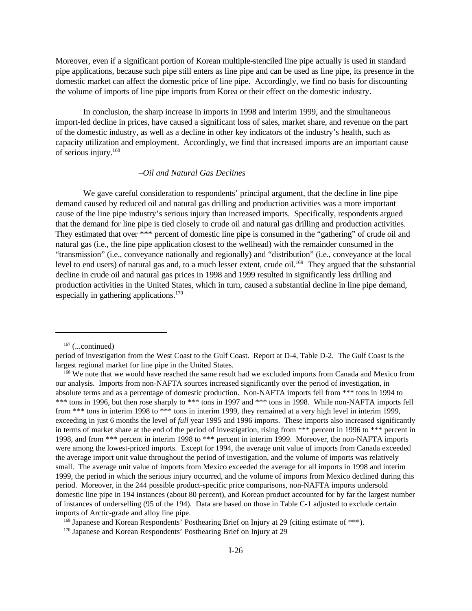Moreover, even if a significant portion of Korean multiple-stenciled line pipe actually is used in standard pipe applications, because such pipe still enters as line pipe and can be used as line pipe, its presence in the domestic market can affect the domestic price of line pipe. Accordingly, we find no basis for discounting the volume of imports of line pipe imports from Korea or their effect on the domestic industry.

In conclusion, the sharp increase in imports in 1998 and interim 1999, and the simultaneous import-led decline in prices, have caused a significant loss of sales, market share, and revenue on the part of the domestic industry, as well as a decline in other key indicators of the industry's health, such as capacity utilization and employment. Accordingly, we find that increased imports are an important cause of serious injury.<sup>168</sup>

### –*Oil and Natural Gas Declines*

We gave careful consideration to respondents' principal argument, that the decline in line pipe demand caused by reduced oil and natural gas drilling and production activities was a more important cause of the line pipe industry's serious injury than increased imports. Specifically, respondents argued that the demand for line pipe is tied closely to crude oil and natural gas drilling and production activities. They estimated that over \*\*\* percent of domestic line pipe is consumed in the "gathering" of crude oil and natural gas (i.e., the line pipe application closest to the wellhead) with the remainder consumed in the "transmission" (i.e., conveyance nationally and regionally) and "distribution" (i.e., conveyance at the local level to end users) of natural gas and, to a much lesser extent, crude oil.<sup>169</sup> They argued that the substantial decline in crude oil and natural gas prices in 1998 and 1999 resulted in significantly less drilling and production activities in the United States, which in turn, caused a substantial decline in line pipe demand, especially in gathering applications.<sup>170</sup>

 $167$  (...continued)

period of investigation from the West Coast to the Gulf Coast. Report at D-4, Table D-2. The Gulf Coast is the largest regional market for line pipe in the United States.

<sup>&</sup>lt;sup>168</sup> We note that we would have reached the same result had we excluded imports from Canada and Mexico from our analysis. Imports from non-NAFTA sources increased significantly over the period of investigation, in absolute terms and as a percentage of domestic production. Non-NAFTA imports fell from \*\*\* tons in 1994 to \*\*\* tons in 1996, but then rose sharply to \*\*\* tons in 1997 and \*\*\* tons in 1998. While non-NAFTA imports fell from \*\*\* tons in interim 1998 to \*\*\* tons in interim 1999, they remained at a very high level in interim 1999, exceeding in just 6 months the level of *full* year 1995 and 1996 imports. These imports also increased significantly in terms of market share at the end of the period of investigation, rising from \*\*\* percent in 1996 to \*\*\* percent in 1998, and from \*\*\* percent in interim 1998 to \*\*\* percent in interim 1999. Moreover, the non-NAFTA imports were among the lowest-priced imports. Except for 1994, the average unit value of imports from Canada exceeded the average import unit value throughout the period of investigation, and the volume of imports was relatively small. The average unit value of imports from Mexico exceeded the average for all imports in 1998 and interim 1999, the period in which the serious injury occurred, and the volume of imports from Mexico declined during this period. Moreover, in the 244 possible product-specific price comparisons, non-NAFTA imports undersold domestic line pipe in 194 instances (about 80 percent), and Korean product accounted for by far the largest number of instances of underselling (95 of the 194). Data are based on those in Table C-1 adjusted to exclude certain imports of Arctic-grade and alloy line pipe.

<sup>&</sup>lt;sup>169</sup> Japanese and Korean Respondents' Posthearing Brief on Injury at 29 (citing estimate of \*\*\*).

<sup>170</sup> Japanese and Korean Respondents' Posthearing Brief on Injury at 29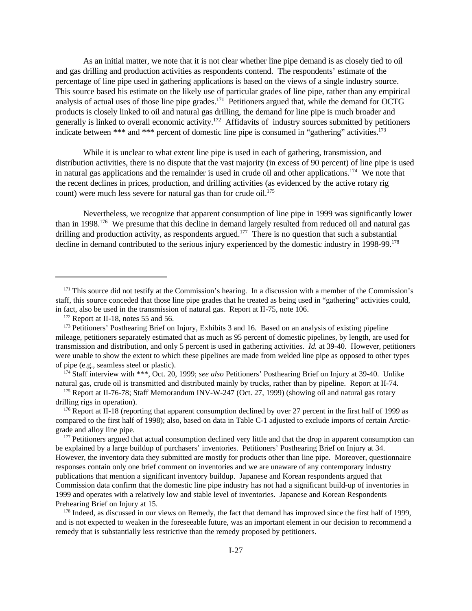As an initial matter, we note that it is not clear whether line pipe demand is as closely tied to oil and gas drilling and production activities as respondents contend. The respondents' estimate of the percentage of line pipe used in gathering applications is based on the views of a single industry source. This source based his estimate on the likely use of particular grades of line pipe, rather than any empirical analysis of actual uses of those line pipe grades.<sup>171</sup> Petitioners argued that, while the demand for OCTG products is closely linked to oil and natural gas drilling, the demand for line pipe is much broader and generally is linked to overall economic activity.<sup>172</sup> Affidavits of industry sources submitted by petitioners indicate between \*\*\* and \*\*\* percent of domestic line pipe is consumed in "gathering" activities.<sup>173</sup>

While it is unclear to what extent line pipe is used in each of gathering, transmission, and distribution activities, there is no dispute that the vast majority (in excess of 90 percent) of line pipe is used in natural gas applications and the remainder is used in crude oil and other applications.<sup>174</sup> We note that the recent declines in prices, production, and drilling activities (as evidenced by the active rotary rig count) were much less severe for natural gas than for crude oil.<sup>175</sup>

Nevertheless, we recognize that apparent consumption of line pipe in 1999 was significantly lower than in 1998.<sup>176</sup> We presume that this decline in demand largely resulted from reduced oil and natural gas drilling and production activity, as respondents argued.<sup>177</sup> There is no question that such a substantial decline in demand contributed to the serious injury experienced by the domestic industry in 1998-99.<sup>178</sup>

<sup>&</sup>lt;sup>171</sup> This source did not testify at the Commission's hearing. In a discussion with a member of the Commission's staff, this source conceded that those line pipe grades that he treated as being used in "gathering" activities could, in fact, also be used in the transmission of natural gas. Report at II-75, note 106.

 $172$  Report at II-18, notes 55 and 56.

<sup>&</sup>lt;sup>173</sup> Petitioners' Posthearing Brief on Injury, Exhibits 3 and 16. Based on an analysis of existing pipeline mileage, petitioners separately estimated that as much as 95 percent of domestic pipelines, by length, are used for transmission and distribution, and only 5 percent is used in gathering activities. *Id.* at 39-40. However, petitioners were unable to show the extent to which these pipelines are made from welded line pipe as opposed to other types of pipe (e.g., seamless steel or plastic).

<sup>174</sup> Staff interview with \*\*\*, Oct. 20, 1999; *see also* Petitioners' Posthearing Brief on Injury at 39-40. Unlike natural gas, crude oil is transmitted and distributed mainly by trucks, rather than by pipeline. Report at II-74.

<sup>175</sup> Report at II-76-78; Staff Memorandum INV-W-247 (Oct. 27, 1999) (showing oil and natural gas rotary drilling rigs in operation).

 $176$  Report at II-18 (reporting that apparent consumption declined by over 27 percent in the first half of 1999 as compared to the first half of 1998); also, based on data in Table C-1 adjusted to exclude imports of certain Arcticgrade and alloy line pipe.

<sup>&</sup>lt;sup>177</sup> Petitioners argued that actual consumption declined very little and that the drop in apparent consumption can be explained by a large buildup of purchasers' inventories. Petitioners' Posthearing Brief on Injury at 34. However, the inventory data they submitted are mostly for products other than line pipe. Moreover, questionnaire responses contain only one brief comment on inventories and we are unaware of any contemporary industry publications that mention a significant inventory buildup. Japanese and Korean respondents argued that Commission data confirm that the domestic line pipe industry has not had a significant build-up of inventories in 1999 and operates with a relatively low and stable level of inventories. Japanese and Korean Respondents Prehearing Brief on Injury at 15.

<sup>&</sup>lt;sup>178</sup> Indeed, as discussed in our views on Remedy, the fact that demand has improved since the first half of 1999, and is not expected to weaken in the foreseeable future, was an important element in our decision to recommend a remedy that is substantially less restrictive than the remedy proposed by petitioners.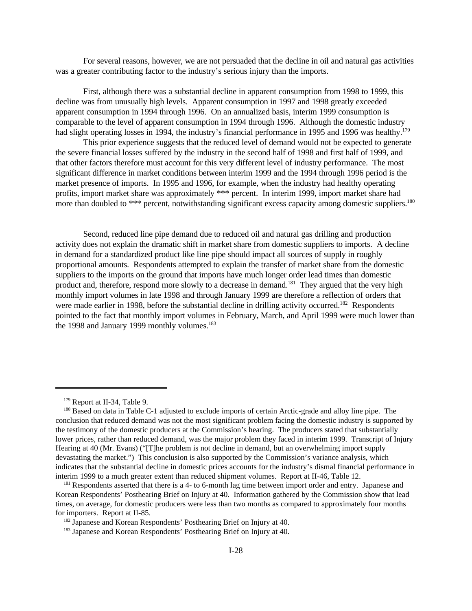For several reasons, however, we are not persuaded that the decline in oil and natural gas activities was a greater contributing factor to the industry's serious injury than the imports.

First, although there was a substantial decline in apparent consumption from 1998 to 1999, this decline was from unusually high levels. Apparent consumption in 1997 and 1998 greatly exceeded apparent consumption in 1994 through 1996. On an annualized basis, interim 1999 consumption is comparable to the level of apparent consumption in 1994 through 1996. Although the domestic industry had slight operating losses in 1994, the industry's financial performance in 1995 and 1996 was healthy.<sup>179</sup>

This prior experience suggests that the reduced level of demand would not be expected to generate the severe financial losses suffered by the industry in the second half of 1998 and first half of 1999, and that other factors therefore must account for this very different level of industry performance. The most significant difference in market conditions between interim 1999 and the 1994 through 1996 period is the market presence of imports. In 1995 and 1996, for example, when the industry had healthy operating profits, import market share was approximately \*\*\* percent. In interim 1999, import market share had more than doubled to \*\*\* percent, notwithstanding significant excess capacity among domestic suppliers.<sup>180</sup>

Second, reduced line pipe demand due to reduced oil and natural gas drilling and production activity does not explain the dramatic shift in market share from domestic suppliers to imports. A decline in demand for a standardized product like line pipe should impact all sources of supply in roughly proportional amounts. Respondents attempted to explain the transfer of market share from the domestic suppliers to the imports on the ground that imports have much longer order lead times than domestic product and, therefore, respond more slowly to a decrease in demand.<sup>181</sup> They argued that the very high monthly import volumes in late 1998 and through January 1999 are therefore a reflection of orders that were made earlier in 1998, before the substantial decline in drilling activity occurred.<sup>182</sup> Respondents pointed to the fact that monthly import volumes in February, March, and April 1999 were much lower than the 1998 and January 1999 monthly volumes.<sup>183</sup>

<sup>179</sup> Report at II-34, Table 9.

<sup>&</sup>lt;sup>180</sup> Based on data in Table C-1 adjusted to exclude imports of certain Arctic-grade and alloy line pipe. The conclusion that reduced demand was not the most significant problem facing the domestic industry is supported by the testimony of the domestic producers at the Commission's hearing. The producers stated that substantially lower prices, rather than reduced demand, was the major problem they faced in interim 1999. Transcript of Injury Hearing at 40 (Mr. Evans) ("[T]he problem is not decline in demand, but an overwhelming import supply devastating the market.") This conclusion is also supported by the Commission's variance analysis, which indicates that the substantial decline in domestic prices accounts for the industry's dismal financial performance in interim 1999 to a much greater extent than reduced shipment volumes. Report at II-46, Table 12.

<sup>&</sup>lt;sup>181</sup> Respondents asserted that there is a 4- to 6-month lag time between import order and entry. Japanese and Korean Respondents' Posthearing Brief on Injury at 40. Information gathered by the Commission show that lead times, on average, for domestic producers were less than two months as compared to approximately four months for importers. Report at II-85.

<sup>&</sup>lt;sup>182</sup> Japanese and Korean Respondents' Posthearing Brief on Injury at 40.

<sup>183</sup> Japanese and Korean Respondents' Posthearing Brief on Injury at 40.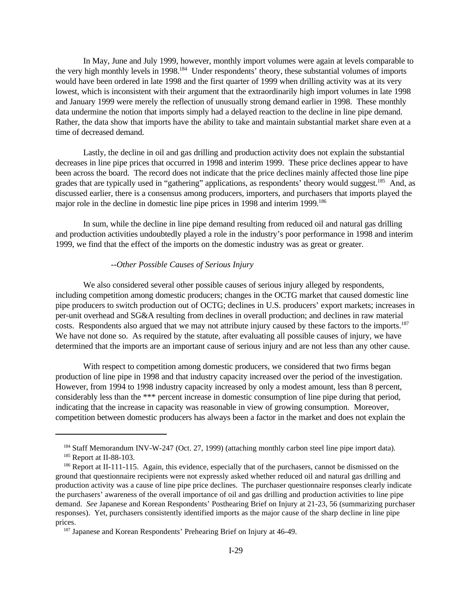In May, June and July 1999, however, monthly import volumes were again at levels comparable to the very high monthly levels in 1998.<sup>184</sup> Under respondents' theory, these substantial volumes of imports would have been ordered in late 1998 and the first quarter of 1999 when drilling activity was at its very lowest, which is inconsistent with their argument that the extraordinarily high import volumes in late 1998 and January 1999 were merely the reflection of unusually strong demand earlier in 1998. These monthly data undermine the notion that imports simply had a delayed reaction to the decline in line pipe demand. Rather, the data show that imports have the ability to take and maintain substantial market share even at a time of decreased demand.

Lastly, the decline in oil and gas drilling and production activity does not explain the substantial decreases in line pipe prices that occurred in 1998 and interim 1999. These price declines appear to have been across the board. The record does not indicate that the price declines mainly affected those line pipe grades that are typically used in "gathering" applications, as respondents' theory would suggest.<sup>185</sup> And, as discussed earlier, there is a consensus among producers, importers, and purchasers that imports played the major role in the decline in domestic line pipe prices in 1998 and interim 1999.<sup>186</sup>

In sum, while the decline in line pipe demand resulting from reduced oil and natural gas drilling and production activities undoubtedly played a role in the industry's poor performance in 1998 and interim 1999, we find that the effect of the imports on the domestic industry was as great or greater.

### *--Other Possible Causes of Serious Injury*

We also considered several other possible causes of serious injury alleged by respondents, including competition among domestic producers; changes in the OCTG market that caused domestic line pipe producers to switch production out of OCTG; declines in U.S. producers' export markets; increases in per-unit overhead and SG&A resulting from declines in overall production; and declines in raw material costs. Respondents also argued that we may not attribute injury caused by these factors to the imports.<sup>187</sup> We have not done so. As required by the statute, after evaluating all possible causes of injury, we have determined that the imports are an important cause of serious injury and are not less than any other cause.

With respect to competition among domestic producers, we considered that two firms began production of line pipe in 1998 and that industry capacity increased over the period of the investigation. However, from 1994 to 1998 industry capacity increased by only a modest amount, less than 8 percent, considerably less than the \*\*\* percent increase in domestic consumption of line pipe during that period, indicating that the increase in capacity was reasonable in view of growing consumption. Moreover, competition between domestic producers has always been a factor in the market and does not explain the

<sup>184</sup> Staff Memorandum INV-W-247 (Oct. 27, 1999) (attaching monthly carbon steel line pipe import data).

<sup>&</sup>lt;sup>185</sup> Report at II-88-103.

<sup>&</sup>lt;sup>186</sup> Report at II-111-115. Again, this evidence, especially that of the purchasers, cannot be dismissed on the ground that questionnaire recipients were not expressly asked whether reduced oil and natural gas drilling and production activity was a cause of line pipe price declines. The purchaser questionnaire responses clearly indicate the purchasers' awareness of the overall importance of oil and gas drilling and production activities to line pipe demand. *See* Japanese and Korean Respondents' Posthearing Brief on Injury at 21-23, 56 (summarizing purchaser responses). Yet, purchasers consistently identified imports as the major cause of the sharp decline in line pipe prices.

<sup>&</sup>lt;sup>187</sup> Japanese and Korean Respondents' Prehearing Brief on Injury at 46-49.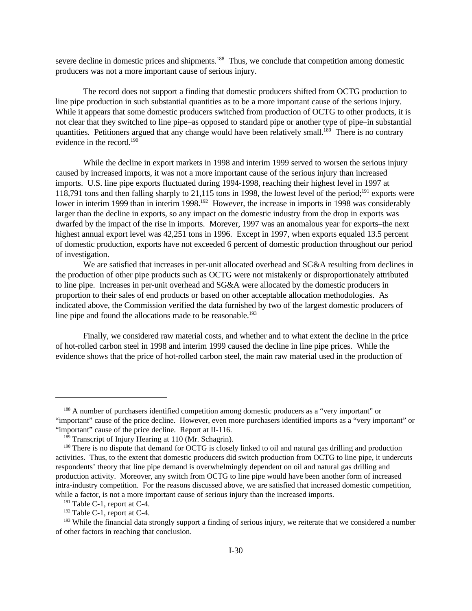severe decline in domestic prices and shipments.<sup>188</sup> Thus, we conclude that competition among domestic producers was not a more important cause of serious injury.

The record does not support a finding that domestic producers shifted from OCTG production to line pipe production in such substantial quantities as to be a more important cause of the serious injury. While it appears that some domestic producers switched from production of OCTG to other products, it is not clear that they switched to line pipe–as opposed to standard pipe or another type of pipe–in substantial quantities. Petitioners argued that any change would have been relatively small.<sup>189</sup> There is no contrary evidence in the record.<sup>190</sup>

While the decline in export markets in 1998 and interim 1999 served to worsen the serious injury caused by increased imports, it was not a more important cause of the serious injury than increased imports. U.S. line pipe exports fluctuated during 1994-1998, reaching their highest level in 1997 at 118,791 tons and then falling sharply to 21,115 tons in 1998, the lowest level of the period;<sup>191</sup> exports were lower in interim 1999 than in interim 1998.<sup>192</sup> However, the increase in imports in 1998 was considerably larger than the decline in exports, so any impact on the domestic industry from the drop in exports was dwarfed by the impact of the rise in imports. Morever, 1997 was an anomalous year for exports–the next highest annual export level was 42,251 tons in 1996. Except in 1997, when exports equaled 13.5 percent of domestic production, exports have not exceeded 6 percent of domestic production throughout our period of investigation.

We are satisfied that increases in per-unit allocated overhead and SG&A resulting from declines in the production of other pipe products such as OCTG were not mistakenly or disproportionately attributed to line pipe. Increases in per-unit overhead and SG&A were allocated by the domestic producers in proportion to their sales of end products or based on other acceptable allocation methodologies. As indicated above, the Commission verified the data furnished by two of the largest domestic producers of line pipe and found the allocations made to be reasonable.<sup>193</sup>

Finally, we considered raw material costs, and whether and to what extent the decline in the price of hot-rolled carbon steel in 1998 and interim 1999 caused the decline in line pipe prices. While the evidence shows that the price of hot-rolled carbon steel, the main raw material used in the production of

<sup>&</sup>lt;sup>188</sup> A number of purchasers identified competition among domestic producers as a "very important" or "important" cause of the price decline. However, even more purchasers identified imports as a "very important" or "important" cause of the price decline. Report at II-116.

<sup>&</sup>lt;sup>189</sup> Transcript of Injury Hearing at 110 (Mr. Schagrin).

<sup>&</sup>lt;sup>190</sup> There is no dispute that demand for OCTG is closely linked to oil and natural gas drilling and production activities. Thus, to the extent that domestic producers did switch production from OCTG to line pipe, it undercuts respondents' theory that line pipe demand is overwhelmingly dependent on oil and natural gas drilling and production activity. Moreover, any switch from OCTG to line pipe would have been another form of increased intra-industry competition. For the reasons discussed above, we are satisfied that increased domestic competition, while a factor, is not a more important cause of serious injury than the increased imports.

<sup>&</sup>lt;sup>191</sup> Table C-1, report at C-4.

 $192$  Table C-1, report at C-4.

<sup>&</sup>lt;sup>193</sup> While the financial data strongly support a finding of serious injury, we reiterate that we considered a number of other factors in reaching that conclusion.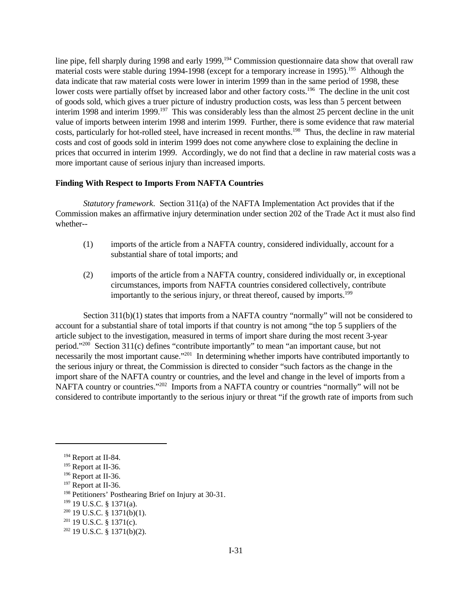line pipe, fell sharply during 1998 and early 1999,<sup>194</sup> Commission questionnaire data show that overall raw material costs were stable during 1994-1998 (except for a temporary increase in 1995).<sup>195</sup> Although the data indicate that raw material costs were lower in interim 1999 than in the same period of 1998, these lower costs were partially offset by increased labor and other factory costs.<sup>196</sup> The decline in the unit cost of goods sold, which gives a truer picture of industry production costs, was less than 5 percent between interim 1998 and interim 1999.<sup>197</sup> This was considerably less than the almost 25 percent decline in the unit value of imports between interim 1998 and interim 1999. Further, there is some evidence that raw material costs, particularly for hot-rolled steel, have increased in recent months.<sup>198</sup> Thus, the decline in raw material costs and cost of goods sold in interim 1999 does not come anywhere close to explaining the decline in prices that occurred in interim 1999. Accordingly, we do not find that a decline in raw material costs was a more important cause of serious injury than increased imports.

# **Finding With Respect to Imports From NAFTA Countries**

*Statutory framework*. Section 311(a) of the NAFTA Implementation Act provides that if the Commission makes an affirmative injury determination under section 202 of the Trade Act it must also find whether--

- (1) imports of the article from a NAFTA country, considered individually, account for a substantial share of total imports; and
- (2) imports of the article from a NAFTA country, considered individually or, in exceptional circumstances, imports from NAFTA countries considered collectively, contribute importantly to the serious injury, or threat thereof, caused by imports.<sup>199</sup>

Section 311(b)(1) states that imports from a NAFTA country "normally" will not be considered to account for a substantial share of total imports if that country is not among "the top 5 suppliers of the article subject to the investigation, measured in terms of import share during the most recent 3-year period."<sup>200</sup> Section 311(c) defines "contribute importantly" to mean "an important cause, but not necessarily the most important cause."<sup>201</sup> In determining whether imports have contributed importantly to the serious injury or threat, the Commission is directed to consider "such factors as the change in the import share of the NAFTA country or countries, and the level and change in the level of imports from a NAFTA country or countries."<sup>202</sup> Imports from a NAFTA country or countries "normally" will not be considered to contribute importantly to the serious injury or threat "if the growth rate of imports from such

<sup>194</sup> Report at II-84.

<sup>&</sup>lt;sup>195</sup> Report at II-36.

<sup>196</sup> Report at II-36.

<sup>&</sup>lt;sup>197</sup> Report at II-36.

<sup>198</sup> Petitioners' Posthearing Brief on Injury at 30-31.

<sup>199</sup> 19 U.S.C. § 1371(a).

 $200$  19 U.S.C. § 1371(b)(1).

 $201$  19 U.S.C. § 1371(c).

 $202$  19 U.S.C. § 1371(b)(2).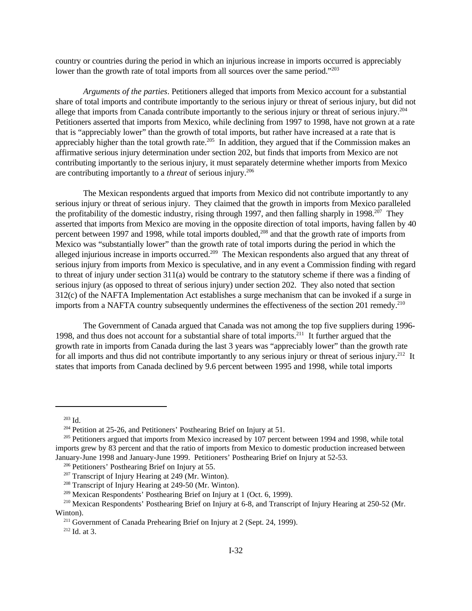country or countries during the period in which an injurious increase in imports occurred is appreciably lower than the growth rate of total imports from all sources over the same period."<sup>203</sup>

*Arguments of the parties*. Petitioners alleged that imports from Mexico account for a substantial share of total imports and contribute importantly to the serious injury or threat of serious injury, but did not allege that imports from Canada contribute importantly to the serious injury or threat of serious injury.<sup>204</sup> Petitioners asserted that imports from Mexico, while declining from 1997 to 1998, have not grown at a rate that is "appreciably lower" than the growth of total imports, but rather have increased at a rate that is appreciably higher than the total growth rate.<sup>205</sup> In addition, they argued that if the Commission makes an affirmative serious injury determination under section 202, but finds that imports from Mexico are not contributing importantly to the serious injury, it must separately determine whether imports from Mexico are contributing importantly to a *threat* of serious injury.<sup>206</sup>

The Mexican respondents argued that imports from Mexico did not contribute importantly to any serious injury or threat of serious injury. They claimed that the growth in imports from Mexico paralleled the profitability of the domestic industry, rising through 1997, and then falling sharply in 1998.<sup>207</sup> They asserted that imports from Mexico are moving in the opposite direction of total imports, having fallen by 40 percent between 1997 and 1998, while total imports doubled,<sup>208</sup> and that the growth rate of imports from Mexico was "substantially lower" than the growth rate of total imports during the period in which the alleged injurious increase in imports occurred.<sup>209</sup> The Mexican respondents also argued that any threat of serious injury from imports from Mexico is speculative, and in any event a Commission finding with regard to threat of injury under section 311(a) would be contrary to the statutory scheme if there was a finding of serious injury (as opposed to threat of serious injury) under section 202. They also noted that section 312(c) of the NAFTA Implementation Act establishes a surge mechanism that can be invoked if a surge in imports from a NAFTA country subsequently undermines the effectiveness of the section 201 remedy.<sup>210</sup>

The Government of Canada argued that Canada was not among the top five suppliers during 1996- 1998, and thus does not account for a substantial share of total imports.<sup>211</sup> It further argued that the growth rate in imports from Canada during the last 3 years was "appreciably lower" than the growth rate for all imports and thus did not contribute importantly to any serious injury or threat of serious injury.<sup>212</sup> It states that imports from Canada declined by 9.6 percent between 1995 and 1998, while total imports

 $203$  Id.

<sup>&</sup>lt;sup>204</sup> Petition at 25-26, and Petitioners' Posthearing Brief on Injury at 51.

<sup>&</sup>lt;sup>205</sup> Petitioners argued that imports from Mexico increased by 107 percent between 1994 and 1998, while total imports grew by 83 percent and that the ratio of imports from Mexico to domestic production increased between January-June 1998 and January-June 1999. Petitioners' Posthearing Brief on Injury at 52-53.

<sup>206</sup> Petitioners' Posthearing Brief on Injury at 55.

 $207$  Transcript of Injury Hearing at 249 (Mr. Winton).

<sup>208</sup> Transcript of Injury Hearing at 249-50 (Mr. Winton).

<sup>209</sup> Mexican Respondents' Posthearing Brief on Injury at 1 (Oct. 6, 1999).

<sup>210</sup> Mexican Respondents' Posthearing Brief on Injury at 6-8, and Transcript of Injury Hearing at 250-52 (Mr. Winton).

<sup>&</sup>lt;sup>211</sup> Government of Canada Prehearing Brief on Injury at 2 (Sept. 24, 1999).

<sup>212</sup> Id. at 3.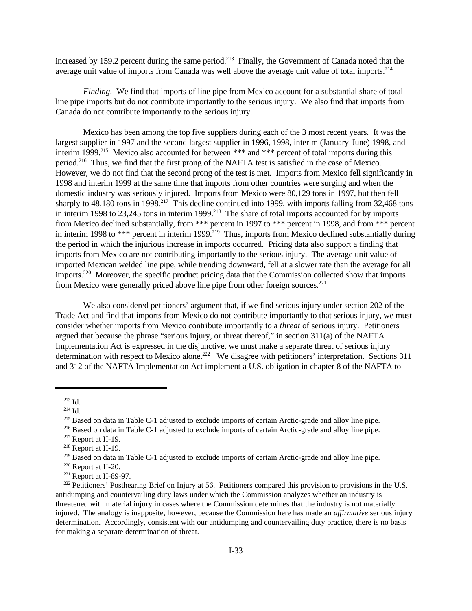increased by 159.2 percent during the same period.<sup>213</sup> Finally, the Government of Canada noted that the average unit value of imports from Canada was well above the average unit value of total imports.<sup>214</sup>

*Finding*. We find that imports of line pipe from Mexico account for a substantial share of total line pipe imports but do not contribute importantly to the serious injury. We also find that imports from Canada do not contribute importantly to the serious injury.

Mexico has been among the top five suppliers during each of the 3 most recent years. It was the largest supplier in 1997 and the second largest supplier in 1996, 1998, interim (January-June) 1998, and interim 1999.<sup>215</sup> Mexico also accounted for between \*\*\* and \*\*\* percent of total imports during this period.<sup>216</sup> Thus, we find that the first prong of the NAFTA test is satisfied in the case of Mexico. However, we do not find that the second prong of the test is met. Imports from Mexico fell significantly in 1998 and interim 1999 at the same time that imports from other countries were surging and when the domestic industry was seriously injured. Imports from Mexico were 80,129 tons in 1997, but then fell sharply to 48,180 tons in 1998.<sup>217</sup> This decline continued into 1999, with imports falling from 32,468 tons in interim 1998 to 23,245 tons in interim 1999.<sup>218</sup> The share of total imports accounted for by imports from Mexico declined substantially, from \*\*\* percent in 1997 to \*\*\* percent in 1998, and from \*\*\* percent in interim 1998 to \*\*\* percent in interim 1999.<sup>219</sup> Thus, imports from Mexico declined substantially during the period in which the injurious increase in imports occurred. Pricing data also support a finding that imports from Mexico are not contributing importantly to the serious injury. The average unit value of imported Mexican welded line pipe, while trending downward, fell at a slower rate than the average for all imports.<sup>220</sup> Moreover, the specific product pricing data that the Commission collected show that imports from Mexico were generally priced above line pipe from other foreign sources.<sup>221</sup>

We also considered petitioners' argument that, if we find serious injury under section 202 of the Trade Act and find that imports from Mexico do not contribute importantly to that serious injury, we must consider whether imports from Mexico contribute importantly to a *threat* of serious injury. Petitioners argued that because the phrase "serious injury, or threat thereof," in section 311(a) of the NAFTA Implementation Act is expressed in the disjunctive, we must make a separate threat of serious injury determination with respect to Mexico alone.<sup>222</sup> We disagree with petitioners' interpretation. Sections 311 and 312 of the NAFTA Implementation Act implement a U.S. obligation in chapter 8 of the NAFTA to

 $213$  Id.

 $214$  Id.

<sup>&</sup>lt;sup>215</sup> Based on data in Table C-1 adjusted to exclude imports of certain Arctic-grade and alloy line pipe.

<sup>216</sup> Based on data in Table C-1 adjusted to exclude imports of certain Arctic-grade and alloy line pipe.

<sup>217</sup> Report at II-19.

<sup>218</sup> Report at II-19.

<sup>&</sup>lt;sup>219</sup> Based on data in Table C-1 adjusted to exclude imports of certain Arctic-grade and alloy line pipe.

<sup>220</sup> Report at II-20.

 $221$  Report at II-89-97.

<sup>&</sup>lt;sup>222</sup> Petitioners' Posthearing Brief on Injury at 56. Petitioners compared this provision to provisions in the U.S. antidumping and countervailing duty laws under which the Commission analyzes whether an industry is threatened with material injury in cases where the Commission determines that the industry is not materially injured. The analogy is inapposite, however, because the Commission here has made an *affirmative* serious injury determination. Accordingly, consistent with our antidumping and countervailing duty practice, there is no basis for making a separate determination of threat.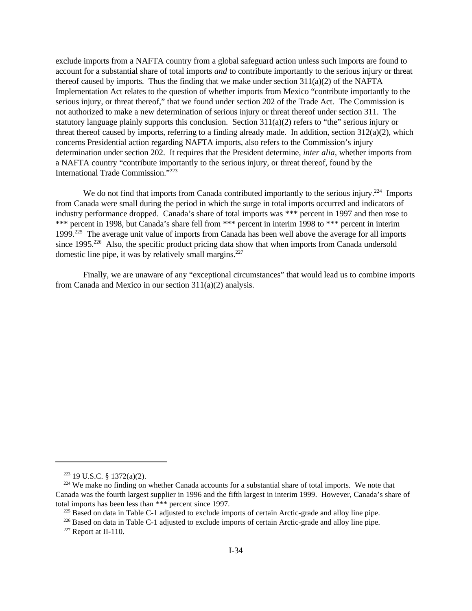exclude imports from a NAFTA country from a global safeguard action unless such imports are found to account for a substantial share of total imports *and* to contribute importantly to the serious injury or threat thereof caused by imports. Thus the finding that we make under section  $311(a)(2)$  of the NAFTA Implementation Act relates to the question of whether imports from Mexico "contribute importantly to the serious injury, or threat thereof," that we found under section 202 of the Trade Act. The Commission is not authorized to make a new determination of serious injury or threat thereof under section 311. The statutory language plainly supports this conclusion. Section  $311(a)(2)$  refers to "the" serious injury or threat thereof caused by imports, referring to a finding already made. In addition, section  $312(a)(2)$ , which concerns Presidential action regarding NAFTA imports, also refers to the Commission's injury determination under section 202. It requires that the President determine, *inter alia,* whether imports from a NAFTA country "contribute importantly to the serious injury, or threat thereof, found by the International Trade Commission."<sup>223</sup>

We do not find that imports from Canada contributed importantly to the serious injury.<sup>224</sup> Imports from Canada were small during the period in which the surge in total imports occurred and indicators of industry performance dropped. Canada's share of total imports was \*\*\* percent in 1997 and then rose to \*\*\* percent in 1998, but Canada's share fell from \*\*\* percent in interim 1998 to \*\*\* percent in interim 1999.<sup>225</sup> The average unit value of imports from Canada has been well above the average for all imports since 1995.<sup>226</sup> Also, the specific product pricing data show that when imports from Canada undersold domestic line pipe, it was by relatively small margins. $227$ 

Finally, we are unaware of any "exceptional circumstances" that would lead us to combine imports from Canada and Mexico in our section 311(a)(2) analysis.

 $223$  19 U.S.C. § 1372(a)(2).

<sup>&</sup>lt;sup>224</sup> We make no finding on whether Canada accounts for a substantial share of total imports. We note that Canada was the fourth largest supplier in 1996 and the fifth largest in interim 1999. However, Canada's share of total imports has been less than \*\*\* percent since 1997.

<sup>&</sup>lt;sup>225</sup> Based on data in Table C-1 adjusted to exclude imports of certain Arctic-grade and alloy line pipe.

<sup>&</sup>lt;sup>226</sup> Based on data in Table C-1 adjusted to exclude imports of certain Arctic-grade and alloy line pipe.  $227$  Report at II-110.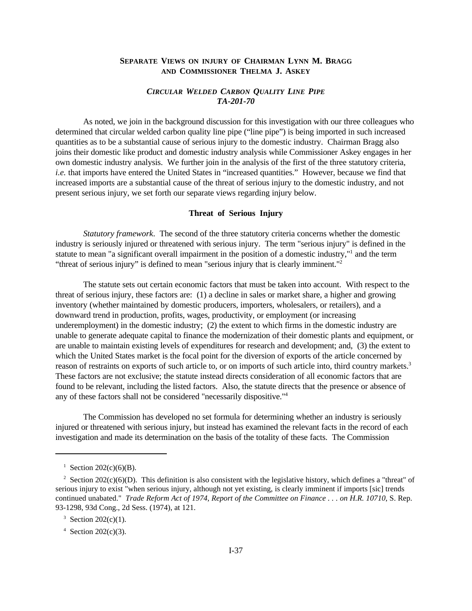# **SEPARATE VIEWS ON INJURY OF CHAIRMAN LYNN M. BRAGG AND COMMISSIONER THELMA J. ASKEY**

# *CIRCULAR WELDED CARBON QUALITY LINE PIPE TA-201-70*

As noted, we join in the background discussion for this investigation with our three colleagues who determined that circular welded carbon quality line pipe ("line pipe") is being imported in such increased quantities as to be a substantial cause of serious injury to the domestic industry. Chairman Bragg also joins their domestic like product and domestic industry analysis while Commissioner Askey engages in her own domestic industry analysis. We further join in the analysis of the first of the three statutory criteria, *i.e.* that imports have entered the United States in "increased quantities." However, because we find that increased imports are a substantial cause of the threat of serious injury to the domestic industry, and not present serious injury, we set forth our separate views regarding injury below.

#### **Threat of Serious Injury**

*Statutory framework*. The second of the three statutory criteria concerns whether the domestic industry is seriously injured or threatened with serious injury. The term "serious injury" is defined in the statute to mean "a significant overall impairment in the position of a domestic industry,"<sup>1</sup> and the term "threat of serious injury" is defined to mean "serious injury that is clearly imminent."<sup>2</sup>

The statute sets out certain economic factors that must be taken into account. With respect to the threat of serious injury, these factors are: (1) a decline in sales or market share, a higher and growing inventory (whether maintained by domestic producers, importers, wholesalers, or retailers), and a downward trend in production, profits, wages, productivity, or employment (or increasing underemployment) in the domestic industry; (2) the extent to which firms in the domestic industry are unable to generate adequate capital to finance the modernization of their domestic plants and equipment, or are unable to maintain existing levels of expenditures for research and development; and, (3) the extent to which the United States market is the focal point for the diversion of exports of the article concerned by reason of restraints on exports of such article to, or on imports of such article into, third country markets.<sup>3</sup> These factors are not exclusive; the statute instead directs consideration of all economic factors that are found to be relevant, including the listed factors. Also, the statute directs that the presence or absence of any of these factors shall not be considered "necessarily dispositive."<sup>4</sup>

The Commission has developed no set formula for determining whether an industry is seriously injured or threatened with serious injury, but instead has examined the relevant facts in the record of each investigation and made its determination on the basis of the totality of these facts. The Commission

<sup>&</sup>lt;sup>1</sup> Section 202(c)(6)(B).

<sup>&</sup>lt;sup>2</sup> Section 202(c)(6)(D). This definition is also consistent with the legislative history, which defines a "threat" of serious injury to exist "when serious injury, although not yet existing, is clearly imminent if imports [sic] trends continued unabated." *Trade Reform Act of 1974, Report of the Committee on Finance . . . on H.R. 10710*, S. Rep. 93-1298, 93d Cong., 2d Sess. (1974), at 121.

<sup>&</sup>lt;sup>3</sup> Section 202(c)(1).

<sup>4</sup> Section 202(c)(3).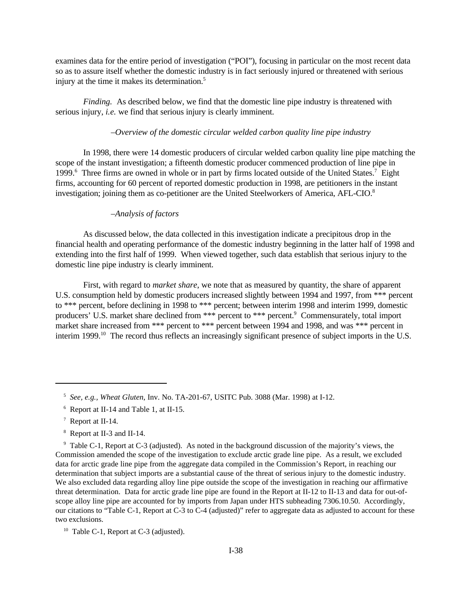examines data for the entire period of investigation ("POI"), focusing in particular on the most recent data so as to assure itself whether the domestic industry is in fact seriously injured or threatened with serious injury at the time it makes its determination.<sup>5</sup>

*Finding.* As described below, we find that the domestic line pipe industry is threatened with serious injury, *i.e.* we find that serious injury is clearly imminent.

# *–Overview of the domestic circular welded carbon quality line pipe industry*

In 1998, there were 14 domestic producers of circular welded carbon quality line pipe matching the scope of the instant investigation; a fifteenth domestic producer commenced production of line pipe in 1999.<sup>6</sup> Three firms are owned in whole or in part by firms located outside of the United States.<sup>7</sup> Eight firms, accounting for 60 percent of reported domestic production in 1998, are petitioners in the instant investigation; joining them as co-petitioner are the United Steelworkers of America, AFL-CIO.<sup>8</sup>

### *–Analysis of factors*

As discussed below, the data collected in this investigation indicate a precipitous drop in the financial health and operating performance of the domestic industry beginning in the latter half of 1998 and extending into the first half of 1999. When viewed together, such data establish that serious injury to the domestic line pipe industry is clearly imminent.

First, with regard to *market share*, we note that as measured by quantity, the share of apparent U.S. consumption held by domestic producers increased slightly between 1994 and 1997, from \*\*\* percent to \*\*\* percent, before declining in 1998 to \*\*\* percent; between interim 1998 and interim 1999, domestic producers' U.S. market share declined from \*\*\* percent to \*\*\* percent.<sup>9</sup> Commensurately, total import market share increased from \*\*\* percent to \*\*\* percent between 1994 and 1998, and was \*\*\* percent in interim 1999.<sup>10</sup> The record thus reflects an increasingly significant presence of subject imports in the U.S.

- <sup>7</sup> Report at II-14.
- 8 Report at II-3 and II-14.

<sup>5</sup> *See, e.g., Wheat Gluten*, Inv. No. TA-201-67, USITC Pub. 3088 (Mar. 1998) at I-12.

<sup>6</sup> Report at II-14 and Table 1, at II-15.

<sup>9</sup> Table C-1, Report at C-3 (adjusted). As noted in the background discussion of the majority's views, the Commission amended the scope of the investigation to exclude arctic grade line pipe. As a result, we excluded data for arctic grade line pipe from the aggregate data compiled in the Commission's Report, in reaching our determination that subject imports are a substantial cause of the threat of serious injury to the domestic industry. We also excluded data regarding alloy line pipe outside the scope of the investigation in reaching our affirmative threat determination. Data for arctic grade line pipe are found in the Report at II-12 to II-13 and data for out-ofscope alloy line pipe are accounted for by imports from Japan under HTS subheading 7306.10.50. Accordingly, our citations to "Table C-1, Report at C-3 to C-4 (adjusted)" refer to aggregate data as adjusted to account for these two exclusions.

<sup>&</sup>lt;sup>10</sup> Table C-1, Report at C-3 (adjusted).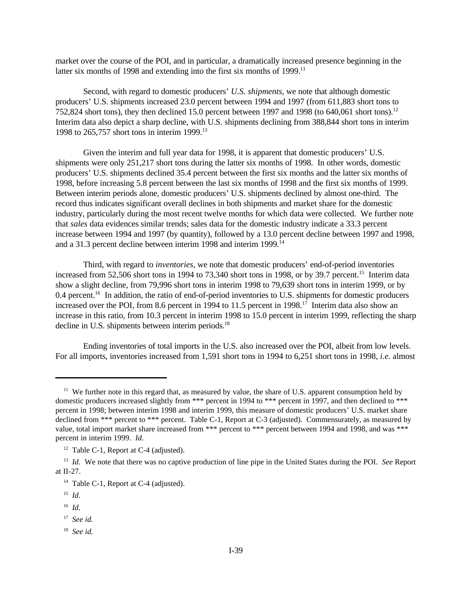market over the course of the POI, and in particular, a dramatically increased presence beginning in the latter six months of 1998 and extending into the first six months of 1999.<sup>11</sup>

Second, with regard to domestic producers' *U.S. shipments*, we note that although domestic producers' U.S. shipments increased 23.0 percent between 1994 and 1997 (from 611,883 short tons to 752,824 short tons), they then declined 15.0 percent between 1997 and 1998 (to 640,061 short tons).<sup>12</sup> Interim data also depict a sharp decline, with U.S. shipments declining from 388,844 short tons in interim 1998 to 265,757 short tons in interim 1999.<sup>13</sup>

Given the interim and full year data for 1998, it is apparent that domestic producers' U.S. shipments were only 251,217 short tons during the latter six months of 1998. In other words, domestic producers' U.S. shipments declined 35.4 percent between the first six months and the latter six months of 1998, before increasing 5.8 percent between the last six months of 1998 and the first six months of 1999. Between interim periods alone, domestic producers' U.S. shipments declined by almost one-third. The record thus indicates significant overall declines in both shipments and market share for the domestic industry, particularly during the most recent twelve months for which data were collected. We further note that *sales* data evidences similar trends; sales data for the domestic industry indicate a 33.3 percent increase between 1994 and 1997 (by quantity), followed by a 13.0 percent decline between 1997 and 1998, and a 31.3 percent decline between interim 1998 and interim 1999.<sup>14</sup>

Third, with regard to *inventories*, we note that domestic producers' end-of-period inventories increased from 52,506 short tons in 1994 to 73,340 short tons in 1998, or by 39.7 percent.<sup>15</sup> Interim data show a slight decline, from 79,996 short tons in interim 1998 to 79,639 short tons in interim 1999, or by 0.4 percent.<sup>16</sup> In addition, the ratio of end-of-period inventories to U.S. shipments for domestic producers increased over the POI, from 8.6 percent in 1994 to 11.5 percent in 1998.<sup>17</sup> Interim data also show an increase in this ratio, from 10.3 percent in interim 1998 to 15.0 percent in interim 1999, reflecting the sharp decline in U.S. shipments between interim periods.<sup>18</sup>

Ending inventories of total imports in the U.S. also increased over the POI, albeit from low levels. For all imports, inventories increased from 1,591 short tons in 1994 to 6,251 short tons in 1998, *i.e.* almost

18 *See id.*

<sup>&</sup>lt;sup>11</sup> We further note in this regard that, as measured by value, the share of U.S. apparent consumption held by domestic producers increased slightly from \*\*\* percent in 1994 to \*\*\* percent in 1997, and then declined to \*\*\* percent in 1998; between interim 1998 and interim 1999, this measure of domestic producers' U.S. market share declined from \*\*\* percent to \*\*\* percent. Table C-1, Report at C-3 (adjusted). Commensurately, as measured by value, total import market share increased from \*\*\* percent to \*\*\* percent between 1994 and 1998, and was \*\*\* percent in interim 1999. *Id.*

<sup>&</sup>lt;sup>12</sup> Table C-1, Report at C-4 (adjusted).

<sup>13</sup> *Id.* We note that there was no captive production of line pipe in the United States during the POI. *See* Report at II-27.

<sup>&</sup>lt;sup>14</sup> Table C-1, Report at C-4 (adjusted).

<sup>15</sup> *Id.*

<sup>16</sup> *Id.*

<sup>17</sup> *See id.*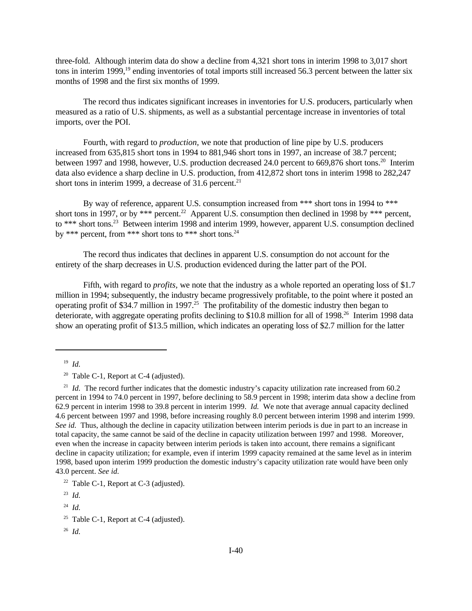three-fold. Although interim data do show a decline from 4,321 short tons in interim 1998 to 3,017 short tons in interim 1999,<sup>19</sup> ending inventories of total imports still increased 56.3 percent between the latter six months of 1998 and the first six months of 1999.

The record thus indicates significant increases in inventories for U.S. producers, particularly when measured as a ratio of U.S. shipments, as well as a substantial percentage increase in inventories of total imports, over the POI.

Fourth, with regard to *production,* we note that production of line pipe by U.S. producers increased from 635,815 short tons in 1994 to 881,946 short tons in 1997, an increase of 38.7 percent; between 1997 and 1998, however, U.S. production decreased 24.0 percent to 669,876 short tons.<sup>20</sup> Interim data also evidence a sharp decline in U.S. production, from 412,872 short tons in interim 1998 to 282,247 short tons in interim 1999, a decrease of 31.6 percent. $21$ 

By way of reference, apparent U.S. consumption increased from \*\*\* short tons in 1994 to \*\*\* short tons in 1997, or by \*\*\* percent.<sup>22</sup> Apparent U.S. consumption then declined in 1998 by \*\*\* percent, to \*\*\* short tons.<sup>23</sup> Between interim 1998 and interim 1999, however, apparent U.S. consumption declined by \*\*\* percent, from \*\*\* short tons to \*\*\* short tons.<sup>24</sup>

The record thus indicates that declines in apparent U.S. consumption do not account for the entirety of the sharp decreases in U.S. production evidenced during the latter part of the POI.

Fifth, with regard to *profits,* we note that the industry as a whole reported an operating loss of \$1.7 million in 1994; subsequently, the industry became progressively profitable, to the point where it posted an operating profit of \$34.7 million in 1997.<sup>25</sup> The profitability of the domestic industry then began to deteriorate, with aggregate operating profits declining to \$10.8 million for all of 1998.<sup>26</sup> Interim 1998 data show an operating profit of \$13.5 million, which indicates an operating loss of \$2.7 million for the latter

<sup>19</sup> *Id.*

<sup>&</sup>lt;sup>20</sup> Table C-1, Report at C-4 (adjusted).

<sup>&</sup>lt;sup>21</sup> *Id.* The record further indicates that the domestic industry's capacity utilization rate increased from 60.2 percent in 1994 to 74.0 percent in 1997, before declining to 58.9 percent in 1998; interim data show a decline from 62.9 percent in interim 1998 to 39.8 percent in interim 1999. *Id.* We note that average annual capacity declined 4.6 percent between 1997 and 1998, before increasing roughly 8.0 percent between interim 1998 and interim 1999. *See id.* Thus, although the decline in capacity utilization between interim periods is due in part to an increase in total capacity, the same cannot be said of the decline in capacity utilization between 1997 and 1998. Moreover, even when the increase in capacity between interim periods is taken into account, there remains a significant decline in capacity utilization; for example, even if interim 1999 capacity remained at the same level as in interim 1998, based upon interim 1999 production the domestic industry's capacity utilization rate would have been only 43.0 percent. *See id.*

<sup>&</sup>lt;sup>22</sup> Table C-1, Report at C-3 (adjusted).

<sup>23</sup> *Id.*

<sup>24</sup> *Id.*

<sup>&</sup>lt;sup>25</sup> Table C-1, Report at C-4 (adjusted).

<sup>26</sup> *Id.*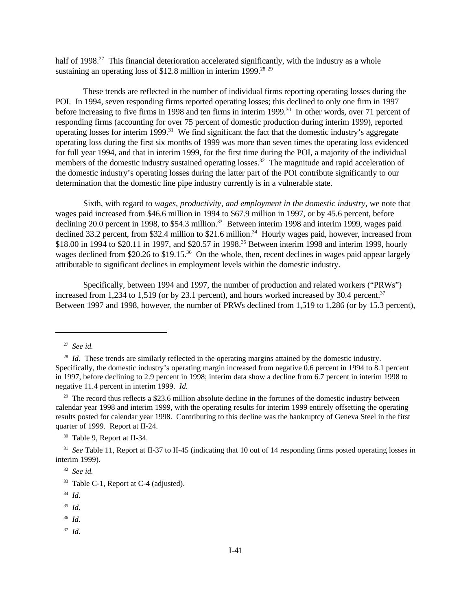half of 1998<sup>27</sup> This financial deterioration accelerated significantly, with the industry as a whole sustaining an operating loss of  $$12.8$  million in interim 1999.<sup>28 29</sup>

These trends are reflected in the number of individual firms reporting operating losses during the POI. In 1994, seven responding firms reported operating losses; this declined to only one firm in 1997 before increasing to five firms in 1998 and ten firms in interim 1999.<sup>30</sup> In other words, over 71 percent of responding firms (accounting for over 75 percent of domestic production during interim 1999), reported operating losses for interim  $1999$ <sup>31</sup> We find significant the fact that the domestic industry's aggregate operating loss during the first six months of 1999 was more than seven times the operating loss evidenced for full year 1994, and that in interim 1999, for the first time during the POI, a majority of the individual members of the domestic industry sustained operating losses.<sup>32</sup> The magnitude and rapid acceleration of the domestic industry's operating losses during the latter part of the POI contribute significantly to our determination that the domestic line pipe industry currently is in a vulnerable state.

Sixth, with regard to *wages, productivity, and employment in the domestic industry,* we note that wages paid increased from \$46.6 million in 1994 to \$67.9 million in 1997, or by 45.6 percent, before declining 20.0 percent in 1998, to \$54.3 million.<sup>33</sup> Between interim 1998 and interim 1999, wages paid declined 33.2 percent, from \$32.4 million to \$21.6 million.<sup>34</sup> Hourly wages paid, however, increased from \$18.00 in 1994 to \$20.11 in 1997, and \$20.57 in 1998.<sup>35</sup> Between interim 1998 and interim 1999, hourly wages declined from \$20.26 to \$19.15.<sup>36</sup> On the whole, then, recent declines in wages paid appear largely attributable to significant declines in employment levels within the domestic industry.

Specifically, between 1994 and 1997, the number of production and related workers ("PRWs") increased from 1,234 to 1,519 (or by 23.1 percent), and hours worked increased by 30.4 percent.<sup>37</sup> Between 1997 and 1998, however, the number of PRWs declined from 1,519 to 1,286 (or by 15.3 percent),

<sup>30</sup> Table 9, Report at II-34.

- <sup>36</sup> *Id.*
- <sup>37</sup> *Id.*

<sup>27</sup> *See id.*

<sup>&</sup>lt;sup>28</sup> *Id.* These trends are similarly reflected in the operating margins attained by the domestic industry. Specifically, the domestic industry's operating margin increased from negative 0.6 percent in 1994 to 8.1 percent in 1997, before declining to 2.9 percent in 1998; interim data show a decline from 6.7 percent in interim 1998 to negative 11.4 percent in interim 1999. *Id.*

 $29$  The record thus reflects a \$23.6 million absolute decline in the fortunes of the domestic industry between calendar year 1998 and interim 1999, with the operating results for interim 1999 entirely offsetting the operating results posted for calendar year 1998. Contributing to this decline was the bankruptcy of Geneva Steel in the first quarter of 1999. Report at II-24.

<sup>31</sup> *See* Table 11, Report at II-37 to II-45 (indicating that 10 out of 14 responding firms posted operating losses in interim 1999).

<sup>32</sup> *See id.*

<sup>33</sup> Table C-1, Report at C-4 (adjusted).

<sup>34</sup> *Id.*

<sup>35</sup> *Id.*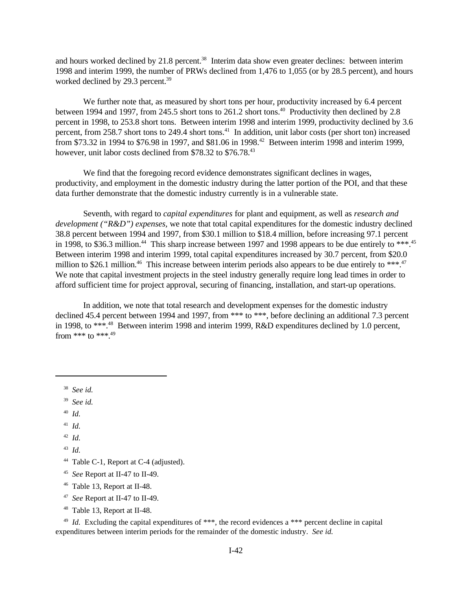and hours worked declined by 21.8 percent.<sup>38</sup> Interim data show even greater declines: between interim 1998 and interim 1999, the number of PRWs declined from 1,476 to 1,055 (or by 28.5 percent), and hours worked declined by 29.3 percent.<sup>39</sup>

We further note that, as measured by short tons per hour, productivity increased by 6.4 percent between 1994 and 1997, from 245.5 short tons to 261.2 short tons.<sup>40</sup> Productivity then declined by 2.8 percent in 1998, to 253.8 short tons. Between interim 1998 and interim 1999, productivity declined by 3.6 percent, from 258.7 short tons to 249.4 short tons.<sup>41</sup> In addition, unit labor costs (per short ton) increased from \$73.32 in 1994 to \$76.98 in 1997, and \$81.06 in 1998.<sup>42</sup> Between interim 1998 and interim 1999, however, unit labor costs declined from \$78.32 to \$76.78.<sup>43</sup>

We find that the foregoing record evidence demonstrates significant declines in wages, productivity, and employment in the domestic industry during the latter portion of the POI, and that these data further demonstrate that the domestic industry currently is in a vulnerable state.

Seventh, with regard to *capital expenditures* for plant and equipment, as well as *research and development ("R&D") expenses,* we note that total capital expenditures for the domestic industry declined 38.8 percent between 1994 and 1997, from \$30.1 million to \$18.4 million, before increasing 97.1 percent in 1998, to \$36.3 million.<sup>44</sup> This sharp increase between 1997 and 1998 appears to be due entirely to \*\*\*.<sup>45</sup> Between interim 1998 and interim 1999, total capital expenditures increased by 30.7 percent, from \$20.0 million to \$26.1 million.<sup>46</sup> This increase between interim periods also appears to be due entirely to \*\*\*.<sup>47</sup> We note that capital investment projects in the steel industry generally require long lead times in order to afford sufficient time for project approval, securing of financing, installation, and start-up operations.

In addition, we note that total research and development expenses for the domestic industry declined 45.4 percent between 1994 and 1997, from \*\*\* to \*\*\*, before declining an additional 7.3 percent in 1998, to \*\*\*.<sup>48</sup> Between interim 1998 and interim 1999, R&D expenditures declined by 1.0 percent, from \*\*\* to \*\*\*  $49$ 

<sup>38</sup> *See id.*

<sup>39</sup> *See id.*

<sup>40</sup> *Id.*

<sup>41</sup> *Id.*

<sup>42</sup> *Id.*

<sup>43</sup> *Id.*

<sup>44</sup> Table C-1, Report at C-4 (adjusted).

- <sup>46</sup> Table 13, Report at II-48.
- 47 *See* Report at II-47 to II-49.
- <sup>48</sup> Table 13, Report at II-48.

<sup>49</sup> *Id.* Excluding the capital expenditures of \*\*\*, the record evidences a \*\*\* percent decline in capital expenditures between interim periods for the remainder of the domestic industry. *See id.*

<sup>45</sup> *See* Report at II-47 to II-49.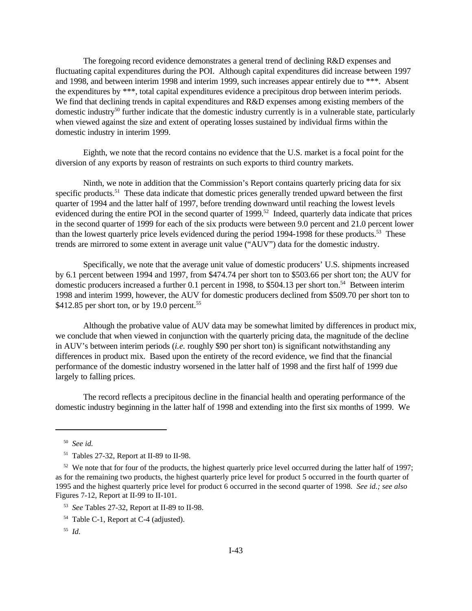The foregoing record evidence demonstrates a general trend of declining R&D expenses and fluctuating capital expenditures during the POI. Although capital expenditures did increase between 1997 and 1998, and between interim 1998 and interim 1999, such increases appear entirely due to \*\*\*. Absent the expenditures by \*\*\*, total capital expenditures evidence a precipitous drop between interim periods. We find that declining trends in capital expenditures and R&D expenses among existing members of the domestic industry<sup>50</sup> further indicate that the domestic industry currently is in a vulnerable state, particularly when viewed against the size and extent of operating losses sustained by individual firms within the domestic industry in interim 1999.

Eighth, we note that the record contains no evidence that the U.S. market is a focal point for the diversion of any exports by reason of restraints on such exports to third country markets.

Ninth, we note in addition that the Commission's Report contains quarterly pricing data for six specific products.<sup>51</sup> These data indicate that domestic prices generally trended upward between the first quarter of 1994 and the latter half of 1997, before trending downward until reaching the lowest levels evidenced during the entire POI in the second quarter of 1999.<sup>52</sup> Indeed, quarterly data indicate that prices in the second quarter of 1999 for each of the six products were between 9.0 percent and 21.0 percent lower than the lowest quarterly price levels evidenced during the period 1994-1998 for these products.<sup>53</sup> These trends are mirrored to some extent in average unit value ("AUV") data for the domestic industry.

Specifically, we note that the average unit value of domestic producers' U.S. shipments increased by 6.1 percent between 1994 and 1997, from \$474.74 per short ton to \$503.66 per short ton; the AUV for domestic producers increased a further 0.1 percent in 1998, to \$504.13 per short ton.<sup>54</sup> Between interim 1998 and interim 1999, however, the AUV for domestic producers declined from \$509.70 per short ton to \$412.85 per short ton, or by 19.0 percent.<sup>55</sup>

Although the probative value of AUV data may be somewhat limited by differences in product mix, we conclude that when viewed in conjunction with the quarterly pricing data, the magnitude of the decline in AUV's between interim periods (*i.e.* roughly \$90 per short ton) is significant notwithstanding any differences in product mix. Based upon the entirety of the record evidence, we find that the financial performance of the domestic industry worsened in the latter half of 1998 and the first half of 1999 due largely to falling prices.

The record reflects a precipitous decline in the financial health and operating performance of the domestic industry beginning in the latter half of 1998 and extending into the first six months of 1999. We

<sup>50</sup> *See id.*

<sup>51</sup> Tables 27-32, Report at II-89 to II-98.

 $52$  We note that for four of the products, the highest quarterly price level occurred during the latter half of 1997; as for the remaining two products, the highest quarterly price level for product 5 occurred in the fourth quarter of 1995 and the highest quarterly price level for product 6 occurred in the second quarter of 1998. *See id.; see also* Figures 7-12, Report at II-99 to II-101.

<sup>53</sup> *See* Tables 27-32, Report at II-89 to II-98.

<sup>54</sup> Table C-1, Report at C-4 (adjusted).

<sup>55</sup> *Id.*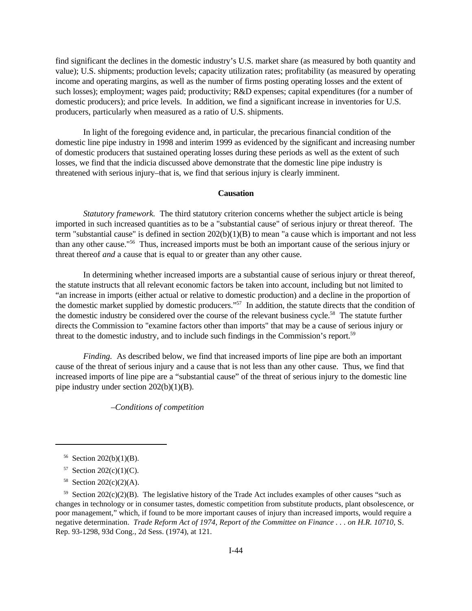find significant the declines in the domestic industry's U.S. market share (as measured by both quantity and value); U.S. shipments; production levels; capacity utilization rates; profitability (as measured by operating income and operating margins, as well as the number of firms posting operating losses and the extent of such losses); employment; wages paid; productivity; R&D expenses; capital expenditures (for a number of domestic producers); and price levels. In addition, we find a significant increase in inventories for U.S. producers, particularly when measured as a ratio of U.S. shipments.

In light of the foregoing evidence and, in particular, the precarious financial condition of the domestic line pipe industry in 1998 and interim 1999 as evidenced by the significant and increasing number of domestic producers that sustained operating losses during these periods as well as the extent of such losses, we find that the indicia discussed above demonstrate that the domestic line pipe industry is threatened with serious injury–that is, we find that serious injury is clearly imminent.

## **Causation**

*Statutory framework.* The third statutory criterion concerns whether the subject article is being imported in such increased quantities as to be a "substantial cause" of serious injury or threat thereof. The term "substantial cause" is defined in section  $202(b)(1)(B)$  to mean "a cause which is important and not less than any other cause."<sup>56</sup> Thus, increased imports must be both an important cause of the serious injury or threat thereof *and* a cause that is equal to or greater than any other cause.

In determining whether increased imports are a substantial cause of serious injury or threat thereof, the statute instructs that all relevant economic factors be taken into account, including but not limited to "an increase in imports (either actual or relative to domestic production) and a decline in the proportion of the domestic market supplied by domestic producers."<sup>57</sup> In addition, the statute directs that the condition of the domestic industry be considered over the course of the relevant business cycle.<sup>58</sup> The statute further directs the Commission to "examine factors other than imports" that may be a cause of serious injury or threat to the domestic industry, and to include such findings in the Commission's report.<sup>59</sup>

*Finding.* As described below, we find that increased imports of line pipe are both an important cause of the threat of serious injury and a cause that is not less than any other cause. Thus, we find that increased imports of line pipe are a "substantial cause" of the threat of serious injury to the domestic line pipe industry under section 202(b)(1)(B).

*–Conditions of competition*

- 57 Section 202(c)(1)(C).
- 58 Section 202(c)(2)(A).

 $56$  Section 202(b)(1)(B).

 $59$  Section 202(c)(2)(B). The legislative history of the Trade Act includes examples of other causes "such as changes in technology or in consumer tastes, domestic competition from substitute products, plant obsolescence, or poor management," which, if found to be more important causes of injury than increased imports, would require a negative determination. *Trade Reform Act of 1974, Report of the Committee on Finance . . . on H.R. 10710*, S. Rep. 93-1298, 93d Cong., 2d Sess. (1974), at 121.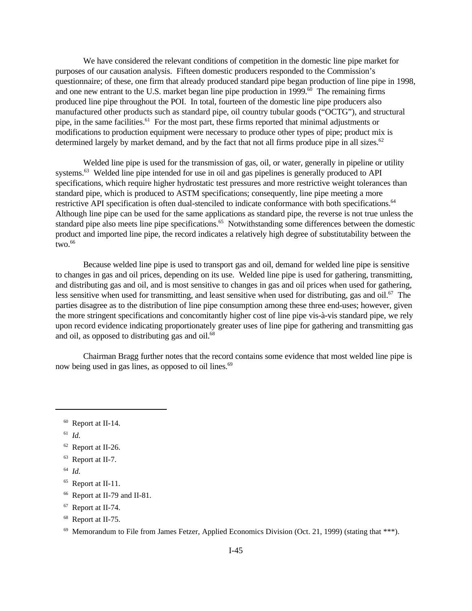We have considered the relevant conditions of competition in the domestic line pipe market for purposes of our causation analysis. Fifteen domestic producers responded to the Commission's questionnaire; of these, one firm that already produced standard pipe began production of line pipe in 1998, and one new entrant to the U.S. market began line pipe production in 1999. $^{60}$  The remaining firms produced line pipe throughout the POI. In total, fourteen of the domestic line pipe producers also manufactured other products such as standard pipe, oil country tubular goods ("OCTG"), and structural pipe, in the same facilities.<sup>61</sup> For the most part, these firms reported that minimal adjustments or modifications to production equipment were necessary to produce other types of pipe; product mix is determined largely by market demand, and by the fact that not all firms produce pipe in all sizes.<sup>62</sup>

Welded line pipe is used for the transmission of gas, oil, or water, generally in pipeline or utility systems.<sup>63</sup> Welded line pipe intended for use in oil and gas pipelines is generally produced to API specifications, which require higher hydrostatic test pressures and more restrictive weight tolerances than standard pipe, which is produced to ASTM specifications; consequently, line pipe meeting a more restrictive API specification is often dual-stenciled to indicate conformance with both specifications.<sup>64</sup> Although line pipe can be used for the same applications as standard pipe, the reverse is not true unless the standard pipe also meets line pipe specifications.<sup>65</sup> Notwithstanding some differences between the domestic product and imported line pipe, the record indicates a relatively high degree of substitutability between the  $two.<sub>66</sub>$ 

Because welded line pipe is used to transport gas and oil, demand for welded line pipe is sensitive to changes in gas and oil prices, depending on its use. Welded line pipe is used for gathering, transmitting, and distributing gas and oil, and is most sensitive to changes in gas and oil prices when used for gathering, less sensitive when used for transmitting, and least sensitive when used for distributing, gas and oil.<sup>67</sup> The parties disagree as to the distribution of line pipe consumption among these three end-uses; however, given the more stringent specifications and concomitantly higher cost of line pipe vis-à-vis standard pipe, we rely upon record evidence indicating proportionately greater uses of line pipe for gathering and transmitting gas and oil, as opposed to distributing gas and oil. $^{68}$ 

Chairman Bragg further notes that the record contains some evidence that most welded line pipe is now being used in gas lines, as opposed to oil lines.<sup>69</sup>

61 *Id.*

64 *Id.*

<sup>60</sup> Report at II-14.

<sup>62</sup> Report at II-26.

<sup>63</sup> Report at II-7.

<sup>&</sup>lt;sup>65</sup> Report at II-11.

<sup>66</sup> Report at II-79 and II-81.

<sup>67</sup> Report at II-74.

<sup>68</sup> Report at II-75.

 $69$  Memorandum to File from James Fetzer, Applied Economics Division (Oct. 21, 1999) (stating that \*\*\*).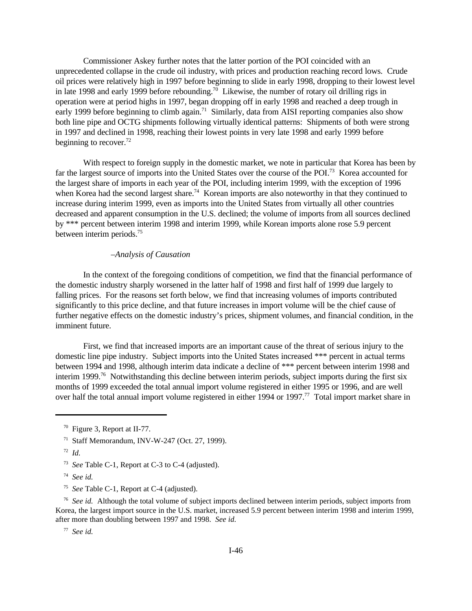Commissioner Askey further notes that the latter portion of the POI coincided with an unprecedented collapse in the crude oil industry, with prices and production reaching record lows. Crude oil prices were relatively high in 1997 before beginning to slide in early 1998, dropping to their lowest level in late 1998 and early 1999 before rebounding.<sup>70</sup> Likewise, the number of rotary oil drilling rigs in operation were at period highs in 1997, began dropping off in early 1998 and reached a deep trough in early 1999 before beginning to climb again.<sup>71</sup> Similarly, data from AISI reporting companies also show both line pipe and OCTG shipments following virtually identical patterns: Shipments of both were strong in 1997 and declined in 1998, reaching their lowest points in very late 1998 and early 1999 before beginning to recover.<sup>72</sup>

With respect to foreign supply in the domestic market, we note in particular that Korea has been by far the largest source of imports into the United States over the course of the POI.<sup>73</sup> Korea accounted for the largest share of imports in each year of the POI, including interim 1999, with the exception of 1996 when Korea had the second largest share.<sup>74</sup> Korean imports are also noteworthy in that they continued to increase during interim 1999, even as imports into the United States from virtually all other countries decreased and apparent consumption in the U.S. declined; the volume of imports from all sources declined by \*\*\* percent between interim 1998 and interim 1999, while Korean imports alone rose 5.9 percent between interim periods.<sup>75</sup>

# *–Analysis of Causation*

In the context of the foregoing conditions of competition, we find that the financial performance of the domestic industry sharply worsened in the latter half of 1998 and first half of 1999 due largely to falling prices. For the reasons set forth below, we find that increasing volumes of imports contributed significantly to this price decline, and that future increases in import volume will be the chief cause of further negative effects on the domestic industry's prices, shipment volumes, and financial condition, in the imminent future.

First, we find that increased imports are an important cause of the threat of serious injury to the domestic line pipe industry. Subject imports into the United States increased \*\*\* percent in actual terms between 1994 and 1998, although interim data indicate a decline of \*\*\* percent between interim 1998 and interim 1999.<sup>76</sup> Notwithstanding this decline between interim periods, subject imports during the first six months of 1999 exceeded the total annual import volume registered in either 1995 or 1996, and are well over half the total annual import volume registered in either 1994 or 1997.<sup>77</sup> Total import market share in

- <sup>71</sup> Staff Memorandum, INV-W-247 (Oct. 27, 1999).
- 72 *Id.*
- 73 *See* Table C-1, Report at C-3 to C-4 (adjusted).
- 74 *See id.*
- 75 *See* Table C-1, Report at C-4 (adjusted).

<sup>76</sup> See id. Although the total volume of subject imports declined between interim periods, subject imports from Korea, the largest import source in the U.S. market, increased 5.9 percent between interim 1998 and interim 1999, after more than doubling between 1997 and 1998. *See id.*

77 *See id.*

<sup>70</sup> Figure 3, Report at II-77.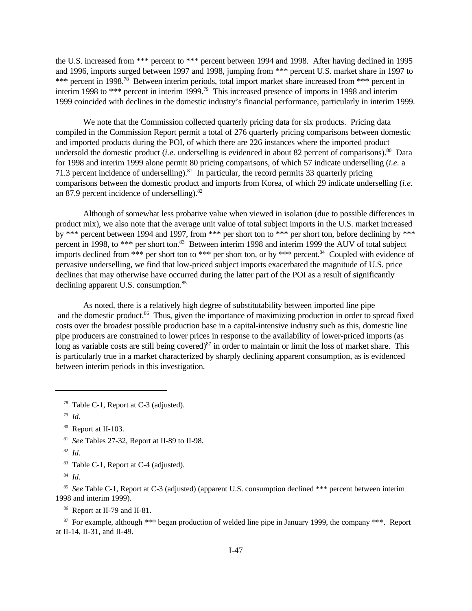the U.S. increased from \*\*\* percent to \*\*\* percent between 1994 and 1998. After having declined in 1995 and 1996, imports surged between 1997 and 1998, jumping from \*\*\* percent U.S. market share in 1997 to \*\*\* percent in 1998.<sup>78</sup> Between interim periods, total import market share increased from \*\*\* percent in interim 1998 to \*\*\* percent in interim 1999.<sup>79</sup> This increased presence of imports in 1998 and interim 1999 coincided with declines in the domestic industry's financial performance, particularly in interim 1999.

We note that the Commission collected quarterly pricing data for six products. Pricing data compiled in the Commission Report permit a total of 276 quarterly pricing comparisons between domestic and imported products during the POI, of which there are 226 instances where the imported product undersold the domestic product *(i.e.* underselling is evidenced in about 82 percent of comparisons).<sup>80</sup> Data for 1998 and interim 1999 alone permit 80 pricing comparisons, of which 57 indicate underselling (*i.e.* a 71.3 percent incidence of underselling).<sup>81</sup> In particular, the record permits 33 quarterly pricing comparisons between the domestic product and imports from Korea, of which 29 indicate underselling (*i.e.* an 87.9 percent incidence of underselling). $82$ 

Although of somewhat less probative value when viewed in isolation (due to possible differences in product mix), we also note that the average unit value of total subject imports in the U.S. market increased by \*\*\* percent between 1994 and 1997, from \*\*\* per short ton to \*\*\* per short ton, before declining by \*\*\* percent in 1998, to \*\*\* per short ton.<sup>83</sup> Between interim 1998 and interim 1999 the AUV of total subject imports declined from \*\*\* per short ton to \*\*\* per short ton, or by \*\*\* percent.<sup>84</sup> Coupled with evidence of pervasive underselling, we find that low-priced subject imports exacerbated the magnitude of U.S. price declines that may otherwise have occurred during the latter part of the POI as a result of significantly declining apparent U.S. consumption.<sup>85</sup>

As noted, there is a relatively high degree of substitutability between imported line pipe and the domestic product.<sup>86</sup> Thus, given the importance of maximizing production in order to spread fixed costs over the broadest possible production base in a capital-intensive industry such as this, domestic line pipe producers are constrained to lower prices in response to the availability of lower-priced imports (as long as variable costs are still being covered)<sup>87</sup> in order to maintain or limit the loss of market share. This is particularly true in a market characterized by sharply declining apparent consumption, as is evidenced between interim periods in this investigation.

79 *Id.*

84 *Id.*

85 *See* Table C-1, Report at C-3 (adjusted) (apparent U.S. consumption declined \*\*\* percent between interim 1998 and interim 1999).

<sup>86</sup> Report at II-79 and II-81.

<sup>87</sup> For example, although \*\*\* began production of welded line pipe in January 1999, the company \*\*\*. Report at II-14, II-31, and II-49.

<sup>78</sup> Table C-1, Report at C-3 (adjusted).

<sup>80</sup> Report at II-103.

<sup>81</sup> *See* Tables 27-32, Report at II-89 to II-98.

<sup>82</sup> *Id.*

<sup>83</sup> Table C-1, Report at C-4 (adjusted).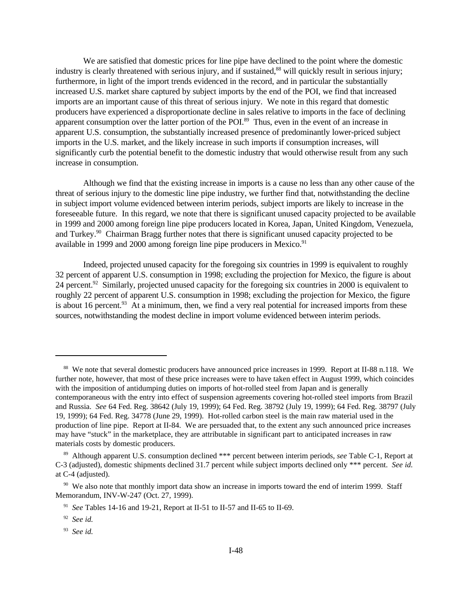We are satisfied that domestic prices for line pipe have declined to the point where the domestic industry is clearly threatened with serious injury, and if sustained,<sup>88</sup> will quickly result in serious injury; furthermore, in light of the import trends evidenced in the record, and in particular the substantially increased U.S. market share captured by subject imports by the end of the POI, we find that increased imports are an important cause of this threat of serious injury. We note in this regard that domestic producers have experienced a disproportionate decline in sales relative to imports in the face of declining apparent consumption over the latter portion of the POI.<sup>89</sup> Thus, even in the event of an increase in apparent U.S. consumption, the substantially increased presence of predominantly lower-priced subject imports in the U.S. market, and the likely increase in such imports if consumption increases, will significantly curb the potential benefit to the domestic industry that would otherwise result from any such increase in consumption.

Although we find that the existing increase in imports is a cause no less than any other cause of the threat of serious injury to the domestic line pipe industry, we further find that, notwithstanding the decline in subject import volume evidenced between interim periods, subject imports are likely to increase in the foreseeable future. In this regard, we note that there is significant unused capacity projected to be available in 1999 and 2000 among foreign line pipe producers located in Korea, Japan, United Kingdom, Venezuela, and Turkey.<sup>90</sup> Chairman Bragg further notes that there is significant unused capacity projected to be available in 1999 and 2000 among foreign line pipe producers in Mexico.<sup>91</sup>

Indeed, projected unused capacity for the foregoing six countries in 1999 is equivalent to roughly 32 percent of apparent U.S. consumption in 1998; excluding the projection for Mexico, the figure is about 24 percent.<sup>92</sup> Similarly, projected unused capacity for the foregoing six countries in 2000 is equivalent to roughly 22 percent of apparent U.S. consumption in 1998; excluding the projection for Mexico, the figure is about 16 percent. $93$  At a minimum, then, we find a very real potential for increased imports from these sources, notwithstanding the modest decline in import volume evidenced between interim periods.

<sup>&</sup>lt;sup>88</sup> We note that several domestic producers have announced price increases in 1999. Report at II-88 n.118. We further note, however, that most of these price increases were to have taken effect in August 1999, which coincides with the imposition of antidumping duties on imports of hot-rolled steel from Japan and is generally contemporaneous with the entry into effect of suspension agreements covering hot-rolled steel imports from Brazil and Russia. *See* 64 Fed. Reg. 38642 (July 19, 1999); 64 Fed. Reg. 38792 (July 19, 1999); 64 Fed. Reg. 38797 (July 19, 1999); 64 Fed. Reg. 34778 (June 29, 1999). Hot-rolled carbon steel is the main raw material used in the production of line pipe. Report at II-84. We are persuaded that, to the extent any such announced price increases may have "stuck" in the marketplace, they are attributable in significant part to anticipated increases in raw materials costs by domestic producers.

<sup>89</sup> Although apparent U.S. consumption declined \*\*\* percent between interim periods, *see* Table C-1, Report at C-3 (adjusted), domestic shipments declined 31.7 percent while subject imports declined only \*\*\* percent. *See id.* at C-4 (adjusted).

<sup>&</sup>lt;sup>90</sup> We also note that monthly import data show an increase in imports toward the end of interim 1999. Staff Memorandum, INV-W-247 (Oct. 27, 1999).

<sup>91</sup> *See* Tables 14-16 and 19-21, Report at II-51 to II-57 and II-65 to II-69.

<sup>92</sup> *See id.*

<sup>93</sup> *See id.*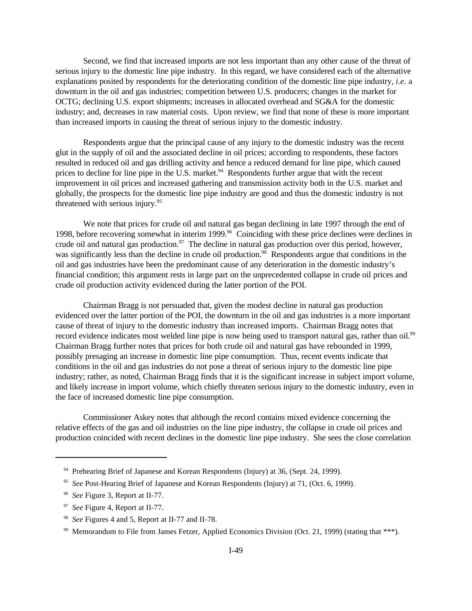Second, we find that increased imports are not less important than any other cause of the threat of serious injury to the domestic line pipe industry. In this regard, we have considered each of the alternative explanations posited by respondents for the deteriorating condition of the domestic line pipe industry, *i.e.* a downturn in the oil and gas industries; competition between U.S. producers; changes in the market for OCTG; declining U.S. export shipments; increases in allocated overhead and SG&A for the domestic industry; and, decreases in raw material costs. Upon review, we find that none of these is more important than increased imports in causing the threat of serious injury to the domestic industry.

Respondents argue that the principal cause of any injury to the domestic industry was the recent glut in the supply of oil and the associated decline in oil prices; according to respondents, these factors resulted in reduced oil and gas drilling activity and hence a reduced demand for line pipe, which caused prices to decline for line pipe in the U.S. market.<sup>94</sup> Respondents further argue that with the recent improvement in oil prices and increased gathering and transmission activity both in the U.S. market and globally, the prospects for the domestic line pipe industry are good and thus the domestic industry is not threatened with serious injury.<sup>95</sup>

We note that prices for crude oil and natural gas began declining in late 1997 through the end of 1998, before recovering somewhat in interim 1999.<sup>96</sup> Coinciding with these price declines were declines in crude oil and natural gas production.<sup>97</sup> The decline in natural gas production over this period, however, was significantly less than the decline in crude oil production.<sup>98</sup> Respondents argue that conditions in the oil and gas industries have been the predominant cause of any deterioration in the domestic industry's financial condition; this argument rests in large part on the unprecedented collapse in crude oil prices and crude oil production activity evidenced during the latter portion of the POI.

Chairman Bragg is not persuaded that, given the modest decline in natural gas production evidenced over the latter portion of the POI, the downturn in the oil and gas industries is a more important cause of threat of injury to the domestic industry than increased imports. Chairman Bragg notes that record evidence indicates most welded line pipe is now being used to transport natural gas, rather than oil.<sup>99</sup> Chairman Bragg further notes that prices for both crude oil and natural gas have rebounded in 1999, possibly presaging an increase in domestic line pipe consumption. Thus, recent events indicate that conditions in the oil and gas industries do not pose a threat of serious injury to the domestic line pipe industry; rather, as noted, Chairman Bragg finds that it is the significant increase in subject import volume, and likely increase in import volume, which chiefly threaten serious injury to the domestic industry, even in the face of increased domestic line pipe consumption.

Commissioner Askey notes that although the record contains mixed evidence concerning the relative effects of the gas and oil industries on the line pipe industry, the collapse in crude oil prices and production coincided with recent declines in the domestic line pipe industry. She sees the close correlation

<sup>&</sup>lt;sup>94</sup> Prehearing Brief of Japanese and Korean Respondents (Injury) at 36, (Sept. 24, 1999).

<sup>95</sup> *See* Post-Hearing Brief of Japanese and Korean Respondents (Injury) at 71, (Oct. 6, 1999).

<sup>96</sup> *See* Figure 3, Report at II-77.

<sup>97</sup> *See* Figure 4, Report at II-77.

<sup>98</sup> *See* Figures 4 and 5, Report at II-77 and II-78.

<sup>&</sup>lt;sup>99</sup> Memorandum to File from James Fetzer, Applied Economics Division (Oct. 21, 1999) (stating that \*\*\*).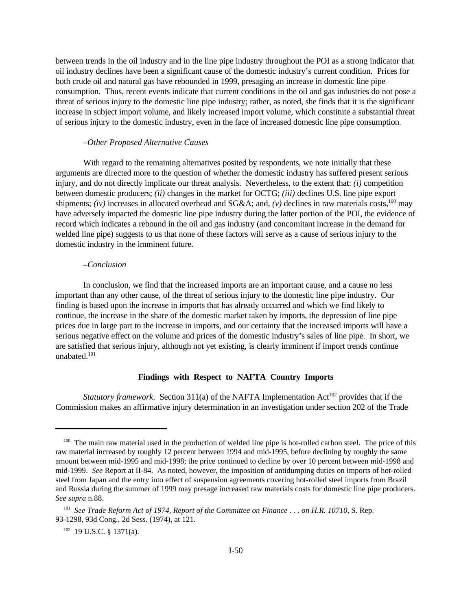between trends in the oil industry and in the line pipe industry throughout the POI as a strong indicator that oil industry declines have been a significant cause of the domestic industry's current condition. Prices for both crude oil and natural gas have rebounded in 1999, presaging an increase in domestic line pipe consumption. Thus, recent events indicate that current conditions in the oil and gas industries do not pose a threat of serious injury to the domestic line pipe industry; rather, as noted, she finds that it is the significant increase in subject import volume, and likely increased import volume, which constitute a substantial threat of serious injury to the domestic industry, even in the face of increased domestic line pipe consumption.

### *–Other Proposed Alternative Causes*

With regard to the remaining alternatives posited by respondents, we note initially that these arguments are directed more to the question of whether the domestic industry has suffered present serious injury, and do not directly implicate our threat analysis. Nevertheless, to the extent that: *(i)* competition between domestic producers; *(ii)* changes in the market for OCTG; *(iii)* declines U.S. line pipe export shipments; *(iv)* increases in allocated overhead and SG&A; and,  $(v)$  declines in raw materials costs,<sup>100</sup> may have adversely impacted the domestic line pipe industry during the latter portion of the POI, the evidence of record which indicates a rebound in the oil and gas industry (and concomitant increase in the demand for welded line pipe) suggests to us that none of these factors will serve as a cause of serious injury to the domestic industry in the imminent future.

## *–Conclusion*

In conclusion, we find that the increased imports are an important cause, and a cause no less important than any other cause, of the threat of serious injury to the domestic line pipe industry. Our finding is based upon the increase in imports that has already occurred and which we find likely to continue, the increase in the share of the domestic market taken by imports, the depression of line pipe prices due in large part to the increase in imports, and our certainty that the increased imports will have a serious negative effect on the volume and prices of the domestic industry's sales of line pipe. In short, we are satisfied that serious injury, although not yet existing, is clearly imminent if import trends continue unabated.<sup>101</sup>

# **Findings with Respect to NAFTA Country Imports**

*Statutory framework.* Section 311(a) of the NAFTA Implementation Act<sup>102</sup> provides that if the Commission makes an affirmative injury determination in an investigation under section 202 of the Trade

<sup>&</sup>lt;sup>100</sup> The main raw material used in the production of welded line pipe is hot-rolled carbon steel. The price of this raw material increased by roughly 12 percent between 1994 and mid-1995, before declining by roughly the same amount between mid-1995 and mid-1998; the price continued to decline by over 10 percent between mid-1998 and mid-1999. *See* Report at II-84. As noted, however, the imposition of antidumping duties on imports of hot-rolled steel from Japan and the entry into effect of suspension agreements covering hot-rolled steel imports from Brazil and Russia during the summer of 1999 may presage increased raw materials costs for domestic line pipe producers. *See supra* n.88.

<sup>101</sup> *See Trade Reform Act of 1974, Report of the Committee on Finance . . . on H.R. 10710*, S. Rep. 93-1298, 93d Cong., 2d Sess. (1974), at 121.

 $102$  19 U.S.C. § 1371(a).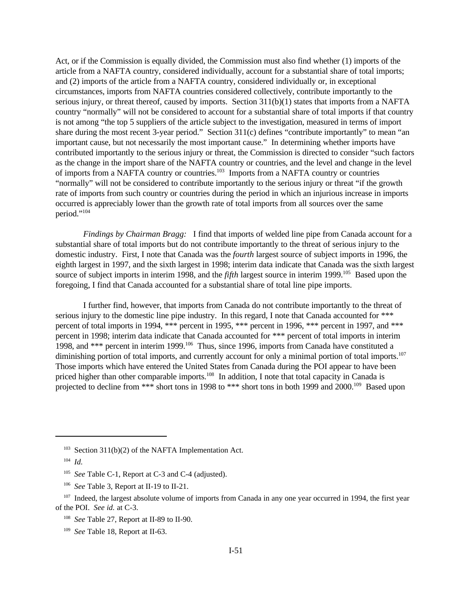Act, or if the Commission is equally divided, the Commission must also find whether (1) imports of the article from a NAFTA country, considered individually, account for a substantial share of total imports; and (2) imports of the article from a NAFTA country, considered individually or, in exceptional circumstances, imports from NAFTA countries considered collectively, contribute importantly to the serious injury, or threat thereof, caused by imports. Section 311(b)(1) states that imports from a NAFTA country "normally" will not be considered to account for a substantial share of total imports if that country is not among "the top 5 suppliers of the article subject to the investigation, measured in terms of import share during the most recent 3-year period." Section 311(c) defines "contribute importantly" to mean "an important cause, but not necessarily the most important cause." In determining whether imports have contributed importantly to the serious injury or threat, the Commission is directed to consider "such factors as the change in the import share of the NAFTA country or countries, and the level and change in the level of imports from a NAFTA country or countries.<sup>103</sup> Imports from a NAFTA country or countries "normally" will not be considered to contribute importantly to the serious injury or threat "if the growth rate of imports from such country or countries during the period in which an injurious increase in imports occurred is appreciably lower than the growth rate of total imports from all sources over the same period."<sup>104</sup>

*Findings by Chairman Bragg:* I find that imports of welded line pipe from Canada account for a substantial share of total imports but do not contribute importantly to the threat of serious injury to the domestic industry. First, I note that Canada was the *fourth* largest source of subject imports in 1996, the eighth largest in 1997, and the sixth largest in 1998; interim data indicate that Canada was the sixth largest source of subject imports in interim 1998, and the *fifth* largest source in interim 1999.<sup>105</sup> Based upon the foregoing, I find that Canada accounted for a substantial share of total line pipe imports.

I further find, however, that imports from Canada do not contribute importantly to the threat of serious injury to the domestic line pipe industry. In this regard, I note that Canada accounted for \*\*\* percent of total imports in 1994, \*\*\* percent in 1995, \*\*\* percent in 1996, \*\*\* percent in 1997, and \*\*\* percent in 1998; interim data indicate that Canada accounted for \*\*\* percent of total imports in interim 1998, and \*\*\* percent in interim 1999.<sup>106</sup> Thus, since 1996, imports from Canada have constituted a diminishing portion of total imports, and currently account for only a minimal portion of total imports.<sup>107</sup> Those imports which have entered the United States from Canada during the POI appear to have been priced higher than other comparable imports.<sup>108</sup> In addition, I note that total capacity in Canada is projected to decline from \*\*\* short tons in 1998 to \*\*\* short tons in both 1999 and 2000.<sup>109</sup> Based upon

 $103$  Section 311(b)(2) of the NAFTA Implementation Act.

<sup>107</sup> Indeed, the largest absolute volume of imports from Canada in any one year occurred in 1994, the first year of the POI. *See id.* at C-3.

108 *See* Table 27, Report at II-89 to II-90.

109 *See* Table 18, Report at II-63.

<sup>104</sup> *Id.*

<sup>105</sup> *See* Table C-1, Report at C-3 and C-4 (adjusted).

<sup>&</sup>lt;sup>106</sup> See Table 3, Report at II-19 to II-21.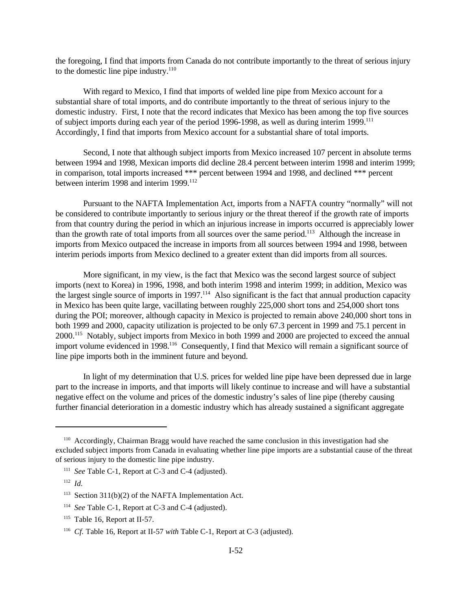the foregoing, I find that imports from Canada do not contribute importantly to the threat of serious injury to the domestic line pipe industry. $110$ 

With regard to Mexico, I find that imports of welded line pipe from Mexico account for a substantial share of total imports, and do contribute importantly to the threat of serious injury to the domestic industry. First, I note that the record indicates that Mexico has been among the top five sources of subject imports during each year of the period 1996-1998, as well as during interim 1999.<sup>111</sup> Accordingly, I find that imports from Mexico account for a substantial share of total imports.

Second, I note that although subject imports from Mexico increased 107 percent in absolute terms between 1994 and 1998, Mexican imports did decline 28.4 percent between interim 1998 and interim 1999; in comparison, total imports increased \*\*\* percent between 1994 and 1998, and declined \*\*\* percent between interim 1998 and interim 1999.<sup>112</sup>

Pursuant to the NAFTA Implementation Act, imports from a NAFTA country "normally" will not be considered to contribute importantly to serious injury or the threat thereof if the growth rate of imports from that country during the period in which an injurious increase in imports occurred is appreciably lower than the growth rate of total imports from all sources over the same period.<sup>113</sup> Although the increase in imports from Mexico outpaced the increase in imports from all sources between 1994 and 1998, between interim periods imports from Mexico declined to a greater extent than did imports from all sources.

More significant, in my view, is the fact that Mexico was the second largest source of subject imports (next to Korea) in 1996, 1998, and both interim 1998 and interim 1999; in addition, Mexico was the largest single source of imports in 1997.<sup>114</sup> Also significant is the fact that annual production capacity in Mexico has been quite large, vacillating between roughly 225,000 short tons and 254,000 short tons during the POI; moreover, although capacity in Mexico is projected to remain above 240,000 short tons in both 1999 and 2000, capacity utilization is projected to be only 67.3 percent in 1999 and 75.1 percent in 2000.<sup>115</sup> Notably, subject imports from Mexico in both 1999 and 2000 are projected to exceed the annual import volume evidenced in 1998.<sup>116</sup> Consequently, I find that Mexico will remain a significant source of line pipe imports both in the imminent future and beyond.

In light of my determination that U.S. prices for welded line pipe have been depressed due in large part to the increase in imports, and that imports will likely continue to increase and will have a substantial negative effect on the volume and prices of the domestic industry's sales of line pipe (thereby causing further financial deterioration in a domestic industry which has already sustained a significant aggregate

<sup>110</sup> Accordingly, Chairman Bragg would have reached the same conclusion in this investigation had she excluded subject imports from Canada in evaluating whether line pipe imports are a substantial cause of the threat of serious injury to the domestic line pipe industry.

<sup>111</sup> *See* Table C-1, Report at C-3 and C-4 (adjusted).

<sup>112</sup> *Id.*

<sup>&</sup>lt;sup>113</sup> Section 311(b)(2) of the NAFTA Implementation Act.

<sup>114</sup> *See* Table C-1, Report at C-3 and C-4 (adjusted).

 $115$  Table 16, Report at II-57.

<sup>116</sup> *Cf.* Table 16, Report at II-57 *with* Table C-1, Report at C-3 (adjusted).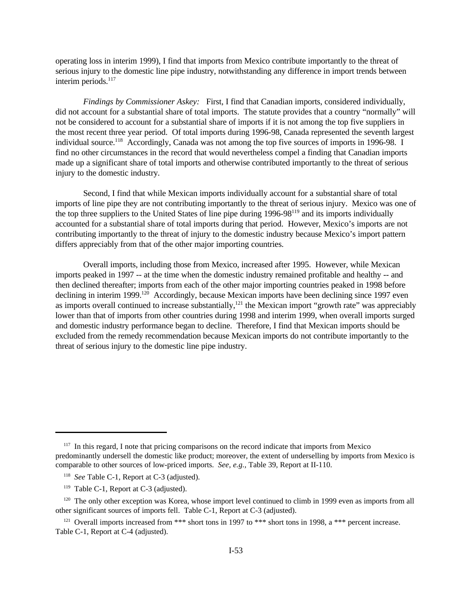operating loss in interim 1999), I find that imports from Mexico contribute importantly to the threat of serious injury to the domestic line pipe industry, notwithstanding any difference in import trends between interim periods.<sup>117</sup>

*Findings by Commissioner Askey:* First, I find that Canadian imports, considered individually, did not account for a substantial share of total imports. The statute provides that a country "normally" will not be considered to account for a substantial share of imports if it is not among the top five suppliers in the most recent three year period. Of total imports during 1996-98, Canada represented the seventh largest individual source.<sup>118</sup> Accordingly, Canada was not among the top five sources of imports in 1996-98. I find no other circumstances in the record that would nevertheless compel a finding that Canadian imports made up a significant share of total imports and otherwise contributed importantly to the threat of serious injury to the domestic industry.

Second, I find that while Mexican imports individually account for a substantial share of total imports of line pipe they are not contributing importantly to the threat of serious injury. Mexico was one of the top three suppliers to the United States of line pipe during 1996-98<sup>119</sup> and its imports individually accounted for a substantial share of total imports during that period. However, Mexico's imports are not contributing importantly to the threat of injury to the domestic industry because Mexico's import pattern differs appreciably from that of the other major importing countries.

Overall imports, including those from Mexico, increased after 1995. However, while Mexican imports peaked in 1997 -- at the time when the domestic industry remained profitable and healthy -- and then declined thereafter; imports from each of the other major importing countries peaked in 1998 before declining in interim 1999.<sup>120</sup> Accordingly, because Mexican imports have been declining since 1997 even as imports overall continued to increase substantially,<sup>121</sup> the Mexican import "growth rate" was appreciably lower than that of imports from other countries during 1998 and interim 1999, when overall imports surged and domestic industry performance began to decline. Therefore, I find that Mexican imports should be excluded from the remedy recommendation because Mexican imports do not contribute importantly to the threat of serious injury to the domestic line pipe industry.

<sup>&</sup>lt;sup>117</sup> In this regard, I note that pricing comparisons on the record indicate that imports from Mexico predominantly undersell the domestic like product; moreover, the extent of underselling by imports from Mexico is comparable to other sources of low-priced imports. *See, e.g.,* Table 39, Report at II-110.

<sup>118</sup> *See* Table C-1, Report at C-3 (adjusted).

<sup>&</sup>lt;sup>119</sup> Table C-1, Report at C-3 (adjusted).

<sup>&</sup>lt;sup>120</sup> The only other exception was Korea, whose import level continued to climb in 1999 even as imports from all other significant sources of imports fell. Table C-1, Report at C-3 (adjusted).

<sup>&</sup>lt;sup>121</sup> Overall imports increased from \*\*\* short tons in 1997 to \*\*\* short tons in 1998, a \*\*\* percent increase. Table C-1, Report at C-4 (adjusted).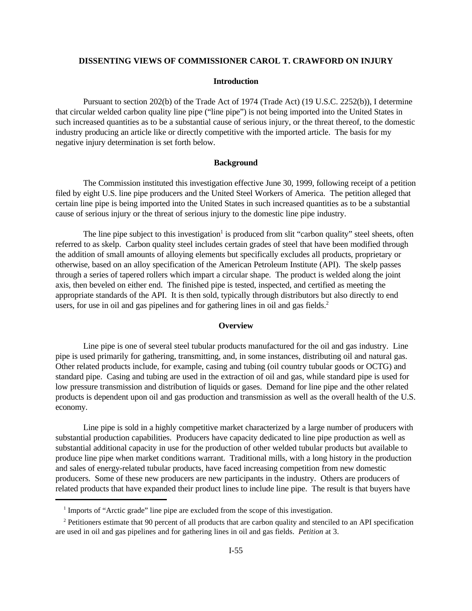### **DISSENTING VIEWS OF COMMISSIONER CAROL T. CRAWFORD ON INJURY**

### **Introduction**

Pursuant to section 202(b) of the Trade Act of 1974 (Trade Act) (19 U.S.C. 2252(b)), I determine that circular welded carbon quality line pipe ("line pipe") is not being imported into the United States in such increased quantities as to be a substantial cause of serious injury, or the threat thereof, to the domestic industry producing an article like or directly competitive with the imported article. The basis for my negative injury determination is set forth below.

### **Background**

The Commission instituted this investigation effective June 30, 1999, following receipt of a petition filed by eight U.S. line pipe producers and the United Steel Workers of America. The petition alleged that certain line pipe is being imported into the United States in such increased quantities as to be a substantial cause of serious injury or the threat of serious injury to the domestic line pipe industry.

The line pipe subject to this investigation<sup>1</sup> is produced from slit "carbon quality" steel sheets, often referred to as skelp. Carbon quality steel includes certain grades of steel that have been modified through the addition of small amounts of alloying elements but specifically excludes all products, proprietary or otherwise, based on an alloy specification of the American Petroleum Institute (API). The skelp passes through a series of tapered rollers which impart a circular shape. The product is welded along the joint axis, then beveled on either end. The finished pipe is tested, inspected, and certified as meeting the appropriate standards of the API. It is then sold, typically through distributors but also directly to end users, for use in oil and gas pipelines and for gathering lines in oil and gas fields.<sup>2</sup>

### **Overview**

Line pipe is one of several steel tubular products manufactured for the oil and gas industry. Line pipe is used primarily for gathering, transmitting, and, in some instances, distributing oil and natural gas. Other related products include, for example, casing and tubing (oil country tubular goods or OCTG) and standard pipe. Casing and tubing are used in the extraction of oil and gas, while standard pipe is used for low pressure transmission and distribution of liquids or gases. Demand for line pipe and the other related products is dependent upon oil and gas production and transmission as well as the overall health of the U.S. economy.

Line pipe is sold in a highly competitive market characterized by a large number of producers with substantial production capabilities. Producers have capacity dedicated to line pipe production as well as substantial additional capacity in use for the production of other welded tubular products but available to produce line pipe when market conditions warrant. Traditional mills, with a long history in the production and sales of energy-related tubular products, have faced increasing competition from new domestic producers. Some of these new producers are new participants in the industry. Others are producers of related products that have expanded their product lines to include line pipe. The result is that buyers have

<sup>&</sup>lt;sup>1</sup> Imports of "Arctic grade" line pipe are excluded from the scope of this investigation.

<sup>&</sup>lt;sup>2</sup> Petitioners estimate that 90 percent of all products that are carbon quality and stenciled to an API specification are used in oil and gas pipelines and for gathering lines in oil and gas fields. *Petition* at 3.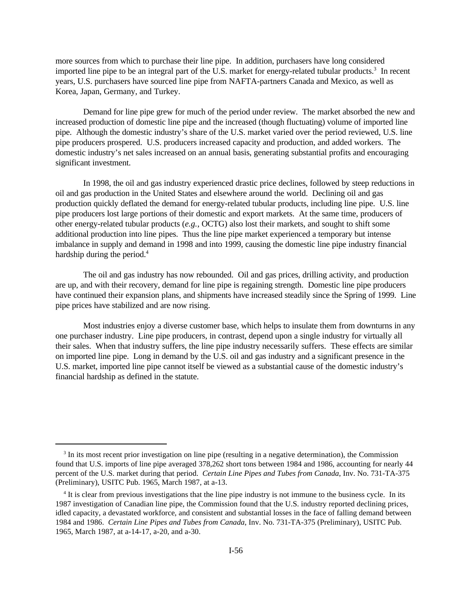more sources from which to purchase their line pipe. In addition, purchasers have long considered imported line pipe to be an integral part of the U.S. market for energy-related tubular products.<sup>3</sup> In recent years, U.S. purchasers have sourced line pipe from NAFTA-partners Canada and Mexico, as well as Korea, Japan, Germany, and Turkey.

Demand for line pipe grew for much of the period under review. The market absorbed the new and increased production of domestic line pipe and the increased (though fluctuating) volume of imported line pipe. Although the domestic industry's share of the U.S. market varied over the period reviewed, U.S. line pipe producers prospered. U.S. producers increased capacity and production, and added workers. The domestic industry's net sales increased on an annual basis, generating substantial profits and encouraging significant investment.

In 1998, the oil and gas industry experienced drastic price declines, followed by steep reductions in oil and gas production in the United States and elsewhere around the world. Declining oil and gas production quickly deflated the demand for energy-related tubular products, including line pipe. U.S. line pipe producers lost large portions of their domestic and export markets. At the same time, producers of other energy-related tubular products (*e.g.*, OCTG) also lost their markets, and sought to shift some additional production into line pipes. Thus the line pipe market experienced a temporary but intense imbalance in supply and demand in 1998 and into 1999, causing the domestic line pipe industry financial hardship during the period.<sup>4</sup>

The oil and gas industry has now rebounded. Oil and gas prices, drilling activity, and production are up, and with their recovery, demand for line pipe is regaining strength. Domestic line pipe producers have continued their expansion plans, and shipments have increased steadily since the Spring of 1999. Line pipe prices have stabilized and are now rising.

Most industries enjoy a diverse customer base, which helps to insulate them from downturns in any one purchaser industry. Line pipe producers, in contrast, depend upon a single industry for virtually all their sales. When that industry suffers, the line pipe industry necessarily suffers. These effects are similar on imported line pipe. Long in demand by the U.S. oil and gas industry and a significant presence in the U.S. market, imported line pipe cannot itself be viewed as a substantial cause of the domestic industry's financial hardship as defined in the statute.

<sup>&</sup>lt;sup>3</sup> In its most recent prior investigation on line pipe (resulting in a negative determination), the Commission found that U.S. imports of line pipe averaged 378,262 short tons between 1984 and 1986, accounting for nearly 44 percent of the U.S. market during that period. *Certain Line Pipes and Tubes from Canada*, Inv. No. 731-TA-375 (Preliminary), USITC Pub. 1965, March 1987, at a-13.

<sup>&</sup>lt;sup>4</sup> It is clear from previous investigations that the line pipe industry is not immune to the business cycle. In its 1987 investigation of Canadian line pipe, the Commission found that the U.S. industry reported declining prices, idled capacity, a devastated workforce, and consistent and substantial losses in the face of falling demand between 1984 and 1986. *Certain Line Pipes and Tubes from Canada*, Inv. No. 731-TA-375 (Preliminary), USITC Pub. 1965, March 1987, at a-14-17, a-20, and a-30.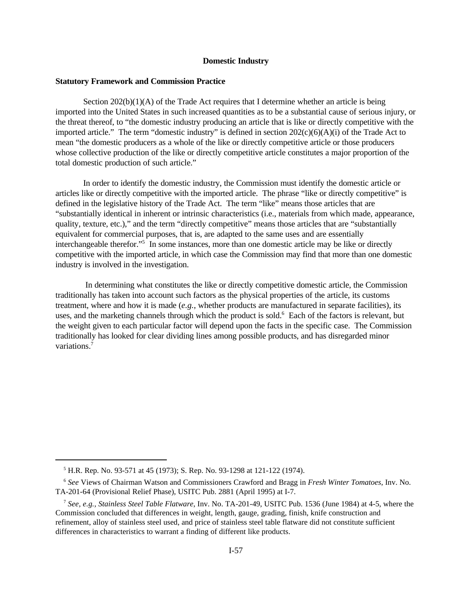### **Domestic Industry**

# **Statutory Framework and Commission Practice**

Section  $202(b)(1)(A)$  of the Trade Act requires that I determine whether an article is being imported into the United States in such increased quantities as to be a substantial cause of serious injury, or the threat thereof, to "the domestic industry producing an article that is like or directly competitive with the imported article." The term "domestic industry" is defined in section 202(c)(6)(A)(i) of the Trade Act to mean "the domestic producers as a whole of the like or directly competitive article or those producers whose collective production of the like or directly competitive article constitutes a major proportion of the total domestic production of such article."

In order to identify the domestic industry, the Commission must identify the domestic article or articles like or directly competitive with the imported article. The phrase "like or directly competitive" is defined in the legislative history of the Trade Act. The term "like" means those articles that are "substantially identical in inherent or intrinsic characteristics (i.e., materials from which made, appearance, quality, texture, etc.)," and the term "directly competitive" means those articles that are "substantially equivalent for commercial purposes, that is, are adapted to the same uses and are essentially interchangeable therefor."<sup>5</sup> In some instances, more than one domestic article may be like or directly competitive with the imported article, in which case the Commission may find that more than one domestic industry is involved in the investigation.

 In determining what constitutes the like or directly competitive domestic article, the Commission traditionally has taken into account such factors as the physical properties of the article, its customs treatment, where and how it is made (*e.g.*, whether products are manufactured in separate facilities), its uses, and the marketing channels through which the product is sold.<sup>6</sup> Each of the factors is relevant, but the weight given to each particular factor will depend upon the facts in the specific case. The Commission traditionally has looked for clear dividing lines among possible products, and has disregarded minor variations.7

<sup>5</sup> H.R. Rep. No. 93-571 at 45 (1973); S. Rep. No. 93-1298 at 121-122 (1974).

<sup>6</sup> *See* Views of Chairman Watson and Commissioners Crawford and Bragg in *Fresh Winter Tomatoes*, Inv. No. TA-201-64 (Provisional Relief Phase), USITC Pub. 2881 (April 1995) at I-7.

<sup>7</sup> *See, e.g., Stainless Steel Table Flatware*, Inv. No. TA-201-49, USITC Pub. 1536 (June 1984) at 4-5, where the Commission concluded that differences in weight, length, gauge, grading, finish, knife construction and refinement, alloy of stainless steel used, and price of stainless steel table flatware did not constitute sufficient differences in characteristics to warrant a finding of different like products.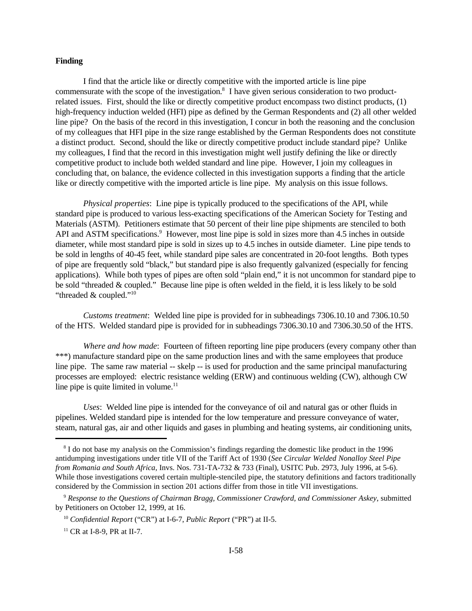# **Finding**

I find that the article like or directly competitive with the imported article is line pipe commensurate with the scope of the investigation.<sup>8</sup> I have given serious consideration to two productrelated issues. First, should the like or directly competitive product encompass two distinct products, (1) high-frequency induction welded (HFI) pipe as defined by the German Respondents and (2) all other welded line pipe? On the basis of the record in this investigation, I concur in both the reasoning and the conclusion of my colleagues that HFI pipe in the size range established by the German Respondents does not constitute a distinct product. Second, should the like or directly competitive product include standard pipe? Unlike my colleagues, I find that the record in this investigation might well justify defining the like or directly competitive product to include both welded standard and line pipe. However, I join my colleagues in concluding that, on balance, the evidence collected in this investigation supports a finding that the article like or directly competitive with the imported article is line pipe. My analysis on this issue follows.

*Physical properties*: Line pipe is typically produced to the specifications of the API, while standard pipe is produced to various less-exacting specifications of the American Society for Testing and Materials (ASTM). Petitioners estimate that 50 percent of their line pipe shipments are stenciled to both API and ASTM specifications.<sup>9</sup> However, most line pipe is sold in sizes more than 4.5 inches in outside diameter, while most standard pipe is sold in sizes up to 4.5 inches in outside diameter. Line pipe tends to be sold in lengths of 40-45 feet, while standard pipe sales are concentrated in 20-foot lengths. Both types of pipe are frequently sold "black," but standard pipe is also frequently galvanized (especially for fencing applications). While both types of pipes are often sold "plain end," it is not uncommon for standard pipe to be sold "threaded & coupled." Because line pipe is often welded in the field, it is less likely to be sold "threaded & coupled."<sup>10</sup>

*Customs treatment*: Welded line pipe is provided for in subheadings 7306.10.10 and 7306.10.50 of the HTS. Welded standard pipe is provided for in subheadings 7306.30.10 and 7306.30.50 of the HTS.

*Where and how made*: Fourteen of fifteen reporting line pipe producers (every company other than \*\*\*) manufacture standard pipe on the same production lines and with the same employees that produce line pipe. The same raw material -- skelp -- is used for production and the same principal manufacturing processes are employed: electric resistance welding (ERW) and continuous welding (CW), although CW line pipe is quite limited in volume. $11$ 

*Uses*: Welded line pipe is intended for the conveyance of oil and natural gas or other fluids in pipelines. Welded standard pipe is intended for the low temperature and pressure conveyance of water, steam, natural gas, air and other liquids and gases in plumbing and heating systems, air conditioning units,

<sup>&</sup>lt;sup>8</sup> I do not base my analysis on the Commission's findings regarding the domestic like product in the 1996 antidumping investigations under title VII of the Tariff Act of 1930 (*See Circular Welded Nonalloy Steel Pipe from Romania and South Africa*, Invs. Nos. 731-TA-732 & 733 (Final), USITC Pub. 2973, July 1996, at 5-6). While those investigations covered certain multiple-stenciled pipe, the statutory definitions and factors traditionally considered by the Commission in section 201 actions differ from those in title VII investigations.

<sup>9</sup> *Response to the Questions of Chairman Bragg, Commissioner Crawford, and Commissioner Askey*, submitted by Petitioners on October 12, 1999, at 16.

<sup>10</sup> *Confidential Report* ("CR") at I-6-7, *Public Report* ("PR") at II-5.

<sup>&</sup>lt;sup>11</sup> CR at I-8-9, PR at II-7.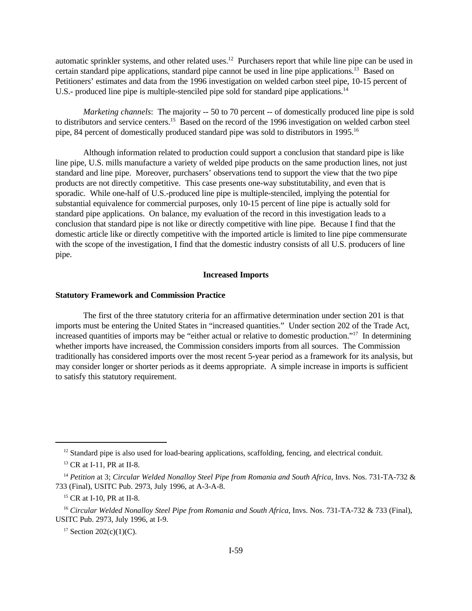automatic sprinkler systems, and other related uses.<sup>12</sup> Purchasers report that while line pipe can be used in certain standard pipe applications, standard pipe cannot be used in line pipe applications.<sup>13</sup> Based on Petitioners' estimates and data from the 1996 investigation on welded carbon steel pipe, 10-15 percent of U.S.- produced line pipe is multiple-stenciled pipe sold for standard pipe applications.<sup>14</sup>

*Marketing channels*: The majority -- 50 to 70 percent -- of domestically produced line pipe is sold to distributors and service centers.<sup>15</sup> Based on the record of the 1996 investigation on welded carbon steel pipe, 84 percent of domestically produced standard pipe was sold to distributors in 1995.<sup>16</sup>

Although information related to production could support a conclusion that standard pipe is like line pipe, U.S. mills manufacture a variety of welded pipe products on the same production lines, not just standard and line pipe. Moreover, purchasers' observations tend to support the view that the two pipe products are not directly competitive. This case presents one-way substitutability, and even that is sporadic. While one-half of U.S.-produced line pipe is multiple-stenciled, implying the potential for substantial equivalence for commercial purposes, only 10-15 percent of line pipe is actually sold for standard pipe applications. On balance, my evaluation of the record in this investigation leads to a conclusion that standard pipe is not like or directly competitive with line pipe. Because I find that the domestic article like or directly competitive with the imported article is limited to line pipe commensurate with the scope of the investigation, I find that the domestic industry consists of all U.S. producers of line pipe.

# **Increased Imports**

### **Statutory Framework and Commission Practice**

The first of the three statutory criteria for an affirmative determination under section 201 is that imports must be entering the United States in "increased quantities." Under section 202 of the Trade Act, increased quantities of imports may be "either actual or relative to domestic production."<sup>17</sup> In determining whether imports have increased, the Commission considers imports from all sources. The Commission traditionally has considered imports over the most recent 5-year period as a framework for its analysis, but may consider longer or shorter periods as it deems appropriate. A simple increase in imports is sufficient to satisfy this statutory requirement.

<sup>&</sup>lt;sup>12</sup> Standard pipe is also used for load-bearing applications, scaffolding, fencing, and electrical conduit.

<sup>&</sup>lt;sup>13</sup> CR at I-11, PR at II-8.

<sup>14</sup> *Petition* at 3; *Circular Welded Nonalloy Steel Pipe from Romania and South Africa*, Invs. Nos. 731-TA-732 & 733 (Final), USITC Pub. 2973, July 1996, at A-3-A-8.

<sup>&</sup>lt;sup>15</sup> CR at I-10, PR at II-8.

<sup>16</sup> *Circular Welded Nonalloy Steel Pipe from Romania and South Africa*, Invs. Nos. 731-TA-732 & 733 (Final), USITC Pub. 2973, July 1996, at I-9.

<sup>&</sup>lt;sup>17</sup> Section 202(c)(1)(C).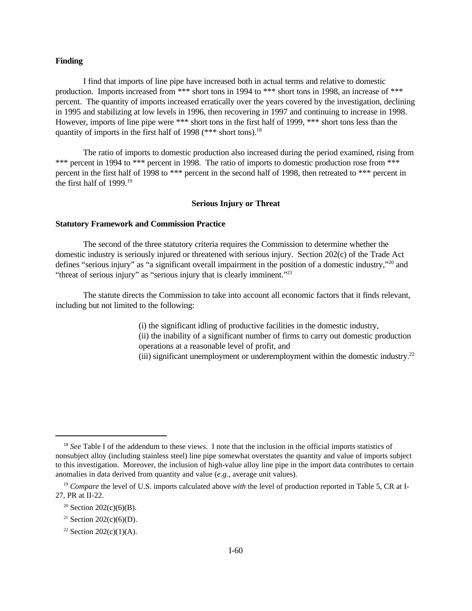### **Finding**

I find that imports of line pipe have increased both in actual terms and relative to domestic production. Imports increased from \*\*\* short tons in 1994 to \*\*\* short tons in 1998, an increase of \*\*\* percent. The quantity of imports increased erratically over the years covered by the investigation, declining in 1995 and stabilizing at low levels in 1996, then recovering in 1997 and continuing to increase in 1998. However, imports of line pipe were \*\*\* short tons in the first half of 1999, \*\*\* short tons less than the quantity of imports in the first half of 1998 (\*\*\* short tons).<sup>18</sup>

The ratio of imports to domestic production also increased during the period examined, rising from \*\*\* percent in 1994 to \*\*\* percent in 1998. The ratio of imports to domestic production rose from \*\*\* percent in the first half of 1998 to \*\*\* percent in the second half of 1998, then retreated to \*\*\* percent in the first half of 1999.<sup>19</sup>

# **Serious Injury or Threat**

### **Statutory Framework and Commission Practice**

The second of the three statutory criteria requires the Commission to determine whether the domestic industry is seriously injured or threatened with serious injury. Section 202(c) of the Trade Act defines "serious injury" as "a significant overall impairment in the position of a domestic industry,"<sup>20</sup> and "threat of serious injury" as "serious injury that is clearly imminent."<sup>21</sup>

The statute directs the Commission to take into account all economic factors that it finds relevant, including but not limited to the following:

> (i) the significant idling of productive facilities in the domestic industry, (ii) the inability of a significant number of firms to carry out domestic production operations at a reasonable level of profit, and (iii) significant unemployment or underemployment within the domestic industry.<sup>22</sup>

<sup>&</sup>lt;sup>18</sup> *See* Table I of the addendum to these views. I note that the inclusion in the official imports statistics of nonsubject alloy (including stainless steel) line pipe somewhat overstates the quantity and value of imports subject to this investigation. Moreover, the inclusion of high-value alloy line pipe in the import data contributes to certain anomalies in data derived from quantity and value (*e.g.*, average unit values).

<sup>&</sup>lt;sup>19</sup> *Compare* the level of U.S. imports calculated above *with* the level of production reported in Table 5, CR at I-27, PR at II-22.

<sup>&</sup>lt;sup>20</sup> Section 202(c)(6)(B).

<sup>&</sup>lt;sup>21</sup> Section 202(c)(6)(D).

<sup>&</sup>lt;sup>22</sup> Section 202(c)(1)(A).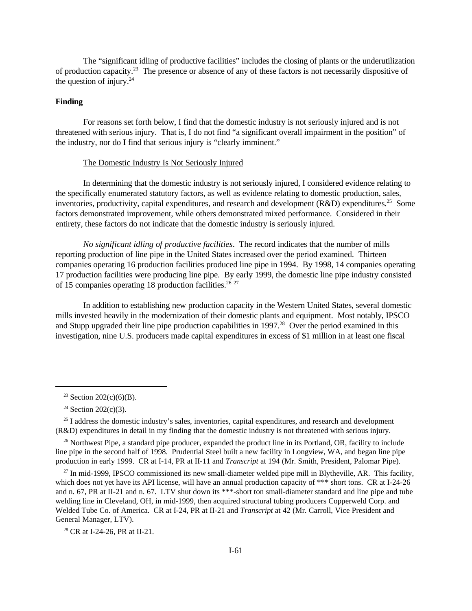The "significant idling of productive facilities" includes the closing of plants or the underutilization of production capacity.<sup>23</sup> The presence or absence of any of these factors is not necessarily dispositive of the question of injury. $24$ 

# **Finding**

For reasons set forth below, I find that the domestic industry is not seriously injured and is not threatened with serious injury. That is, I do not find "a significant overall impairment in the position" of the industry, nor do I find that serious injury is "clearly imminent."

### The Domestic Industry Is Not Seriously Injured

In determining that the domestic industry is not seriously injured, I considered evidence relating to the specifically enumerated statutory factors, as well as evidence relating to domestic production, sales, inventories, productivity, capital expenditures, and research and development ( $R&D$ ) expenditures.<sup>25</sup> Some factors demonstrated improvement, while others demonstrated mixed performance. Considered in their entirety, these factors do not indicate that the domestic industry is seriously injured.

*No significant idling of productive facilities*. The record indicates that the number of mills reporting production of line pipe in the United States increased over the period examined. Thirteen companies operating 16 production facilities produced line pipe in 1994. By 1998, 14 companies operating 17 production facilities were producing line pipe. By early 1999, the domestic line pipe industry consisted of 15 companies operating 18 production facilities.<sup>26 27</sup>

In addition to establishing new production capacity in the Western United States, several domestic mills invested heavily in the modernization of their domestic plants and equipment. Most notably, IPSCO and Stupp upgraded their line pipe production capabilities in 1997.<sup>28</sup> Over the period examined in this investigation, nine U.S. producers made capital expenditures in excess of \$1 million in at least one fiscal

 $27$  In mid-1999, IPSCO commissioned its new small-diameter welded pipe mill in Blytheville, AR. This facility, which does not yet have its API license, will have an annual production capacity of \*\*\* short tons. CR at I-24-26 and n. 67, PR at II-21 and n. 67. LTV shut down its \*\*\*-short ton small-diameter standard and line pipe and tube welding line in Cleveland, OH, in mid-1999, then acquired structural tubing producers Copperweld Corp. and Welded Tube Co. of America. CR at I-24, PR at II-21 and *Transcript* at 42 (Mr. Carroll, Vice President and General Manager, LTV).

<sup>28</sup> CR at I-24-26, PR at II-21.

<sup>&</sup>lt;sup>23</sup> Section 202(c)(6)(B).

 $24$  Section 202(c)(3).

 $25$  I address the domestic industry's sales, inventories, capital expenditures, and research and development (R&D) expenditures in detail in my finding that the domestic industry is not threatened with serious injury.

<sup>&</sup>lt;sup>26</sup> Northwest Pipe, a standard pipe producer, expanded the product line in its Portland, OR, facility to include line pipe in the second half of 1998. Prudential Steel built a new facility in Longview, WA, and began line pipe production in early 1999. CR at I-14, PR at II-11 and *Transcript* at 194 (Mr. Smith, President, Palomar Pipe).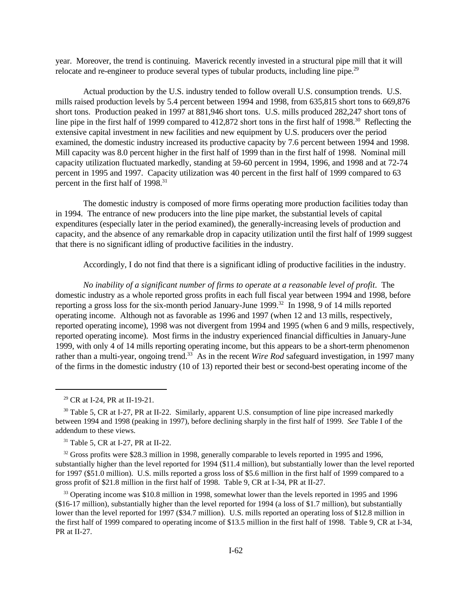year. Moreover, the trend is continuing. Maverick recently invested in a structural pipe mill that it will relocate and re-engineer to produce several types of tubular products, including line pipe.<sup>29</sup>

Actual production by the U.S. industry tended to follow overall U.S. consumption trends. U.S. mills raised production levels by 5.4 percent between 1994 and 1998, from 635,815 short tons to 669,876 short tons. Production peaked in 1997 at 881,946 short tons. U.S. mills produced 282,247 short tons of line pipe in the first half of 1999 compared to 412,872 short tons in the first half of 1998.<sup>30</sup> Reflecting the extensive capital investment in new facilities and new equipment by U.S. producers over the period examined, the domestic industry increased its productive capacity by 7.6 percent between 1994 and 1998. Mill capacity was 8.0 percent higher in the first half of 1999 than in the first half of 1998. Nominal mill capacity utilization fluctuated markedly, standing at 59-60 percent in 1994, 1996, and 1998 and at 72-74 percent in 1995 and 1997. Capacity utilization was 40 percent in the first half of 1999 compared to 63 percent in the first half of 1998.<sup>31</sup>

The domestic industry is composed of more firms operating more production facilities today than in 1994. The entrance of new producers into the line pipe market, the substantial levels of capital expenditures (especially later in the period examined), the generally-increasing levels of production and capacity, and the absence of any remarkable drop in capacity utilization until the first half of 1999 suggest that there is no significant idling of productive facilities in the industry.

Accordingly, I do not find that there is a significant idling of productive facilities in the industry.

*No inability of a significant number of firms to operate at a reasonable level of profit*. The domestic industry as a whole reported gross profits in each full fiscal year between 1994 and 1998, before reporting a gross loss for the six-month period January-June 1999.<sup>32</sup> In 1998, 9 of 14 mills reported operating income. Although not as favorable as 1996 and 1997 (when 12 and 13 mills, respectively, reported operating income), 1998 was not divergent from 1994 and 1995 (when 6 and 9 mills, respectively, reported operating income). Most firms in the industry experienced financial difficulties in January-June 1999, with only 4 of 14 mills reporting operating income, but this appears to be a short-term phenomenon rather than a multi-year, ongoing trend.<sup>33</sup> As in the recent *Wire Rod* safeguard investigation, in 1997 many of the firms in the domestic industry (10 of 13) reported their best or second-best operating income of the

<sup>33</sup> Operating income was \$10.8 million in 1998, somewhat lower than the levels reported in 1995 and 1996 (\$16-17 million), substantially higher than the level reported for 1994 (a loss of \$1.7 million), but substantially lower than the level reported for 1997 (\$34.7 million). U.S. mills reported an operating loss of \$12.8 million in the first half of 1999 compared to operating income of \$13.5 million in the first half of 1998. Table 9, CR at I-34, PR at II-27.

<sup>29</sup> CR at I-24, PR at II-19-21.

 $30$  Table 5, CR at I-27, PR at II-22. Similarly, apparent U.S. consumption of line pipe increased markedly between 1994 and 1998 (peaking in 1997), before declining sharply in the first half of 1999. *See* Table I of the addendum to these views.

<sup>&</sup>lt;sup>31</sup> Table 5, CR at I-27, PR at II-22.

<sup>&</sup>lt;sup>32</sup> Gross profits were \$28.3 million in 1998, generally comparable to levels reported in 1995 and 1996, substantially higher than the level reported for 1994 (\$11.4 million), but substantially lower than the level reported for 1997 (\$51.0 million). U.S. mills reported a gross loss of \$5.6 million in the first half of 1999 compared to a gross profit of \$21.8 million in the first half of 1998. Table 9, CR at I-34, PR at II-27.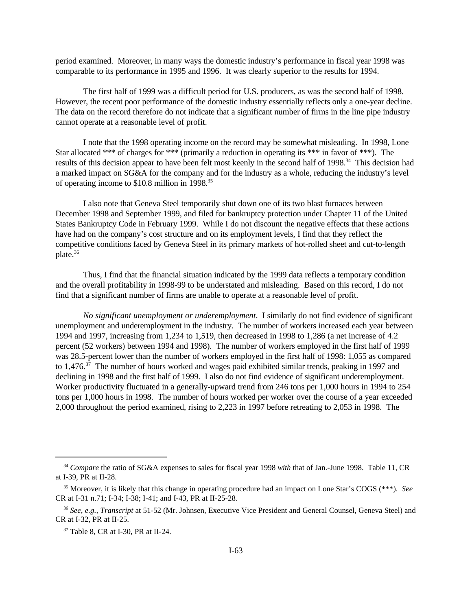period examined. Moreover, in many ways the domestic industry's performance in fiscal year 1998 was comparable to its performance in 1995 and 1996. It was clearly superior to the results for 1994.

The first half of 1999 was a difficult period for U.S. producers, as was the second half of 1998. However, the recent poor performance of the domestic industry essentially reflects only a one-year decline. The data on the record therefore do not indicate that a significant number of firms in the line pipe industry cannot operate at a reasonable level of profit.

I note that the 1998 operating income on the record may be somewhat misleading. In 1998, Lone Star allocated \*\*\* of charges for \*\*\* (primarily a reduction in operating its \*\*\* in favor of \*\*\*). The results of this decision appear to have been felt most keenly in the second half of 1998.<sup>34</sup> This decision had a marked impact on SG&A for the company and for the industry as a whole, reducing the industry's level of operating income to \$10.8 million in 1998.<sup>35</sup>

I also note that Geneva Steel temporarily shut down one of its two blast furnaces between December 1998 and September 1999, and filed for bankruptcy protection under Chapter 11 of the United States Bankruptcy Code in February 1999. While I do not discount the negative effects that these actions have had on the company's cost structure and on its employment levels, I find that they reflect the competitive conditions faced by Geneva Steel in its primary markets of hot-rolled sheet and cut-to-length plate.<sup>36</sup>

Thus, I find that the financial situation indicated by the 1999 data reflects a temporary condition and the overall profitability in 1998-99 to be understated and misleading. Based on this record, I do not find that a significant number of firms are unable to operate at a reasonable level of profit.

*No significant unemployment or underemployment*. I similarly do not find evidence of significant unemployment and underemployment in the industry. The number of workers increased each year between 1994 and 1997, increasing from 1,234 to 1,519, then decreased in 1998 to 1,286 (a net increase of 4.2 percent (52 workers) between 1994 and 1998). The number of workers employed in the first half of 1999 was 28.5-percent lower than the number of workers employed in the first half of 1998: 1,055 as compared to  $1,476$ <sup>37</sup>. The number of hours worked and wages paid exhibited similar trends, peaking in 1997 and declining in 1998 and the first half of 1999. I also do not find evidence of significant underemployment. Worker productivity fluctuated in a generally-upward trend from 246 tons per 1,000 hours in 1994 to 254 tons per 1,000 hours in 1998. The number of hours worked per worker over the course of a year exceeded 2,000 throughout the period examined, rising to 2,223 in 1997 before retreating to 2,053 in 1998. The

<sup>34</sup> *Compare* the ratio of SG&A expenses to sales for fiscal year 1998 *with* that of Jan.-June 1998. Table 11, CR at I-39, PR at II-28.

<sup>35</sup> Moreover, it is likely that this change in operating procedure had an impact on Lone Star's COGS (\*\*\*). *See* CR at I-31 n.71; I-34; I-38; I-41; and I-43, PR at II-25-28.

<sup>36</sup> *See, e.g., Transcript* at 51-52 (Mr. Johnsen, Executive Vice President and General Counsel, Geneva Steel) and CR at I-32, PR at II-25.

<sup>37</sup> Table 8, CR at I-30, PR at II-24.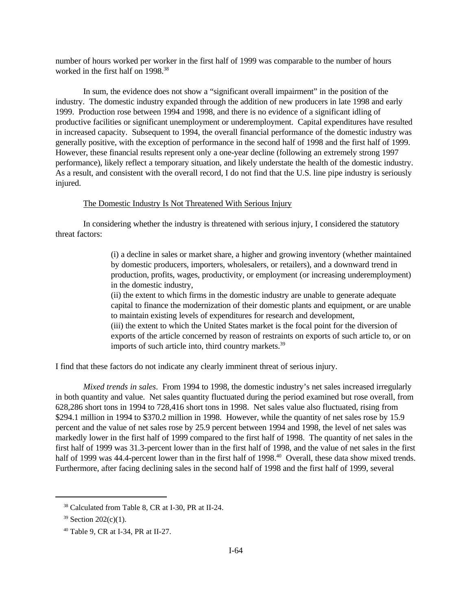number of hours worked per worker in the first half of 1999 was comparable to the number of hours worked in the first half on 1998.<sup>38</sup>

In sum, the evidence does not show a "significant overall impairment" in the position of the industry. The domestic industry expanded through the addition of new producers in late 1998 and early 1999. Production rose between 1994 and 1998, and there is no evidence of a significant idling of productive facilities or significant unemployment or underemployment. Capital expenditures have resulted in increased capacity. Subsequent to 1994, the overall financial performance of the domestic industry was generally positive, with the exception of performance in the second half of 1998 and the first half of 1999. However, these financial results represent only a one-year decline (following an extremely strong 1997 performance), likely reflect a temporary situation, and likely understate the health of the domestic industry. As a result, and consistent with the overall record, I do not find that the U.S. line pipe industry is seriously injured.

# The Domestic Industry Is Not Threatened With Serious Injury

In considering whether the industry is threatened with serious injury, I considered the statutory threat factors:

> (i) a decline in sales or market share, a higher and growing inventory (whether maintained by domestic producers, importers, wholesalers, or retailers), and a downward trend in production, profits, wages, productivity, or employment (or increasing underemployment) in the domestic industry,

> (ii) the extent to which firms in the domestic industry are unable to generate adequate capital to finance the modernization of their domestic plants and equipment, or are unable to maintain existing levels of expenditures for research and development,

> (iii) the extent to which the United States market is the focal point for the diversion of exports of the article concerned by reason of restraints on exports of such article to, or on imports of such article into, third country markets.<sup>39</sup>

I find that these factors do not indicate any clearly imminent threat of serious injury.

*Mixed trends in sales*. From 1994 to 1998, the domestic industry's net sales increased irregularly in both quantity and value. Net sales quantity fluctuated during the period examined but rose overall, from 628,286 short tons in 1994 to 728,416 short tons in 1998. Net sales value also fluctuated, rising from \$294.1 million in 1994 to \$370.2 million in 1998. However, while the quantity of net sales rose by 15.9 percent and the value of net sales rose by 25.9 percent between 1994 and 1998, the level of net sales was markedly lower in the first half of 1999 compared to the first half of 1998. The quantity of net sales in the first half of 1999 was 31.3-percent lower than in the first half of 1998, and the value of net sales in the first half of 1999 was 44.4-percent lower than in the first half of 1998.<sup>40</sup> Overall, these data show mixed trends. Furthermore, after facing declining sales in the second half of 1998 and the first half of 1999, several

<sup>38</sup> Calculated from Table 8, CR at I-30, PR at II-24.

 $39$  Section 202(c)(1).

<sup>40</sup> Table 9, CR at I-34, PR at II-27.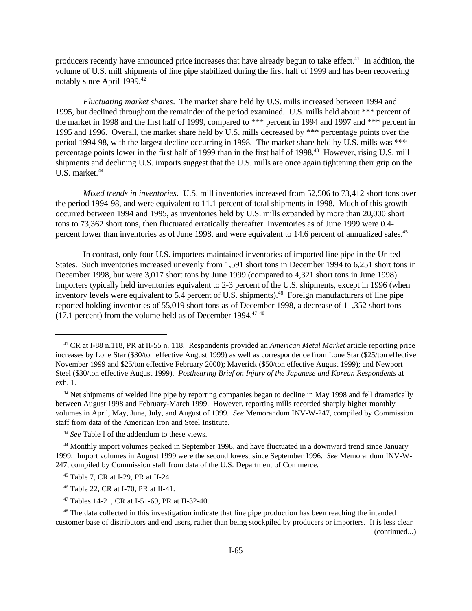producers recently have announced price increases that have already begun to take effect.<sup>41</sup> In addition, the volume of U.S. mill shipments of line pipe stabilized during the first half of 1999 and has been recovering notably since April 1999.<sup>42</sup>

*Fluctuating market shares*. The market share held by U.S. mills increased between 1994 and 1995, but declined throughout the remainder of the period examined. U.S. mills held about \*\*\* percent of the market in 1998 and the first half of 1999, compared to \*\*\* percent in 1994 and 1997 and \*\*\* percent in 1995 and 1996. Overall, the market share held by U.S. mills decreased by \*\*\* percentage points over the period 1994-98, with the largest decline occurring in 1998. The market share held by U.S. mills was \*\*\* percentage points lower in the first half of 1999 than in the first half of 1998.<sup>43</sup> However, rising U.S. mill shipments and declining U.S. imports suggest that the U.S. mills are once again tightening their grip on the U.S. market.<sup>44</sup>

*Mixed trends in inventories*. U.S. mill inventories increased from 52,506 to 73,412 short tons over the period 1994-98, and were equivalent to 11.1 percent of total shipments in 1998. Much of this growth occurred between 1994 and 1995, as inventories held by U.S. mills expanded by more than 20,000 short tons to 73,362 short tons, then fluctuated erratically thereafter. Inventories as of June 1999 were 0.4 percent lower than inventories as of June 1998, and were equivalent to 14.6 percent of annualized sales.<sup>45</sup>

In contrast, only four U.S. importers maintained inventories of imported line pipe in the United States. Such inventories increased unevenly from 1,591 short tons in December 1994 to 6,251 short tons in December 1998, but were 3,017 short tons by June 1999 (compared to 4,321 short tons in June 1998). Importers typically held inventories equivalent to 2-3 percent of the U.S. shipments, except in 1996 (when inventory levels were equivalent to 5.4 percent of U.S. shipments).<sup>46</sup> Foreign manufacturers of line pipe reported holding inventories of 55,019 short tons as of December 1998, a decrease of 11,352 short tons  $(17.1 \text{ percent})$  from the volume held as of December 1994.<sup>47 48</sup>

(continued...)

<sup>41</sup> CR at I-88 n.118, PR at II-55 n. 118. Respondents provided an *American Metal Market* article reporting price increases by Lone Star (\$30/ton effective August 1999) as well as correspondence from Lone Star (\$25/ton effective November 1999 and \$25/ton effective February 2000); Maverick (\$50/ton effective August 1999); and Newport Steel (\$30/ton effective August 1999). *Posthearing Brief on Injury of the Japanese and Korean Respondents* at exh. 1.

 $42$  Net shipments of welded line pipe by reporting companies began to decline in May 1998 and fell dramatically between August 1998 and February-March 1999. However, reporting mills recorded sharply higher monthly volumes in April, May, June, July, and August of 1999. *See* Memorandum INV-W-247, compiled by Commission staff from data of the American Iron and Steel Institute.

<sup>43</sup> *See* Table I of the addendum to these views.

<sup>&</sup>lt;sup>44</sup> Monthly import volumes peaked in September 1998, and have fluctuated in a downward trend since January 1999. Import volumes in August 1999 were the second lowest since September 1996. *See* Memorandum INV-W-247, compiled by Commission staff from data of the U.S. Department of Commerce.

<sup>45</sup> Table 7, CR at I-29, PR at II-24.

<sup>46</sup> Table 22, CR at I-70, PR at II-41.

<sup>47</sup> Tables 14-21, CR at I-51-69, PR at II-32-40.

<sup>&</sup>lt;sup>48</sup> The data collected in this investigation indicate that line pipe production has been reaching the intended customer base of distributors and end users, rather than being stockpiled by producers or importers. It is less clear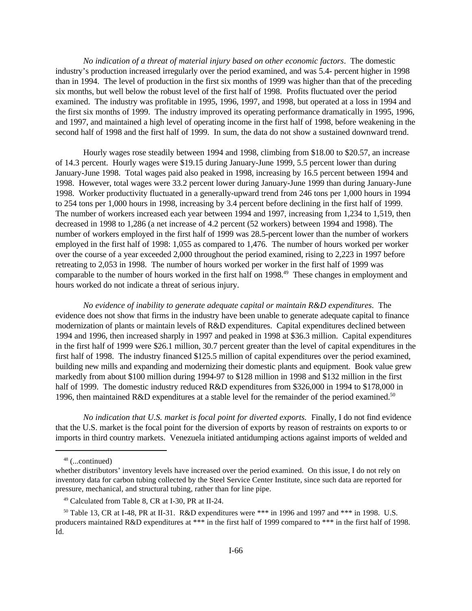*No indication of a threat of material injury based on other economic factors*. The domestic industry's production increased irregularly over the period examined, and was 5.4- percent higher in 1998 than in 1994. The level of production in the first six months of 1999 was higher than that of the preceding six months, but well below the robust level of the first half of 1998. Profits fluctuated over the period examined. The industry was profitable in 1995, 1996, 1997, and 1998, but operated at a loss in 1994 and the first six months of 1999. The industry improved its operating performance dramatically in 1995, 1996, and 1997, and maintained a high level of operating income in the first half of 1998, before weakening in the second half of 1998 and the first half of 1999. In sum, the data do not show a sustained downward trend.

Hourly wages rose steadily between 1994 and 1998, climbing from \$18.00 to \$20.57, an increase of 14.3 percent. Hourly wages were \$19.15 during January-June 1999, 5.5 percent lower than during January-June 1998. Total wages paid also peaked in 1998, increasing by 16.5 percent between 1994 and 1998. However, total wages were 33.2 percent lower during January-June 1999 than during January-June 1998. Worker productivity fluctuated in a generally-upward trend from 246 tons per 1,000 hours in 1994 to 254 tons per 1,000 hours in 1998, increasing by 3.4 percent before declining in the first half of 1999. The number of workers increased each year between 1994 and 1997, increasing from 1,234 to 1,519, then decreased in 1998 to 1,286 (a net increase of 4.2 percent (52 workers) between 1994 and 1998). The number of workers employed in the first half of 1999 was 28.5-percent lower than the number of workers employed in the first half of 1998: 1,055 as compared to 1,476. The number of hours worked per worker over the course of a year exceeded 2,000 throughout the period examined, rising to 2,223 in 1997 before retreating to 2,053 in 1998. The number of hours worked per worker in the first half of 1999 was comparable to the number of hours worked in the first half on 1998.<sup>49</sup> These changes in employment and hours worked do not indicate a threat of serious injury.

*No evidence of inability to generate adequate capital or maintain R&D expenditures*. The evidence does not show that firms in the industry have been unable to generate adequate capital to finance modernization of plants or maintain levels of R&D expenditures. Capital expenditures declined between 1994 and 1996, then increased sharply in 1997 and peaked in 1998 at \$36.3 million. Capital expenditures in the first half of 1999 were \$26.1 million, 30.7 percent greater than the level of capital expenditures in the first half of 1998. The industry financed \$125.5 million of capital expenditures over the period examined, building new mills and expanding and modernizing their domestic plants and equipment. Book value grew markedly from about \$100 million during 1994-97 to \$128 million in 1998 and \$132 million in the first half of 1999. The domestic industry reduced R&D expenditures from \$326,000 in 1994 to \$178,000 in 1996, then maintained R&D expenditures at a stable level for the remainder of the period examined.<sup>50</sup>

*No indication that U.S. market is focal point for diverted exports.* Finally, I do not find evidence that the U.S. market is the focal point for the diversion of exports by reason of restraints on exports to or imports in third country markets. Venezuela initiated antidumping actions against imports of welded and

<sup>48</sup> (...continued)

whether distributors' inventory levels have increased over the period examined. On this issue, I do not rely on inventory data for carbon tubing collected by the Steel Service Center Institute, since such data are reported for pressure, mechanical, and structural tubing, rather than for line pipe.

<sup>49</sup> Calculated from Table 8, CR at I-30, PR at II-24.

 $50$  Table 13, CR at I-48, PR at II-31. R&D expenditures were \*\*\* in 1996 and 1997 and \*\*\* in 1998. U.S. producers maintained R&D expenditures at \*\*\* in the first half of 1999 compared to \*\*\* in the first half of 1998. Id.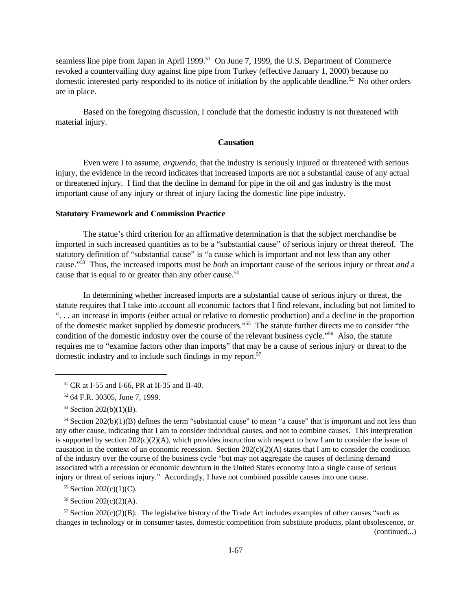seamless line pipe from Japan in April 1999.<sup>51</sup> On June 7, 1999, the U.S. Department of Commerce revoked a countervailing duty against line pipe from Turkey (effective January 1, 2000) because no domestic interested party responded to its notice of initiation by the applicable deadline.<sup>52</sup> No other orders are in place.

Based on the foregoing discussion, I conclude that the domestic industry is not threatened with material injury.

### **Causation**

Even were I to assume, *arguendo,* that the industry is seriously injured or threatened with serious injury, the evidence in the record indicates that increased imports are not a substantial cause of any actual or threatened injury. I find that the decline in demand for pipe in the oil and gas industry is the most important cause of any injury or threat of injury facing the domestic line pipe industry.

### **Statutory Framework and Commission Practice**

The statue's third criterion for an affirmative determination is that the subject merchandise be imported in such increased quantities as to be a "substantial cause" of serious injury or threat thereof. The statutory definition of "substantial cause" is "a cause which is important and not less than any other cause."<sup>53</sup> Thus, the increased imports must be *both* an important cause of the serious injury or threat *and* a cause that is equal to or greater than any other cause.<sup>54</sup>

In determining whether increased imports are a substantial cause of serious injury or threat, the statute requires that I take into account all economic factors that I find relevant, including but not limited to ". . . an increase in imports (either actual or relative to domestic production) and a decline in the proportion of the domestic market supplied by domestic producers."<sup>55</sup> The statute further directs me to consider "the condition of the domestic industry over the course of the relevant business cycle."<sup>56</sup> Also, the statute requires me to "examine factors other than imports" that may be a cause of serious injury or threat to the domestic industry and to include such findings in my report.<sup>57</sup>

 $57$  Section 202(c)(2)(B). The legislative history of the Trade Act includes examples of other causes "such as changes in technology or in consumer tastes, domestic competition from substitute products, plant obsolescence, or

<sup>51</sup> CR at I-55 and I-66, PR at II-35 and II-40.

<sup>52</sup> 64 F.R. 30305, June 7, 1999.

 $53$  Section 202(b)(1)(B).

<sup>&</sup>lt;sup>54</sup> Section 202(b)(1)(B) defines the term "substantial cause" to mean "a cause" that is important and not less than any other cause, indicating that I am to consider individual causes, and not to combine causes. This interpretation is supported by section  $202(c)(2)(A)$ , which provides instruction with respect to how I am to consider the issue of causation in the context of an economic recession. Section  $202(c)(2)(A)$  states that I am to consider the condition of the industry over the course of the business cycle "but may not aggregate the causes of declining demand associated with a recession or economic downturn in the United States economy into a single cause of serious injury or threat of serious injury." Accordingly, I have not combined possible causes into one cause.

<sup>55</sup> Section 202(c)(1)(C).

 $56$  Section 202(c)(2)(A).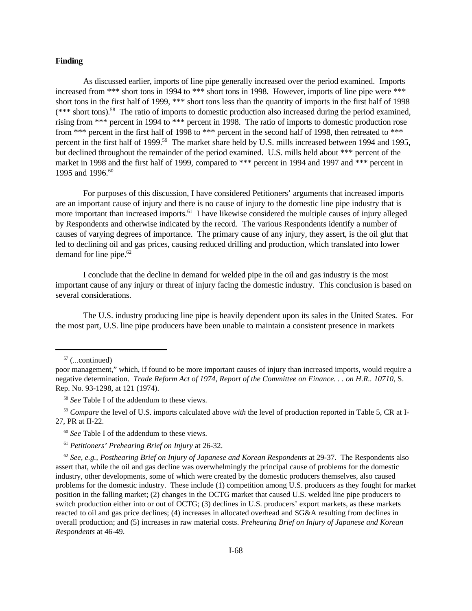### **Finding**

As discussed earlier, imports of line pipe generally increased over the period examined. Imports increased from \*\*\* short tons in 1994 to \*\*\* short tons in 1998. However, imports of line pipe were \*\*\* short tons in the first half of 1999, \*\*\* short tons less than the quantity of imports in the first half of 1998  $(***$  short tons).<sup>58</sup> The ratio of imports to domestic production also increased during the period examined, rising from \*\*\* percent in 1994 to \*\*\* percent in 1998. The ratio of imports to domestic production rose from \*\*\* percent in the first half of 1998 to \*\*\* percent in the second half of 1998, then retreated to \*\*\* percent in the first half of 1999.<sup>59</sup> The market share held by U.S. mills increased between 1994 and 1995, but declined throughout the remainder of the period examined. U.S. mills held about \*\*\* percent of the market in 1998 and the first half of 1999, compared to \*\*\* percent in 1994 and 1997 and \*\*\* percent in 1995 and 1996.<sup>60</sup>

For purposes of this discussion, I have considered Petitioners' arguments that increased imports are an important cause of injury and there is no cause of injury to the domestic line pipe industry that is more important than increased imports.<sup>61</sup> I have likewise considered the multiple causes of injury alleged by Respondents and otherwise indicated by the record. The various Respondents identify a number of causes of varying degrees of importance. The primary cause of any injury, they assert, is the oil glut that led to declining oil and gas prices, causing reduced drilling and production, which translated into lower demand for line pipe. $62$ 

I conclude that the decline in demand for welded pipe in the oil and gas industry is the most important cause of any injury or threat of injury facing the domestic industry. This conclusion is based on several considerations.

The U.S. industry producing line pipe is heavily dependent upon its sales in the United States. For the most part, U.S. line pipe producers have been unable to maintain a consistent presence in markets

 $57$  (...continued)

<sup>58</sup> *See* Table I of the addendum to these views.

<sup>59</sup> *Compare* the level of U.S. imports calculated above *with* the level of production reported in Table 5, CR at I-27, PR at II-22.

 $62$  *See, e.g., Posthearing Brief on Injury of Japanese and Korean Respondents* at 29-37. The Respondents also assert that, while the oil and gas decline was overwhelmingly the principal cause of problems for the domestic industry, other developments, some of which were created by the domestic producers themselves, also caused problems for the domestic industry. These include (1) competition among U.S. producers as they fought for market position in the falling market; (2) changes in the OCTG market that caused U.S. welded line pipe producers to switch production either into or out of OCTG; (3) declines in U.S. producers' export markets, as these markets reacted to oil and gas price declines; (4) increases in allocated overhead and SG&A resulting from declines in overall production; and (5) increases in raw material costs. *Prehearing Brief on Injury of Japanese and Korean Respondents* at 46-49.

poor management," which, if found to be more important causes of injury than increased imports, would require a negative determination. *Trade Reform Act of 1974, Report of the Committee on Finance. . . on H.R.. 10710*, S. Rep. No. 93-1298, at 121 (1974).

<sup>60</sup> *See* Table I of the addendum to these views.

<sup>61</sup> *Petitioners' Prehearing Brief on Injury* at 26-32.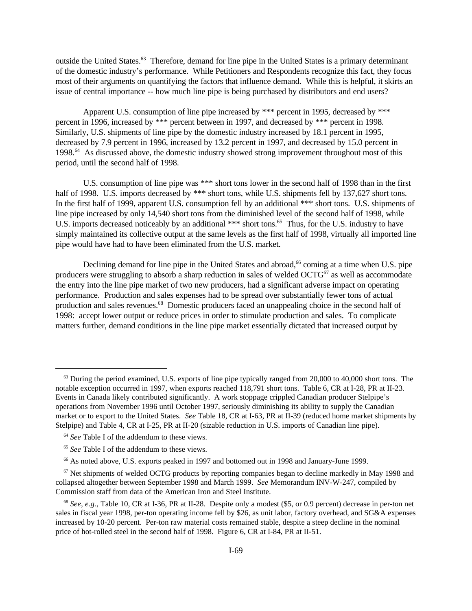outside the United States.<sup>63</sup> Therefore, demand for line pipe in the United States is a primary determinant of the domestic industry's performance. While Petitioners and Respondents recognize this fact, they focus most of their arguments on quantifying the factors that influence demand. While this is helpful, it skirts an issue of central importance -- how much line pipe is being purchased by distributors and end users?

Apparent U.S. consumption of line pipe increased by \*\*\* percent in 1995, decreased by \*\*\* percent in 1996, increased by \*\*\* percent between in 1997, and decreased by \*\*\* percent in 1998. Similarly, U.S. shipments of line pipe by the domestic industry increased by 18.1 percent in 1995, decreased by 7.9 percent in 1996, increased by 13.2 percent in 1997, and decreased by 15.0 percent in 1998.<sup>64</sup> As discussed above, the domestic industry showed strong improvement throughout most of this period, until the second half of 1998.

U.S. consumption of line pipe was \*\*\* short tons lower in the second half of 1998 than in the first half of 1998. U.S. imports decreased by \*\*\* short tons, while U.S. shipments fell by 137,627 short tons. In the first half of 1999, apparent U.S. consumption fell by an additional \*\*\* short tons. U.S. shipments of line pipe increased by only 14,540 short tons from the diminished level of the second half of 1998, while U.S. imports decreased noticeably by an additional \*\*\* short tons.<sup>65</sup> Thus, for the U.S. industry to have simply maintained its collective output at the same levels as the first half of 1998, virtually all imported line pipe would have had to have been eliminated from the U.S. market.

Declining demand for line pipe in the United States and abroad,<sup>66</sup> coming at a time when U.S. pipe producers were struggling to absorb a sharp reduction in sales of welded  $OCTG<sup>67</sup>$  as well as accommodate the entry into the line pipe market of two new producers, had a significant adverse impact on operating performance. Production and sales expenses had to be spread over substantially fewer tons of actual production and sales revenues.<sup>68</sup> Domestic producers faced an unappealing choice in the second half of 1998: accept lower output or reduce prices in order to stimulate production and sales. To complicate matters further, demand conditions in the line pipe market essentially dictated that increased output by

 $^{63}$  During the period examined, U.S. exports of line pipe typically ranged from 20,000 to 40,000 short tons. The notable exception occurred in 1997, when exports reached 118,791 short tons. Table 6, CR at I-28, PR at II-23. Events in Canada likely contributed significantly. A work stoppage crippled Canadian producer Stelpipe's operations from November 1996 until October 1997, seriously diminishing its ability to supply the Canadian market or to export to the United States. *See* Table 18, CR at I-63, PR at II-39 (reduced home market shipments by Stelpipe) and Table 4, CR at I-25, PR at II-20 (sizable reduction in U.S. imports of Canadian line pipe).

<sup>64</sup> *See* Table I of the addendum to these views.

<sup>65</sup> *See* Table I of the addendum to these views.

<sup>&</sup>lt;sup>66</sup> As noted above, U.S. exports peaked in 1997 and bottomed out in 1998 and January-June 1999.

 $67$  Net shipments of welded OCTG products by reporting companies began to decline markedly in May 1998 and collapsed altogether between September 1998 and March 1999. *See* Memorandum INV-W-247, compiled by Commission staff from data of the American Iron and Steel Institute.

<sup>68</sup> *See, e.g.,* Table 10, CR at I-36, PR at II-28. Despite only a modest (\$5, or 0.9 percent) decrease in per-ton net sales in fiscal year 1998, per-ton operating income fell by \$26, as unit labor, factory overhead, and SG&A expenses increased by 10-20 percent. Per-ton raw material costs remained stable, despite a steep decline in the nominal price of hot-rolled steel in the second half of 1998. Figure 6, CR at I-84, PR at II-51.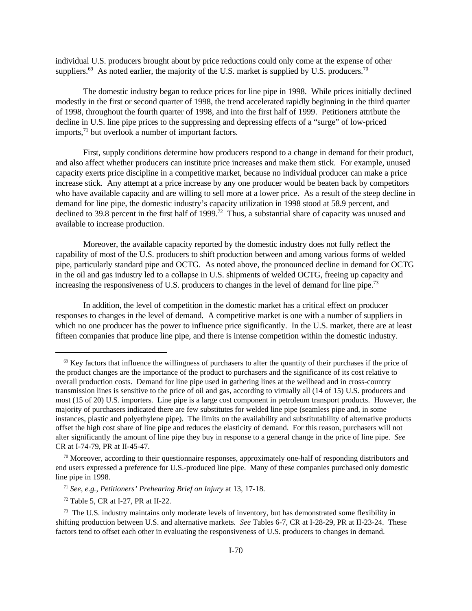individual U.S. producers brought about by price reductions could only come at the expense of other suppliers.<sup>69</sup> As noted earlier, the majority of the U.S. market is supplied by U.S. producers.<sup>70</sup>

The domestic industry began to reduce prices for line pipe in 1998. While prices initially declined modestly in the first or second quarter of 1998, the trend accelerated rapidly beginning in the third quarter of 1998, throughout the fourth quarter of 1998, and into the first half of 1999. Petitioners attribute the decline in U.S. line pipe prices to the suppressing and depressing effects of a "surge" of low-priced imports,<sup>71</sup> but overlook a number of important factors.

First, supply conditions determine how producers respond to a change in demand for their product, and also affect whether producers can institute price increases and make them stick. For example, unused capacity exerts price discipline in a competitive market, because no individual producer can make a price increase stick. Any attempt at a price increase by any one producer would be beaten back by competitors who have available capacity and are willing to sell more at a lower price. As a result of the steep decline in demand for line pipe, the domestic industry's capacity utilization in 1998 stood at 58.9 percent, and declined to 39.8 percent in the first half of 1999.<sup>72</sup> Thus, a substantial share of capacity was unused and available to increase production.

Moreover, the available capacity reported by the domestic industry does not fully reflect the capability of most of the U.S. producers to shift production between and among various forms of welded pipe, particularly standard pipe and OCTG. As noted above, the pronounced decline in demand for OCTG in the oil and gas industry led to a collapse in U.S. shipments of welded OCTG, freeing up capacity and increasing the responsiveness of U.S. producers to changes in the level of demand for line pipe.<sup>73</sup>

In addition, the level of competition in the domestic market has a critical effect on producer responses to changes in the level of demand. A competitive market is one with a number of suppliers in which no one producer has the power to influence price significantly. In the U.S. market, there are at least fifteen companies that produce line pipe, and there is intense competition within the domestic industry.

 $69$  Key factors that influence the willingness of purchasers to alter the quantity of their purchases if the price of the product changes are the importance of the product to purchasers and the significance of its cost relative to overall production costs. Demand for line pipe used in gathering lines at the wellhead and in cross-country transmission lines is sensitive to the price of oil and gas, according to virtually all (14 of 15) U.S. producers and most (15 of 20) U.S. importers. Line pipe is a large cost component in petroleum transport products. However, the majority of purchasers indicated there are few substitutes for welded line pipe (seamless pipe and, in some instances, plastic and polyethylene pipe). The limits on the availability and substitutability of alternative products offset the high cost share of line pipe and reduces the elasticity of demand. For this reason, purchasers will not alter significantly the amount of line pipe they buy in response to a general change in the price of line pipe. *See* CR at I-74-79, PR at II-45-47.

 $70$  Moreover, according to their questionnaire responses, approximately one-half of responding distributors and end users expressed a preference for U.S.-produced line pipe. Many of these companies purchased only domestic line pipe in 1998.

<sup>71</sup> *See, e.g., Petitioners' Prehearing Brief on Injury* at 13, 17-18.

 $72$  Table 5, CR at I-27, PR at II-22.

<sup>&</sup>lt;sup>73</sup> The U.S. industry maintains only moderate levels of inventory, but has demonstrated some flexibility in shifting production between U.S. and alternative markets. *See* Tables 6-7, CR at I-28-29, PR at II-23-24. These factors tend to offset each other in evaluating the responsiveness of U.S. producers to changes in demand.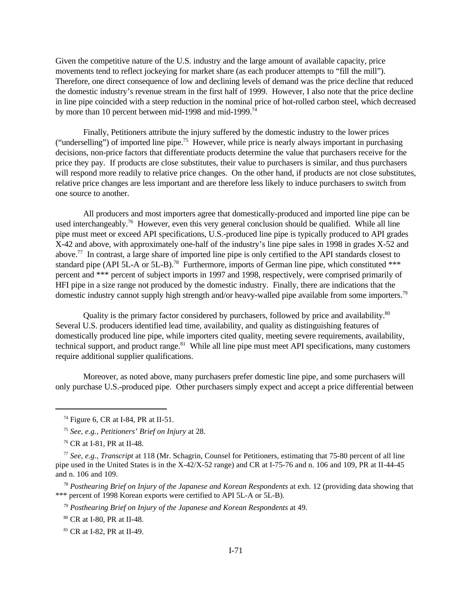Given the competitive nature of the U.S. industry and the large amount of available capacity, price movements tend to reflect jockeying for market share (as each producer attempts to "fill the mill"). Therefore, one direct consequence of low and declining levels of demand was the price decline that reduced the domestic industry's revenue stream in the first half of 1999. However, I also note that the price decline in line pipe coincided with a steep reduction in the nominal price of hot-rolled carbon steel, which decreased by more than 10 percent between mid-1998 and mid-1999.<sup>74</sup>

Finally, Petitioners attribute the injury suffered by the domestic industry to the lower prices ("underselling") of imported line pipe.<sup>75</sup> However, while price is nearly always important in purchasing decisions, non-price factors that differentiate products determine the value that purchasers receive for the price they pay. If products are close substitutes, their value to purchasers is similar, and thus purchasers will respond more readily to relative price changes. On the other hand, if products are not close substitutes, relative price changes are less important and are therefore less likely to induce purchasers to switch from one source to another.

All producers and most importers agree that domestically-produced and imported line pipe can be used interchangeably.<sup>76</sup> However, even this very general conclusion should be qualified. While all line pipe must meet or exceed API specifications, U.S.-produced line pipe is typically produced to API grades X-42 and above, with approximately one-half of the industry's line pipe sales in 1998 in grades X-52 and above.<sup>77</sup> In contrast, a large share of imported line pipe is only certified to the API standards closest to standard pipe (API 5L-A or 5L-B).<sup>78</sup> Furthermore, imports of German line pipe, which constituted \*\*\* percent and \*\*\* percent of subject imports in 1997 and 1998, respectively, were comprised primarily of HFI pipe in a size range not produced by the domestic industry. Finally, there are indications that the domestic industry cannot supply high strength and/or heavy-walled pipe available from some importers.<sup>79</sup>

Quality is the primary factor considered by purchasers, followed by price and availability.<sup>80</sup> Several U.S. producers identified lead time, availability, and quality as distinguishing features of domestically produced line pipe, while importers cited quality, meeting severe requirements, availability, technical support, and product range.<sup>81</sup> While all line pipe must meet API specifications, many customers require additional supplier qualifications.

Moreover, as noted above, many purchasers prefer domestic line pipe, and some purchasers will only purchase U.S.-produced pipe. Other purchasers simply expect and accept a price differential between

 $74$  Figure 6, CR at I-84, PR at II-51.

<sup>75</sup> *See, e.g., Petitioners' Brief on Injury* at 28.

<sup>76</sup> CR at I-81, PR at II-48.

<sup>77</sup> *See, e.g.*, *Transcript* at 118 (Mr. Schagrin, Counsel for Petitioners, estimating that 75-80 percent of all line pipe used in the United States is in the X-42/X-52 range) and CR at I-75-76 and n. 106 and 109, PR at II-44-45 and n. 106 and 109.

<sup>78</sup> *Posthearing Brief on Injury of the Japanese and Korean Respondents* at exh. 12 (providing data showing that \*\*\* percent of 1998 Korean exports were certified to API 5L-A or 5L-B).

<sup>79</sup> *Posthearing Brief on Injury of the Japanese and Korean Respondents* at 49.

<sup>80</sup> CR at I-80, PR at II-48.

<sup>81</sup> CR at I-82, PR at II-49.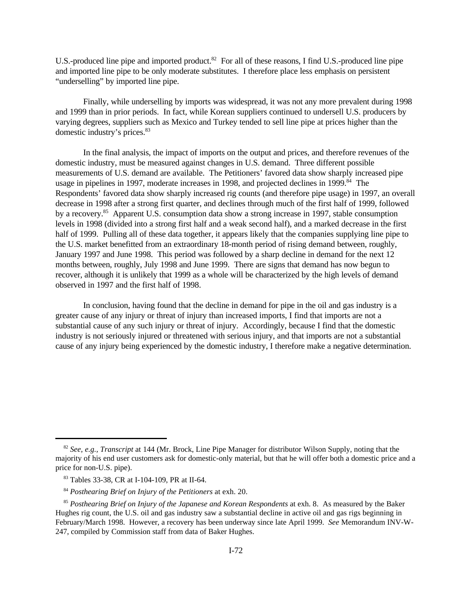U.S.-produced line pipe and imported product.<sup>82</sup> For all of these reasons, I find U.S.-produced line pipe and imported line pipe to be only moderate substitutes. I therefore place less emphasis on persistent "underselling" by imported line pipe.

Finally, while underselling by imports was widespread, it was not any more prevalent during 1998 and 1999 than in prior periods. In fact, while Korean suppliers continued to undersell U.S. producers by varying degrees, suppliers such as Mexico and Turkey tended to sell line pipe at prices higher than the domestic industry's prices.<sup>83</sup>

In the final analysis, the impact of imports on the output and prices, and therefore revenues of the domestic industry, must be measured against changes in U.S. demand. Three different possible measurements of U.S. demand are available. The Petitioners' favored data show sharply increased pipe usage in pipelines in 1997, moderate increases in 1998, and projected declines in 1999.<sup>84</sup> The Respondents' favored data show sharply increased rig counts (and therefore pipe usage) in 1997, an overall decrease in 1998 after a strong first quarter, and declines through much of the first half of 1999, followed by a recovery.<sup>85</sup> Apparent U.S. consumption data show a strong increase in 1997, stable consumption levels in 1998 (divided into a strong first half and a weak second half), and a marked decrease in the first half of 1999. Pulling all of these data together, it appears likely that the companies supplying line pipe to the U.S. market benefitted from an extraordinary 18-month period of rising demand between, roughly, January 1997 and June 1998. This period was followed by a sharp decline in demand for the next 12 months between, roughly, July 1998 and June 1999. There are signs that demand has now begun to recover, although it is unlikely that 1999 as a whole will be characterized by the high levels of demand observed in 1997 and the first half of 1998.

In conclusion, having found that the decline in demand for pipe in the oil and gas industry is a greater cause of any injury or threat of injury than increased imports, I find that imports are not a substantial cause of any such injury or threat of injury. Accordingly, because I find that the domestic industry is not seriously injured or threatened with serious injury, and that imports are not a substantial cause of any injury being experienced by the domestic industry, I therefore make a negative determination.

<sup>82</sup> *See, e.g., Transcript* at 144 (Mr. Brock, Line Pipe Manager for distributor Wilson Supply, noting that the majority of his end user customers ask for domestic-only material, but that he will offer both a domestic price and a price for non-U.S. pipe).

<sup>83</sup> Tables 33-38, CR at I-104-109, PR at II-64.

<sup>84</sup> *Posthearing Brief on Injury of the Petitioners* at exh. 20.

<sup>85</sup> *Posthearing Brief on Injury of the Japanese and Korean Respondents* at exh. 8. As measured by the Baker Hughes rig count, the U.S. oil and gas industry saw a substantial decline in active oil and gas rigs beginning in February/March 1998. However, a recovery has been underway since late April 1999. *See* Memorandum INV-W-247, compiled by Commission staff from data of Baker Hughes.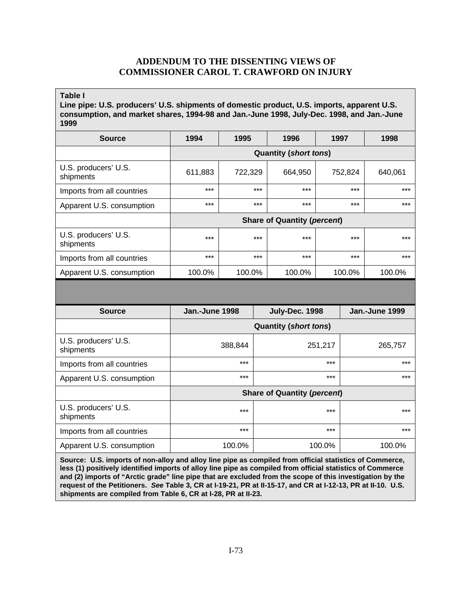# **ADDENDUM TO THE DISSENTING VIEWS OF COMMISSIONER CAROL T. CRAWFORD ON INJURY**

**Table I**

**Line pipe: U.S. producers' U.S. shipments of domestic product, U.S. imports, apparent U.S. consumption, and market shares, 1994-98 and Jan.-June 1998, July-Dec. 1998, and Jan.-June 1999**

| <b>Source</b>                     | 1994                               | 1995    | 1996    | 1997    | 1998    |
|-----------------------------------|------------------------------------|---------|---------|---------|---------|
|                                   | <b>Quantity (short tons)</b>       |         |         |         |         |
| U.S. producers' U.S.<br>shipments | 611,883                            | 722,329 | 664,950 | 752,824 | 640,061 |
| Imports from all countries        | $***$                              | $***$   | $***$   | $***$   | $***$   |
| Apparent U.S. consumption         | $***$                              | $***$   | $***$   | $***$   | $***$   |
|                                   | <b>Share of Quantity (percent)</b> |         |         |         |         |
| U.S. producers' U.S.<br>shipments | $***$                              | $***$   | $***$   | $***$   | $***$   |
| Imports from all countries        | $***$                              | $***$   | $***$   | $***$   | $***$   |
| Apparent U.S. consumption         | 100.0%                             | 100.0%  | 100.0%  | 100.0%  | 100.0%  |

| <b>Source</b>                     | Jan.-June 1998                     | July-Dec. 1998 | Jan.-June 1999 |  |  |
|-----------------------------------|------------------------------------|----------------|----------------|--|--|
|                                   | <b>Quantity (short tons)</b>       |                |                |  |  |
| U.S. producers' U.S.<br>shipments | 388,844                            | 251,217        | 265,757        |  |  |
| Imports from all countries        | $***$                              | $***$          | $***$          |  |  |
| Apparent U.S. consumption         | ***                                | $***$          | $***$          |  |  |
|                                   | <b>Share of Quantity (percent)</b> |                |                |  |  |
| U.S. producers' U.S.<br>shipments | $***$                              | $***$          | $***$          |  |  |
| Imports from all countries        | ***                                | $***$          | $***$          |  |  |
| Apparent U.S. consumption         | 100.0%                             | 100.0%         | 100.0%         |  |  |

**Source: U.S. imports of non-alloy and alloy line pipe as compiled from official statistics of Commerce, less (1) positively identified imports of alloy line pipe as compiled from official statistics of Commerce and (2) imports of "Arctic grade" line pipe that are excluded from the scope of this investigation by the request of the Petitioners.** *See* **Table 3, CR at I-19-21, PR at II-15-17, and CR at I-12-13, PR at II-10. U.S. shipments are compiled from Table 6, CR at I-28, PR at II-23.**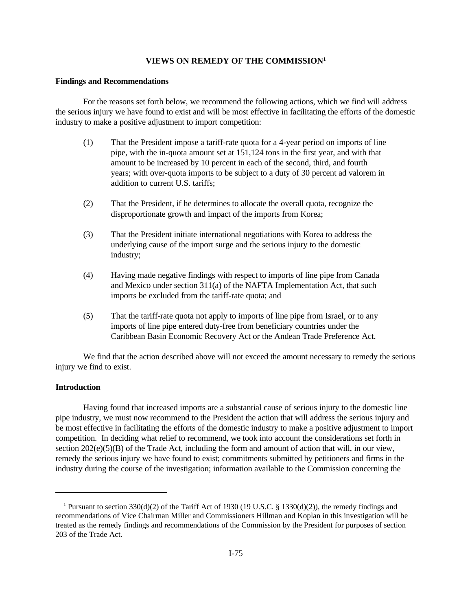# **VIEWS ON REMEDY OF THE COMMISSION<sup>1</sup>**

#### **Findings and Recommendations**

For the reasons set forth below, we recommend the following actions, which we find will address the serious injury we have found to exist and will be most effective in facilitating the efforts of the domestic industry to make a positive adjustment to import competition:

- (1) That the President impose a tariff-rate quota for a 4-year period on imports of line pipe, with the in-quota amount set at 151,124 tons in the first year, and with that amount to be increased by 10 percent in each of the second, third, and fourth years; with over-quota imports to be subject to a duty of 30 percent ad valorem in addition to current U.S. tariffs;
- (2) That the President, if he determines to allocate the overall quota, recognize the disproportionate growth and impact of the imports from Korea;
- (3) That the President initiate international negotiations with Korea to address the underlying cause of the import surge and the serious injury to the domestic industry;
- (4) Having made negative findings with respect to imports of line pipe from Canada and Mexico under section 311(a) of the NAFTA Implementation Act, that such imports be excluded from the tariff-rate quota; and
- (5) That the tariff-rate quota not apply to imports of line pipe from Israel, or to any imports of line pipe entered duty-free from beneficiary countries under the Caribbean Basin Economic Recovery Act or the Andean Trade Preference Act.

We find that the action described above will not exceed the amount necessary to remedy the serious injury we find to exist.

# **Introduction**

Having found that increased imports are a substantial cause of serious injury to the domestic line pipe industry, we must now recommend to the President the action that will address the serious injury and be most effective in facilitating the efforts of the domestic industry to make a positive adjustment to import competition. In deciding what relief to recommend, we took into account the considerations set forth in section  $202(e)(5)(B)$  of the Trade Act, including the form and amount of action that will, in our view, remedy the serious injury we have found to exist; commitments submitted by petitioners and firms in the industry during the course of the investigation; information available to the Commission concerning the

<sup>1</sup> Pursuant to section 330(d)(2) of the Tariff Act of 1930 (19 U.S.C. § 1330(d)(2)), the remedy findings and recommendations of Vice Chairman Miller and Commissioners Hillman and Koplan in this investigation will be treated as the remedy findings and recommendations of the Commission by the President for purposes of section 203 of the Trade Act.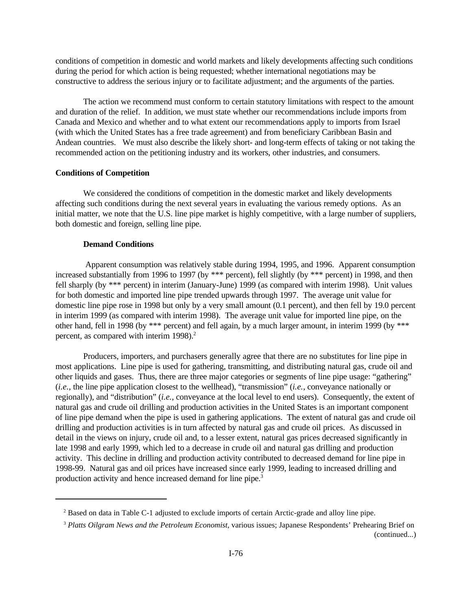conditions of competition in domestic and world markets and likely developments affecting such conditions during the period for which action is being requested; whether international negotiations may be constructive to address the serious injury or to facilitate adjustment; and the arguments of the parties.

The action we recommend must conform to certain statutory limitations with respect to the amount and duration of the relief. In addition, we must state whether our recommendations include imports from Canada and Mexico and whether and to what extent our recommendations apply to imports from Israel (with which the United States has a free trade agreement) and from beneficiary Caribbean Basin and Andean countries. We must also describe the likely short- and long-term effects of taking or not taking the recommended action on the petitioning industry and its workers, other industries, and consumers.

### **Conditions of Competition**

We considered the conditions of competition in the domestic market and likely developments affecting such conditions during the next several years in evaluating the various remedy options. As an initial matter, we note that the U.S. line pipe market is highly competitive, with a large number of suppliers, both domestic and foreign, selling line pipe.

### **Demand Conditions**

 Apparent consumption was relatively stable during 1994, 1995, and 1996. Apparent consumption increased substantially from 1996 to 1997 (by \*\*\* percent), fell slightly (by \*\*\* percent) in 1998, and then fell sharply (by \*\*\* percent) in interim (January-June) 1999 (as compared with interim 1998). Unit values for both domestic and imported line pipe trended upwards through 1997. The average unit value for domestic line pipe rose in 1998 but only by a very small amount (0.1 percent), and then fell by 19.0 percent in interim 1999 (as compared with interim 1998). The average unit value for imported line pipe, on the other hand, fell in 1998 (by \*\*\* percent) and fell again, by a much larger amount, in interim 1999 (by \*\*\* percent, as compared with interim  $1998$ ).<sup>2</sup>

Producers, importers, and purchasers generally agree that there are no substitutes for line pipe in most applications. Line pipe is used for gathering, transmitting, and distributing natural gas, crude oil and other liquids and gases. Thus, there are three major categories or segments of line pipe usage: "gathering" (*i.e.*, the line pipe application closest to the wellhead), "transmission" (*i.e.*, conveyance nationally or regionally), and "distribution" (*i.e.*, conveyance at the local level to end users). Consequently, the extent of natural gas and crude oil drilling and production activities in the United States is an important component of line pipe demand when the pipe is used in gathering applications. The extent of natural gas and crude oil drilling and production activities is in turn affected by natural gas and crude oil prices. As discussed in detail in the views on injury, crude oil and, to a lesser extent, natural gas prices decreased significantly in late 1998 and early 1999, which led to a decrease in crude oil and natural gas drilling and production activity. This decline in drilling and production activity contributed to decreased demand for line pipe in 1998-99. Natural gas and oil prices have increased since early 1999, leading to increased drilling and production activity and hence increased demand for line pipe.<sup>3</sup>

 $2$  Based on data in Table C-1 adjusted to exclude imports of certain Arctic-grade and alloy line pipe.

<sup>3</sup> *Platts Oilgram News and the Petroleum Economist*, various issues; Japanese Respondents' Prehearing Brief on (continued...)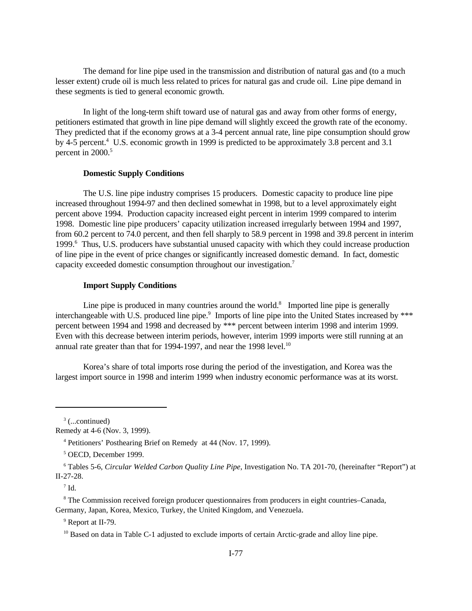The demand for line pipe used in the transmission and distribution of natural gas and (to a much lesser extent) crude oil is much less related to prices for natural gas and crude oil. Line pipe demand in these segments is tied to general economic growth.

In light of the long-term shift toward use of natural gas and away from other forms of energy, petitioners estimated that growth in line pipe demand will slightly exceed the growth rate of the economy. They predicted that if the economy grows at a 3-4 percent annual rate, line pipe consumption should grow by 4-5 percent.<sup>4</sup> U.S. economic growth in 1999 is predicted to be approximately 3.8 percent and 3.1 percent in 2000.<sup>5</sup>

# **Domestic Supply Conditions**

The U.S. line pipe industry comprises 15 producers. Domestic capacity to produce line pipe increased throughout 1994-97 and then declined somewhat in 1998, but to a level approximately eight percent above 1994. Production capacity increased eight percent in interim 1999 compared to interim 1998. Domestic line pipe producers' capacity utilization increased irregularly between 1994 and 1997, from 60.2 percent to 74.0 percent, and then fell sharply to 58.9 percent in 1998 and 39.8 percent in interim 1999.<sup>6</sup> Thus, U.S. producers have substantial unused capacity with which they could increase production of line pipe in the event of price changes or significantly increased domestic demand. In fact, domestic capacity exceeded domestic consumption throughout our investigation.<sup>7</sup>

# **Import Supply Conditions**

Line pipe is produced in many countries around the world. $8$  Imported line pipe is generally interchangeable with U.S. produced line pipe.<sup>9</sup> Imports of line pipe into the United States increased by \*\*\* percent between 1994 and 1998 and decreased by \*\*\* percent between interim 1998 and interim 1999. Even with this decrease between interim periods, however, interim 1999 imports were still running at an annual rate greater than that for 1994-1997, and near the 1998 level.<sup>10</sup>

Korea's share of total imports rose during the period of the investigation, and Korea was the largest import source in 1998 and interim 1999 when industry economic performance was at its worst.

 $\rm ^{7}$  Id.

<sup>8</sup> The Commission received foreign producer questionnaires from producers in eight countries–Canada, Germany, Japan, Korea, Mexico, Turkey, the United Kingdom, and Venezuela.

 $3$  (...continued)

Remedy at 4-6 (Nov. 3, 1999).

<sup>4</sup> Petitioners' Posthearing Brief on Remedy at 44 (Nov. 17, 1999).

<sup>5</sup> OECD, December 1999.

<sup>6</sup> Tables 5-6, *Circular Welded Carbon Quality Line Pipe*, Investigation No. TA 201-70, (hereinafter "Report") at II-27-28.

<sup>&</sup>lt;sup>9</sup> Report at II-79.

<sup>&</sup>lt;sup>10</sup> Based on data in Table C-1 adjusted to exclude imports of certain Arctic-grade and alloy line pipe.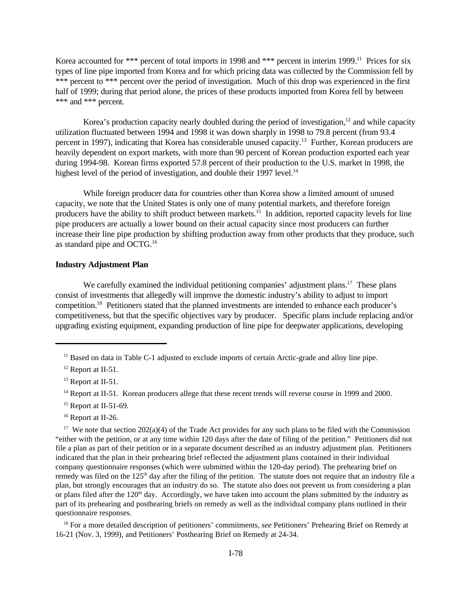Korea accounted for \*\*\* percent of total imports in 1998 and \*\*\* percent in interim 1999.<sup>11</sup> Prices for six types of line pipe imported from Korea and for which pricing data was collected by the Commission fell by \*\*\* percent to \*\*\* percent over the period of investigation. Much of this drop was experienced in the first half of 1999; during that period alone, the prices of these products imported from Korea fell by between \*\*\* and \*\*\* percent.

Korea's production capacity nearly doubled during the period of investigation, $12$  and while capacity utilization fluctuated between 1994 and 1998 it was down sharply in 1998 to 79.8 percent (from 93.4 percent in 1997), indicating that Korea has considerable unused capacity.<sup>13</sup> Further, Korean producers are heavily dependent on export markets, with more than 90 percent of Korean production exported each year during 1994-98. Korean firms exported 57.8 percent of their production to the U.S. market in 1998, the highest level of the period of investigation, and double their 1997 level.<sup>14</sup>

While foreign producer data for countries other than Korea show a limited amount of unused capacity, we note that the United States is only one of many potential markets, and therefore foreign producers have the ability to shift product between markets.<sup>15</sup> In addition, reported capacity levels for line pipe producers are actually a lower bound on their actual capacity since most producers can further increase their line pipe production by shifting production away from other products that they produce, such as standard pipe and OCTG.<sup>16</sup>

# **Industry Adjustment Plan**

We carefully examined the individual petitioning companies' adjustment plans.<sup>17</sup> These plans consist of investments that allegedly will improve the domestic industry's ability to adjust to import competition.<sup>18</sup> Petitioners stated that the planned investments are intended to enhance each producer's competitiveness, but that the specific objectives vary by producer. Specific plans include replacing and/or upgrading existing equipment, expanding production of line pipe for deepwater applications, developing

- <sup>15</sup> Report at II-51-69.
- <sup>16</sup> Report at II-26.

<sup>17</sup> We note that section  $202(a)(4)$  of the Trade Act provides for any such plans to be filed with the Commission "either with the petition, or at any time within 120 days after the date of filing of the petition." Petitioners did not file a plan as part of their petition or in a separate document described as an industry adjustment plan. Petitioners indicated that the plan in their prehearing brief reflected the adjustment plans contained in their individual company questionnaire responses (which were submitted within the 120-day period). The prehearing brief on remedy was filed on the 125<sup>th</sup> day after the filing of the petition. The statute does not require that an industry file a plan, but strongly encourages that an industry do so. The statute also does not prevent us from considering a plan or plans filed after the  $120<sup>th</sup>$  day. Accordingly, we have taken into account the plans submitted by the industry as part of its prehearing and posthearing briefs on remedy as well as the individual company plans outlined in their questionnaire responses.

<sup>18</sup> For a more detailed description of petitioners' commitments, *see* Petitioners' Prehearing Brief on Remedy at 16-21 (Nov. 3, 1999), and Petitioners' Posthearing Brief on Remedy at 24-34.

<sup>&</sup>lt;sup>11</sup> Based on data in Table C-1 adjusted to exclude imports of certain Arctic-grade and alloy line pipe.

<sup>&</sup>lt;sup>12</sup> Report at II-51.

<sup>&</sup>lt;sup>13</sup> Report at II-51.

<sup>&</sup>lt;sup>14</sup> Report at II-51. Korean producers allege that these recent trends will reverse course in 1999 and 2000.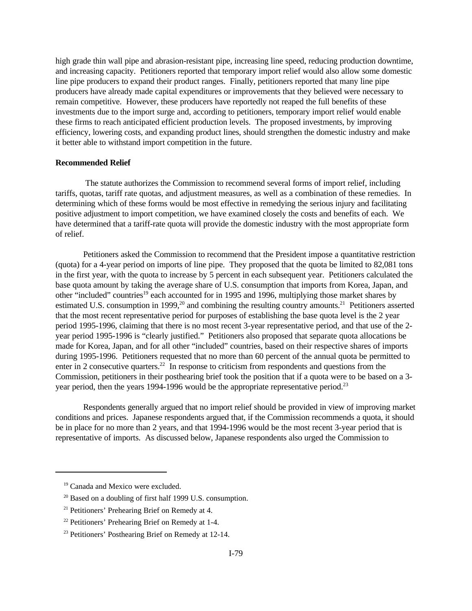high grade thin wall pipe and abrasion-resistant pipe, increasing line speed, reducing production downtime, and increasing capacity. Petitioners reported that temporary import relief would also allow some domestic line pipe producers to expand their product ranges. Finally, petitioners reported that many line pipe producers have already made capital expenditures or improvements that they believed were necessary to remain competitive. However, these producers have reportedly not reaped the full benefits of these investments due to the import surge and, according to petitioners, temporary import relief would enable these firms to reach anticipated efficient production levels. The proposed investments, by improving efficiency, lowering costs, and expanding product lines, should strengthen the domestic industry and make it better able to withstand import competition in the future.

#### **Recommended Relief**

 The statute authorizes the Commission to recommend several forms of import relief, including tariffs, quotas, tariff rate quotas, and adjustment measures, as well as a combination of these remedies. In determining which of these forms would be most effective in remedying the serious injury and facilitating positive adjustment to import competition, we have examined closely the costs and benefits of each. We have determined that a tariff-rate quota will provide the domestic industry with the most appropriate form of relief.

Petitioners asked the Commission to recommend that the President impose a quantitative restriction (quota) for a 4-year period on imports of line pipe. They proposed that the quota be limited to 82,081 tons in the first year, with the quota to increase by 5 percent in each subsequent year. Petitioners calculated the base quota amount by taking the average share of U.S. consumption that imports from Korea, Japan, and other "included" countries<sup>19</sup> each accounted for in 1995 and 1996, multiplying those market shares by estimated U.S. consumption in 1999, $^{20}$  and combining the resulting country amounts.<sup>21</sup> Petitioners asserted that the most recent representative period for purposes of establishing the base quota level is the 2 year period 1995-1996, claiming that there is no most recent 3-year representative period, and that use of the 2 year period 1995-1996 is "clearly justified." Petitioners also proposed that separate quota allocations be made for Korea, Japan, and for all other "included" countries, based on their respective shares of imports during 1995-1996. Petitioners requested that no more than 60 percent of the annual quota be permitted to enter in 2 consecutive quarters.<sup>22</sup> In response to criticism from respondents and questions from the Commission, petitioners in their posthearing brief took the position that if a quota were to be based on a 3 year period, then the years 1994-1996 would be the appropriate representative period.<sup>23</sup>

Respondents generally argued that no import relief should be provided in view of improving market conditions and prices. Japanese respondents argued that, if the Commission recommends a quota, it should be in place for no more than 2 years, and that 1994-1996 would be the most recent 3-year period that is representative of imports. As discussed below, Japanese respondents also urged the Commission to

<sup>&</sup>lt;sup>19</sup> Canada and Mexico were excluded.

<sup>&</sup>lt;sup>20</sup> Based on a doubling of first half 1999 U.S. consumption.

<sup>&</sup>lt;sup>21</sup> Petitioners' Prehearing Brief on Remedy at 4.

<sup>22</sup> Petitioners' Prehearing Brief on Remedy at 1-4.

<sup>23</sup> Petitioners' Posthearing Brief on Remedy at 12-14.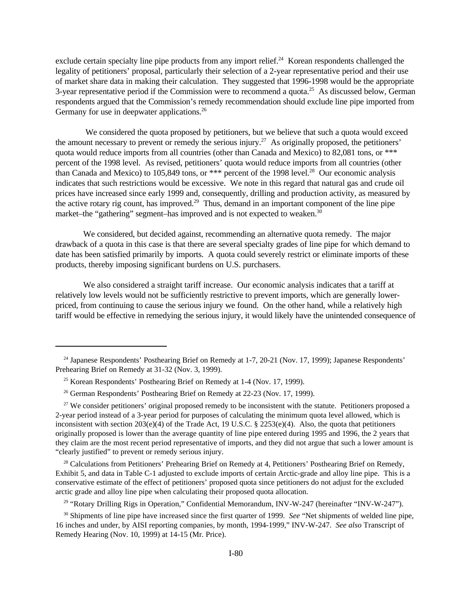exclude certain specialty line pipe products from any import relief.<sup>24</sup> Korean respondents challenged the legality of petitioners' proposal, particularly their selection of a 2-year representative period and their use of market share data in making their calculation. They suggested that 1996-1998 would be the appropriate 3-year representative period if the Commission were to recommend a quota.<sup>25</sup> As discussed below, German respondents argued that the Commission's remedy recommendation should exclude line pipe imported from Germany for use in deepwater applications.<sup>26</sup>

We considered the quota proposed by petitioners, but we believe that such a quota would exceed the amount necessary to prevent or remedy the serious injury.<sup>27</sup> As originally proposed, the petitioners' quota would reduce imports from all countries (other than Canada and Mexico) to 82,081 tons, or \*\*\* percent of the 1998 level. As revised, petitioners' quota would reduce imports from all countries (other than Canada and Mexico) to 105,849 tons, or \*\*\* percent of the 1998 level.<sup>28</sup> Our economic analysis indicates that such restrictions would be excessive. We note in this regard that natural gas and crude oil prices have increased since early 1999 and, consequently, drilling and production activity, as measured by the active rotary rig count, has improved.<sup>29</sup> Thus, demand in an important component of the line pipe market–the "gathering" segment–has improved and is not expected to weaken.<sup>30</sup>

We considered, but decided against, recommending an alternative quota remedy. The major drawback of a quota in this case is that there are several specialty grades of line pipe for which demand to date has been satisfied primarily by imports. A quota could severely restrict or eliminate imports of these products, thereby imposing significant burdens on U.S. purchasers.

We also considered a straight tariff increase. Our economic analysis indicates that a tariff at relatively low levels would not be sufficiently restrictive to prevent imports, which are generally lowerpriced, from continuing to cause the serious injury we found. On the other hand, while a relatively high tariff would be effective in remedying the serious injury, it would likely have the unintended consequence of

<sup>28</sup> Calculations from Petitioners' Prehearing Brief on Remedy at 4, Petitioners' Posthearing Brief on Remedy, Exhibit 5, and data in Table C-1 adjusted to exclude imports of certain Arctic-grade and alloy line pipe. This is a conservative estimate of the effect of petitioners' proposed quota since petitioners do not adjust for the excluded arctic grade and alloy line pipe when calculating their proposed quota allocation.

<sup>29</sup> "Rotary Drilling Rigs in Operation," Confidential Memorandum, INV-W-247 (hereinafter "INV-W-247").

<sup>30</sup> Shipments of line pipe have increased since the first quarter of 1999. *See* "Net shipments of welded line pipe, 16 inches and under, by AISI reporting companies, by month, 1994-1999," INV-W-247. *See also* Transcript of Remedy Hearing (Nov. 10, 1999) at 14-15 (Mr. Price).

<sup>&</sup>lt;sup>24</sup> Japanese Respondents' Posthearing Brief on Remedy at 1-7, 20-21 (Nov. 17, 1999); Japanese Respondents' Prehearing Brief on Remedy at 31-32 (Nov. 3, 1999).

<sup>&</sup>lt;sup>25</sup> Korean Respondents' Posthearing Brief on Remedy at 1-4 (Nov. 17, 1999).

<sup>&</sup>lt;sup>26</sup> German Respondents' Posthearing Brief on Remedy at 22-23 (Nov. 17, 1999).

 $27$  We consider petitioners' original proposed remedy to be inconsistent with the statute. Petitioners proposed a 2-year period instead of a 3-year period for purposes of calculating the minimum quota level allowed, which is inconsistent with section 203(e)(4) of the Trade Act, 19 U.S.C. § 2253(e)(4). Also, the quota that petitioners originally proposed is lower than the average quantity of line pipe entered during 1995 and 1996, the 2 years that they claim are the most recent period representative of imports, and they did not argue that such a lower amount is "clearly justified" to prevent or remedy serious injury.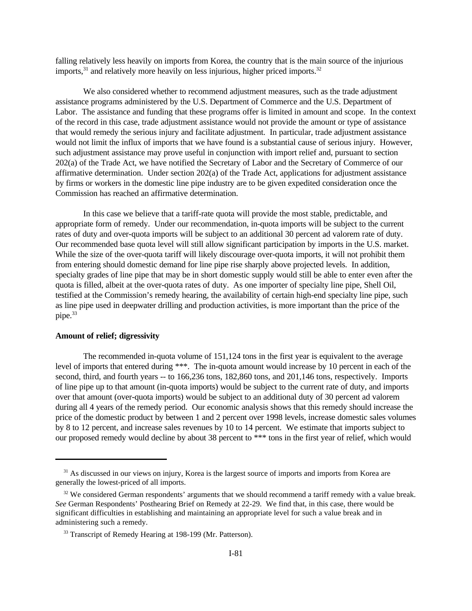falling relatively less heavily on imports from Korea, the country that is the main source of the injurious imports, $31$  and relatively more heavily on less injurious, higher priced imports. $32$ 

We also considered whether to recommend adjustment measures, such as the trade adjustment assistance programs administered by the U.S. Department of Commerce and the U.S. Department of Labor. The assistance and funding that these programs offer is limited in amount and scope. In the context of the record in this case, trade adjustment assistance would not provide the amount or type of assistance that would remedy the serious injury and facilitate adjustment. In particular, trade adjustment assistance would not limit the influx of imports that we have found is a substantial cause of serious injury. However, such adjustment assistance may prove useful in conjunction with import relief and, pursuant to section 202(a) of the Trade Act, we have notified the Secretary of Labor and the Secretary of Commerce of our affirmative determination. Under section 202(a) of the Trade Act, applications for adjustment assistance by firms or workers in the domestic line pipe industry are to be given expedited consideration once the Commission has reached an affirmative determination.

In this case we believe that a tariff-rate quota will provide the most stable, predictable, and appropriate form of remedy. Under our recommendation, in-quota imports will be subject to the current rates of duty and over-quota imports will be subject to an additional 30 percent ad valorem rate of duty. Our recommended base quota level will still allow significant participation by imports in the U.S. market. While the size of the over-quota tariff will likely discourage over-quota imports, it will not prohibit them from entering should domestic demand for line pipe rise sharply above projected levels. In addition, specialty grades of line pipe that may be in short domestic supply would still be able to enter even after the quota is filled, albeit at the over-quota rates of duty. As one importer of specialty line pipe, Shell Oil, testified at the Commission's remedy hearing, the availability of certain high-end specialty line pipe, such as line pipe used in deepwater drilling and production activities, is more important than the price of the pipe.<sup>33</sup>

### **Amount of relief; digressivity**

The recommended in-quota volume of 151,124 tons in the first year is equivalent to the average level of imports that entered during \*\*\*. The in-quota amount would increase by 10 percent in each of the second, third, and fourth years -- to 166,236 tons, 182,860 tons, and 201,146 tons, respectively. Imports of line pipe up to that amount (in-quota imports) would be subject to the current rate of duty, and imports over that amount (over-quota imports) would be subject to an additional duty of 30 percent ad valorem during all 4 years of the remedy period. Our economic analysis shows that this remedy should increase the price of the domestic product by between 1 and 2 percent over 1998 levels, increase domestic sales volumes by 8 to 12 percent, and increase sales revenues by 10 to 14 percent. We estimate that imports subject to our proposed remedy would decline by about 38 percent to \*\*\* tons in the first year of relief, which would

<sup>&</sup>lt;sup>31</sup> As discussed in our views on injury, Korea is the largest source of imports and imports from Korea are generally the lowest-priced of all imports.

<sup>&</sup>lt;sup>32</sup> We considered German respondents' arguments that we should recommend a tariff remedy with a value break. *See* German Respondents' Posthearing Brief on Remedy at 22-29. We find that, in this case, there would be significant difficulties in establishing and maintaining an appropriate level for such a value break and in administering such a remedy.

<sup>&</sup>lt;sup>33</sup> Transcript of Remedy Hearing at 198-199 (Mr. Patterson).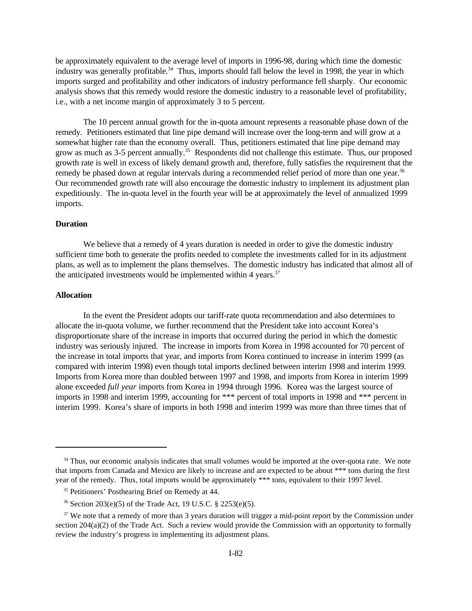be approximately equivalent to the average level of imports in 1996-98, during which time the domestic industry was generally profitable.<sup>34</sup> Thus, imports should fall below the level in 1998, the year in which imports surged and profitability and other indicators of industry performance fell sharply. Our economic analysis shows that this remedy would restore the domestic industry to a reasonable level of profitability, i.e., with a net income margin of approximately 3 to 5 percent.

The 10 percent annual growth for the in-quota amount represents a reasonable phase down of the remedy. Petitioners estimated that line pipe demand will increase over the long-term and will grow at a somewhat higher rate than the economy overall. Thus, petitioners estimated that line pipe demand may grow as much as 3-5 percent annually.<sup>35</sup> Respondents did not challenge this estimate. Thus, our proposed growth rate is well in excess of likely demand growth and, therefore, fully satisfies the requirement that the remedy be phased down at regular intervals during a recommended relief period of more than one year.<sup>36</sup> Our recommended growth rate will also encourage the domestic industry to implement its adjustment plan expeditiously. The in-quota level in the fourth year will be at approximately the level of annualized 1999 imports.

## **Duration**

We believe that a remedy of 4 years duration is needed in order to give the domestic industry sufficient time both to generate the profits needed to complete the investments called for in its adjustment plans, as well as to implement the plans themselves. The domestic industry has indicated that almost all of the anticipated investments would be implemented within 4 years.<sup>37</sup>

### **Allocation**

In the event the President adopts our tariff-rate quota recommendation and also determines to allocate the in-quota volume, we further recommend that the President take into account Korea's disproportionate share of the increase in imports that occurred during the period in which the domestic industry was seriously injured. The increase in imports from Korea in 1998 accounted for 70 percent of the increase in total imports that year, and imports from Korea continued to increase in interim 1999 (as compared with interim 1998) even though total imports declined between interim 1998 and interim 1999. Imports from Korea more than doubled between 1997 and 1998, and imports from Korea in interim 1999 alone exceeded *full year* imports from Korea in 1994 through 1996. Korea was the largest source of imports in 1998 and interim 1999, accounting for \*\*\* percent of total imports in 1998 and \*\*\* percent in interim 1999. Korea's share of imports in both 1998 and interim 1999 was more than three times that of

<sup>&</sup>lt;sup>34</sup> Thus, our economic analysis indicates that small volumes would be imported at the over-quota rate. We note that imports from Canada and Mexico are likely to increase and are expected to be about \*\*\* tons during the first year of the remedy. Thus, total imports would be approximately \*\*\* tons, equivalent to their 1997 level.

<sup>35</sup> Petitioners' Posthearing Brief on Remedy at 44.

<sup>36</sup> Section 203(e)(5) of the Trade Act, 19 U.S.C. § 2253(e)(5).

<sup>&</sup>lt;sup>37</sup> We note that a remedy of more than 3 years duration will trigger a mid-point report by the Commission under section 204(a)(2) of the Trade Act. Such a review would provide the Commission with an opportunity to formally review the industry's progress in implementing its adjustment plans.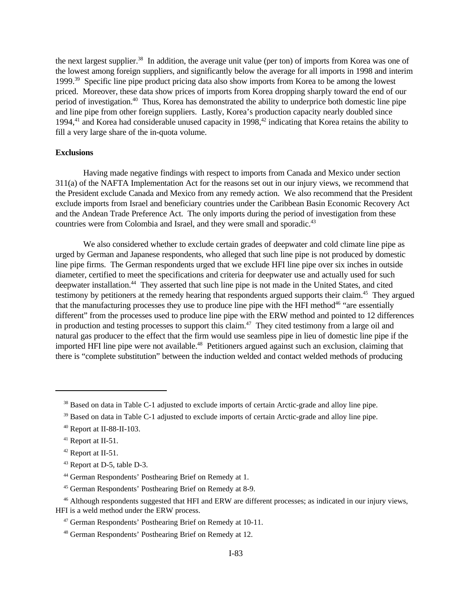the next largest supplier.<sup>38</sup> In addition, the average unit value (per ton) of imports from Korea was one of the lowest among foreign suppliers, and significantly below the average for all imports in 1998 and interim 1999.<sup>39</sup> Specific line pipe product pricing data also show imports from Korea to be among the lowest priced. Moreover, these data show prices of imports from Korea dropping sharply toward the end of our period of investigation.<sup>40</sup> Thus, Korea has demonstrated the ability to underprice both domestic line pipe and line pipe from other foreign suppliers. Lastly, Korea's production capacity nearly doubled since 1994,<sup>41</sup> and Korea had considerable unused capacity in 1998,<sup>42</sup> indicating that Korea retains the ability to fill a very large share of the in-quota volume.

## **Exclusions**

Having made negative findings with respect to imports from Canada and Mexico under section 311(a) of the NAFTA Implementation Act for the reasons set out in our injury views, we recommend that the President exclude Canada and Mexico from any remedy action. We also recommend that the President exclude imports from Israel and beneficiary countries under the Caribbean Basin Economic Recovery Act and the Andean Trade Preference Act. The only imports during the period of investigation from these countries were from Colombia and Israel, and they were small and sporadic.<sup>43</sup>

We also considered whether to exclude certain grades of deepwater and cold climate line pipe as urged by German and Japanese respondents, who alleged that such line pipe is not produced by domestic line pipe firms. The German respondents urged that we exclude HFI line pipe over six inches in outside diameter, certified to meet the specifications and criteria for deepwater use and actually used for such deepwater installation.<sup>44</sup> They asserted that such line pipe is not made in the United States, and cited testimony by petitioners at the remedy hearing that respondents argued supports their claim.<sup>45</sup> They argued that the manufacturing processes they use to produce line pipe with the HFI method<sup>46</sup> "are essentially different" from the processes used to produce line pipe with the ERW method and pointed to 12 differences in production and testing processes to support this claim.<sup>47</sup> They cited testimony from a large oil and natural gas producer to the effect that the firm would use seamless pipe in lieu of domestic line pipe if the imported HFI line pipe were not available.<sup>48</sup> Petitioners argued against such an exclusion, claiming that there is "complete substitution" between the induction welded and contact welded methods of producing

<sup>&</sup>lt;sup>38</sup> Based on data in Table C-1 adjusted to exclude imports of certain Arctic-grade and alloy line pipe.

<sup>&</sup>lt;sup>39</sup> Based on data in Table C-1 adjusted to exclude imports of certain Arctic-grade and alloy line pipe.

<sup>40</sup> Report at II-88-II-103.

<sup>&</sup>lt;sup>41</sup> Report at II-51.

<sup>42</sup> Report at II-51.

<sup>43</sup> Report at D-5, table D-3.

<sup>44</sup> German Respondents' Posthearing Brief on Remedy at 1.

<sup>45</sup> German Respondents' Posthearing Brief on Remedy at 8-9.

<sup>&</sup>lt;sup>46</sup> Although respondents suggested that HFI and ERW are different processes; as indicated in our injury views, HFI is a weld method under the ERW process.

<sup>47</sup> German Respondents' Posthearing Brief on Remedy at 10-11.

<sup>48</sup> German Respondents' Posthearing Brief on Remedy at 12.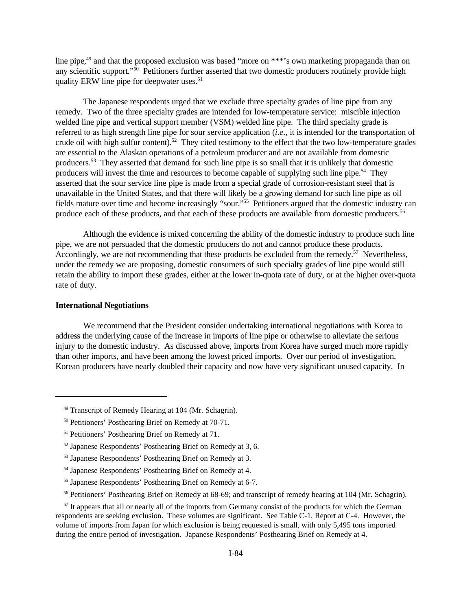line pipe,<sup>49</sup> and that the proposed exclusion was based "more on \*\*\*'s own marketing propaganda than on any scientific support."<sup>50</sup> Petitioners further asserted that two domestic producers routinely provide high quality ERW line pipe for deepwater uses.<sup>51</sup>

The Japanese respondents urged that we exclude three specialty grades of line pipe from any remedy. Two of the three specialty grades are intended for low-temperature service: miscible injection welded line pipe and vertical support member (VSM) welded line pipe. The third specialty grade is referred to as high strength line pipe for sour service application (*i.e.*, it is intended for the transportation of crude oil with high sulfur content).<sup>52</sup> They cited testimony to the effect that the two low-temperature grades are essential to the Alaskan operations of a petroleum producer and are not available from domestic producers.<sup>53</sup> They asserted that demand for such line pipe is so small that it is unlikely that domestic producers will invest the time and resources to become capable of supplying such line pipe.<sup>54</sup> They asserted that the sour service line pipe is made from a special grade of corrosion-resistant steel that is unavailable in the United States, and that there will likely be a growing demand for such line pipe as oil fields mature over time and become increasingly "sour."<sup>55</sup> Petitioners argued that the domestic industry can produce each of these products, and that each of these products are available from domestic producers.<sup>56</sup>

Although the evidence is mixed concerning the ability of the domestic industry to produce such line pipe, we are not persuaded that the domestic producers do not and cannot produce these products. Accordingly, we are not recommending that these products be excluded from the remedy.<sup>57</sup> Nevertheless, under the remedy we are proposing, domestic consumers of such specialty grades of line pipe would still retain the ability to import these grades, either at the lower in-quota rate of duty, or at the higher over-quota rate of duty.

## **International Negotiations**

We recommend that the President consider undertaking international negotiations with Korea to address the underlying cause of the increase in imports of line pipe or otherwise to alleviate the serious injury to the domestic industry. As discussed above, imports from Korea have surged much more rapidly than other imports, and have been among the lowest priced imports. Over our period of investigation, Korean producers have nearly doubled their capacity and now have very significant unused capacity. In

<sup>52</sup> Japanese Respondents' Posthearing Brief on Remedy at 3, 6.

<sup>49</sup> Transcript of Remedy Hearing at 104 (Mr. Schagrin).

<sup>50</sup> Petitioners' Posthearing Brief on Remedy at 70-71.

<sup>51</sup> Petitioners' Posthearing Brief on Remedy at 71.

<sup>53</sup> Japanese Respondents' Posthearing Brief on Remedy at 3.

<sup>54</sup> Japanese Respondents' Posthearing Brief on Remedy at 4.

<sup>55</sup> Japanese Respondents' Posthearing Brief on Remedy at 6-7.

<sup>56</sup> Petitioners' Posthearing Brief on Remedy at 68-69; and transcript of remedy hearing at 104 (Mr. Schagrin).

<sup>&</sup>lt;sup>57</sup> It appears that all or nearly all of the imports from Germany consist of the products for which the German respondents are seeking exclusion. These volumes are significant. See Table C-1, Report at C-4. However, the volume of imports from Japan for which exclusion is being requested is small, with only 5,495 tons imported during the entire period of investigation. Japanese Respondents' Posthearing Brief on Remedy at 4.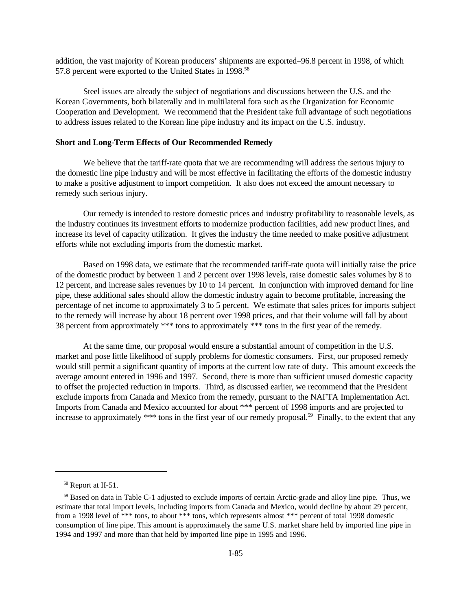addition, the vast majority of Korean producers' shipments are exported–96.8 percent in 1998, of which 57.8 percent were exported to the United States in 1998.<sup>58</sup>

Steel issues are already the subject of negotiations and discussions between the U.S. and the Korean Governments, both bilaterally and in multilateral fora such as the Organization for Economic Cooperation and Development. We recommend that the President take full advantage of such negotiations to address issues related to the Korean line pipe industry and its impact on the U.S. industry.

#### **Short and Long-Term Effects of Our Recommended Remedy**

We believe that the tariff-rate quota that we are recommending will address the serious injury to the domestic line pipe industry and will be most effective in facilitating the efforts of the domestic industry to make a positive adjustment to import competition. It also does not exceed the amount necessary to remedy such serious injury.

Our remedy is intended to restore domestic prices and industry profitability to reasonable levels, as the industry continues its investment efforts to modernize production facilities, add new product lines, and increase its level of capacity utilization. It gives the industry the time needed to make positive adjustment efforts while not excluding imports from the domestic market.

Based on 1998 data, we estimate that the recommended tariff-rate quota will initially raise the price of the domestic product by between 1 and 2 percent over 1998 levels, raise domestic sales volumes by 8 to 12 percent, and increase sales revenues by 10 to 14 percent. In conjunction with improved demand for line pipe, these additional sales should allow the domestic industry again to become profitable, increasing the percentage of net income to approximately 3 to 5 percent. We estimate that sales prices for imports subject to the remedy will increase by about 18 percent over 1998 prices, and that their volume will fall by about 38 percent from approximately \*\*\* tons to approximately \*\*\* tons in the first year of the remedy.

At the same time, our proposal would ensure a substantial amount of competition in the U.S. market and pose little likelihood of supply problems for domestic consumers. First, our proposed remedy would still permit a significant quantity of imports at the current low rate of duty. This amount exceeds the average amount entered in 1996 and 1997. Second, there is more than sufficient unused domestic capacity to offset the projected reduction in imports. Third, as discussed earlier, we recommend that the President exclude imports from Canada and Mexico from the remedy, pursuant to the NAFTA Implementation Act. Imports from Canada and Mexico accounted for about \*\*\* percent of 1998 imports and are projected to increase to approximately \*\*\* tons in the first year of our remedy proposal.<sup>59</sup> Finally, to the extent that any

<sup>&</sup>lt;sup>58</sup> Report at II-51.

<sup>59</sup> Based on data in Table C-1 adjusted to exclude imports of certain Arctic-grade and alloy line pipe. Thus, we estimate that total import levels, including imports from Canada and Mexico, would decline by about 29 percent, from a 1998 level of \*\*\* tons, to about \*\*\* tons, which represents almost \*\*\* percent of total 1998 domestic consumption of line pipe. This amount is approximately the same U.S. market share held by imported line pipe in 1994 and 1997 and more than that held by imported line pipe in 1995 and 1996.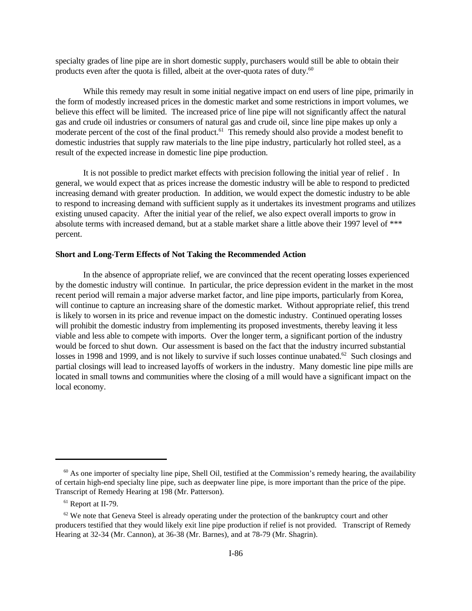specialty grades of line pipe are in short domestic supply, purchasers would still be able to obtain their products even after the quota is filled, albeit at the over-quota rates of duty.<sup>60</sup>

While this remedy may result in some initial negative impact on end users of line pipe, primarily in the form of modestly increased prices in the domestic market and some restrictions in import volumes, we believe this effect will be limited. The increased price of line pipe will not significantly affect the natural gas and crude oil industries or consumers of natural gas and crude oil, since line pipe makes up only a moderate percent of the cost of the final product.<sup>61</sup> This remedy should also provide a modest benefit to domestic industries that supply raw materials to the line pipe industry, particularly hot rolled steel, as a result of the expected increase in domestic line pipe production.

It is not possible to predict market effects with precision following the initial year of relief . In general, we would expect that as prices increase the domestic industry will be able to respond to predicted increasing demand with greater production. In addition, we would expect the domestic industry to be able to respond to increasing demand with sufficient supply as it undertakes its investment programs and utilizes existing unused capacity. After the initial year of the relief, we also expect overall imports to grow in absolute terms with increased demand, but at a stable market share a little above their 1997 level of \*\*\* percent.

## **Short and Long-Term Effects of Not Taking the Recommended Action**

In the absence of appropriate relief, we are convinced that the recent operating losses experienced by the domestic industry will continue. In particular, the price depression evident in the market in the most recent period will remain a major adverse market factor, and line pipe imports, particularly from Korea, will continue to capture an increasing share of the domestic market. Without appropriate relief, this trend is likely to worsen in its price and revenue impact on the domestic industry. Continued operating losses will prohibit the domestic industry from implementing its proposed investments, thereby leaving it less viable and less able to compete with imports. Over the longer term, a significant portion of the industry would be forced to shut down. Our assessment is based on the fact that the industry incurred substantial losses in 1998 and 1999, and is not likely to survive if such losses continue unabated.<sup>62</sup> Such closings and partial closings will lead to increased layoffs of workers in the industry. Many domestic line pipe mills are located in small towns and communities where the closing of a mill would have a significant impact on the local economy.

 $60$  As one importer of specialty line pipe, Shell Oil, testified at the Commission's remedy hearing, the availability of certain high-end specialty line pipe, such as deepwater line pipe, is more important than the price of the pipe. Transcript of Remedy Hearing at 198 (Mr. Patterson).

<sup>&</sup>lt;sup>61</sup> Report at II-79.

 $62$  We note that Geneva Steel is already operating under the protection of the bankruptcy court and other producers testified that they would likely exit line pipe production if relief is not provided. Transcript of Remedy Hearing at 32-34 (Mr. Cannon), at 36-38 (Mr. Barnes), and at 78-79 (Mr. Shagrin).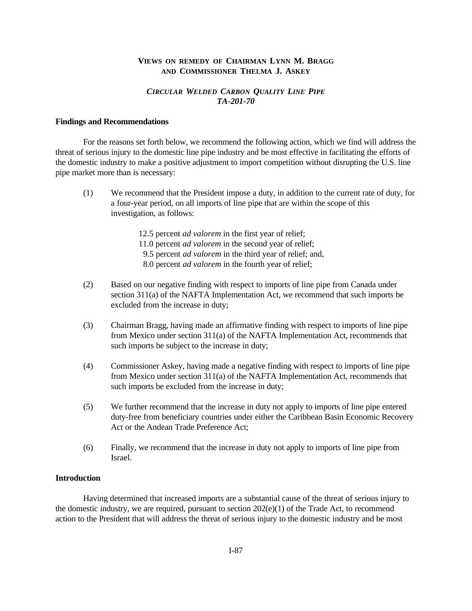## **VIEWS ON REMEDY OF CHAIRMAN LYNN M. BRAGG AND COMMISSIONER THELMA J. ASKEY**

## *CIRCULAR WELDED CARBON QUALITY LINE PIPE TA-201-70*

### **Findings and Recommendations**

For the reasons set forth below, we recommend the following action, which we find will address the threat of serious injury to the domestic line pipe industry and be most effective in facilitating the efforts of the domestic industry to make a positive adjustment to import competition without disrupting the U.S. line pipe market more than is necessary:

- (1) We recommend that the President impose a duty, in addition to the current rate of duty, for a four-year period, on all imports of line pipe that are within the scope of this investigation, as follows:
	- 12.5 percent *ad valorem* in the first year of relief;
	- 11.0 percent *ad valorem* in the second year of relief;
	- 9.5 percent *ad valorem* in the third year of relief; and,
	- 8.0 percent *ad valorem* in the fourth year of relief;
- (2) Based on our negative finding with respect to imports of line pipe from Canada under section 311(a) of the NAFTA Implementation Act, we recommend that such imports be excluded from the increase in duty;
- (3) Chairman Bragg, having made an affirmative finding with respect to imports of line pipe from Mexico under section 311(a) of the NAFTA Implementation Act, recommends that such imports be subject to the increase in duty;
- (4) Commissioner Askey, having made a negative finding with respect to imports of line pipe from Mexico under section 311(a) of the NAFTA Implementation Act, recommends that such imports be excluded from the increase in duty;
- (5) We further recommend that the increase in duty not apply to imports of line pipe entered duty-free from beneficiary countries under either the Caribbean Basin Economic Recovery Act or the Andean Trade Preference Act;
- (6) Finally, we recommend that the increase in duty not apply to imports of line pipe from Israel.

## **Introduction**

Having determined that increased imports are a substantial cause of the threat of serious injury to the domestic industry, we are required, pursuant to section  $202(e)(1)$  of the Trade Act, to recommend action to the President that will address the threat of serious injury to the domestic industry and be most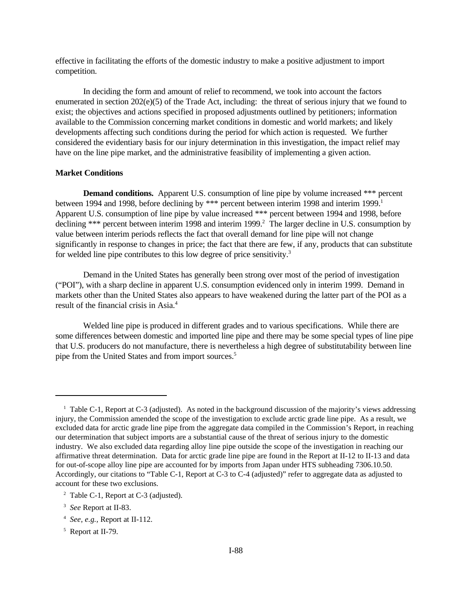effective in facilitating the efforts of the domestic industry to make a positive adjustment to import competition.

In deciding the form and amount of relief to recommend, we took into account the factors enumerated in section 202(e)(5) of the Trade Act, including: the threat of serious injury that we found to exist; the objectives and actions specified in proposed adjustments outlined by petitioners; information available to the Commission concerning market conditions in domestic and world markets; and likely developments affecting such conditions during the period for which action is requested. We further considered the evidentiary basis for our injury determination in this investigation, the impact relief may have on the line pipe market, and the administrative feasibility of implementing a given action.

### **Market Conditions**

**Demand conditions.** Apparent U.S. consumption of line pipe by volume increased \*\*\* percent between 1994 and 1998, before declining by \*\*\* percent between interim 1998 and interim 1999.<sup>1</sup> Apparent U.S. consumption of line pipe by value increased \*\*\* percent between 1994 and 1998, before declining \*\*\* percent between interim 1998 and interim 1999.<sup>2</sup> The larger decline in U.S. consumption by value between interim periods reflects the fact that overall demand for line pipe will not change significantly in response to changes in price; the fact that there are few, if any, products that can substitute for welded line pipe contributes to this low degree of price sensitivity.<sup>3</sup>

Demand in the United States has generally been strong over most of the period of investigation ("POI"), with a sharp decline in apparent U.S. consumption evidenced only in interim 1999. Demand in markets other than the United States also appears to have weakened during the latter part of the POI as a result of the financial crisis in Asia.<sup>4</sup>

Welded line pipe is produced in different grades and to various specifications. While there are some differences between domestic and imported line pipe and there may be some special types of line pipe that U.S. producers do not manufacture, there is nevertheless a high degree of substitutability between line pipe from the United States and from import sources.<sup>5</sup>

<sup>&</sup>lt;sup>1</sup> Table C-1, Report at C-3 (adjusted). As noted in the background discussion of the majority's views addressing injury, the Commission amended the scope of the investigation to exclude arctic grade line pipe. As a result, we excluded data for arctic grade line pipe from the aggregate data compiled in the Commission's Report, in reaching our determination that subject imports are a substantial cause of the threat of serious injury to the domestic industry. We also excluded data regarding alloy line pipe outside the scope of the investigation in reaching our affirmative threat determination. Data for arctic grade line pipe are found in the Report at II-12 to II-13 and data for out-of-scope alloy line pipe are accounted for by imports from Japan under HTS subheading 7306.10.50. Accordingly, our citations to "Table C-1, Report at C-3 to C-4 (adjusted)" refer to aggregate data as adjusted to account for these two exclusions.

<sup>&</sup>lt;sup>2</sup> Table C-1, Report at C-3 (adjusted).

<sup>3</sup> *See* Report at II-83.

<sup>4</sup> *See, e.g.,* Report at II-112.

<sup>&</sup>lt;sup>5</sup> Report at II-79.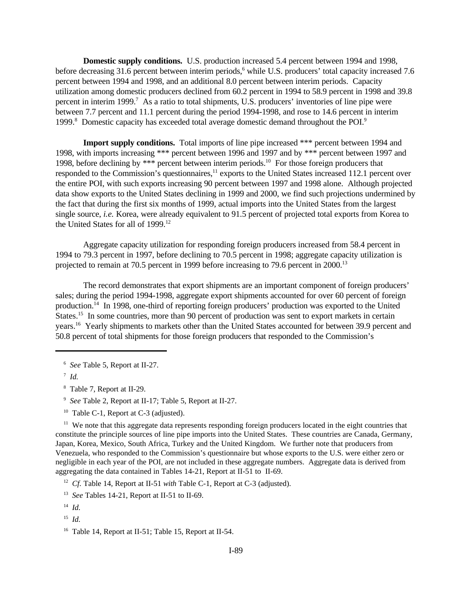**Domestic supply conditions.** U.S. production increased 5.4 percent between 1994 and 1998, before decreasing 31.6 percent between interim periods,<sup>6</sup> while U.S. producers' total capacity increased 7.6 percent between 1994 and 1998, and an additional 8.0 percent between interim periods. Capacity utilization among domestic producers declined from 60.2 percent in 1994 to 58.9 percent in 1998 and 39.8 percent in interim 1999.<sup>7</sup> As a ratio to total shipments, U.S. producers' inventories of line pipe were between 7.7 percent and 11.1 percent during the period 1994-1998, and rose to 14.6 percent in interim 1999.<sup>8</sup> Domestic capacity has exceeded total average domestic demand throughout the POI.<sup>9</sup>

Import supply conditions. Total imports of line pipe increased \*\*\* percent between 1994 and 1998, with imports increasing \*\*\* percent between 1996 and 1997 and by \*\*\* percent between 1997 and 1998, before declining by \*\*\* percent between interim periods.<sup>10</sup> For those foreign producers that responded to the Commission's questionnaires,<sup>11</sup> exports to the United States increased 112.1 percent over the entire POI, with such exports increasing 90 percent between 1997 and 1998 alone. Although projected data show exports to the United States declining in 1999 and 2000, we find such projections undermined by the fact that during the first six months of 1999, actual imports into the United States from the largest single source, *i.e.* Korea, were already equivalent to 91.5 percent of projected total exports from Korea to the United States for all of 1999.<sup>12</sup>

Aggregate capacity utilization for responding foreign producers increased from 58.4 percent in 1994 to 79.3 percent in 1997, before declining to 70.5 percent in 1998; aggregate capacity utilization is projected to remain at 70.5 percent in 1999 before increasing to 79.6 percent in 2000.<sup>13</sup>

The record demonstrates that export shipments are an important component of foreign producers' sales; during the period 1994-1998, aggregate export shipments accounted for over 60 percent of foreign production.<sup>14</sup> In 1998, one-third of reporting foreign producers' production was exported to the United States.<sup>15</sup> In some countries, more than 90 percent of production was sent to export markets in certain years.<sup>16</sup> Yearly shipments to markets other than the United States accounted for between 39.9 percent and 50.8 percent of total shipments for those foreign producers that responded to the Commission's

8 Table 7, Report at II-29.

9 *See* Table 2, Report at II-17; Table 5, Report at II-27.

<sup>10</sup> Table C-1, Report at C-3 (adjusted).

<sup>11</sup> We note that this aggregate data represents responding foreign producers located in the eight countries that constitute the principle sources of line pipe imports into the United States. These countries are Canada, Germany, Japan, Korea, Mexico, South Africa, Turkey and the United Kingdom. We further note that producers from Venezuela, who responded to the Commission's questionnaire but whose exports to the U.S. were either zero or negligible in each year of the POI, are not included in these aggregate numbers. Aggregate data is derived from aggregating the data contained in Tables 14-21, Report at II-51 to II-69.

<sup>12</sup> *Cf.* Table 14, Report at II-51 *with* Table C-1, Report at C-3 (adjusted).

<sup>6</sup> *See* Table 5, Report at II-27.

<sup>7</sup> *Id.*

<sup>&</sup>lt;sup>13</sup> See Tables 14-21, Report at II-51 to II-69.

<sup>14</sup> *Id.*

<sup>15</sup> *Id.*

<sup>16</sup> Table 14, Report at II-51; Table 15, Report at II-54.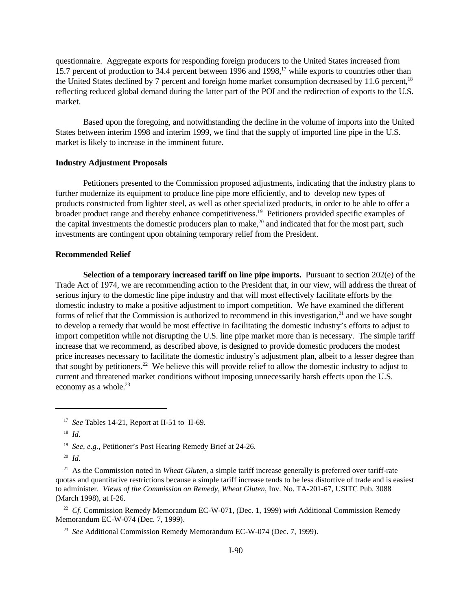questionnaire. Aggregate exports for responding foreign producers to the United States increased from 15.7 percent of production to 34.4 percent between 1996 and 1998,<sup>17</sup> while exports to countries other than the United States declined by 7 percent and foreign home market consumption decreased by 11.6 percent.<sup>18</sup> reflecting reduced global demand during the latter part of the POI and the redirection of exports to the U.S. market.

Based upon the foregoing, and notwithstanding the decline in the volume of imports into the United States between interim 1998 and interim 1999, we find that the supply of imported line pipe in the U.S. market is likely to increase in the imminent future.

#### **Industry Adjustment Proposals**

Petitioners presented to the Commission proposed adjustments, indicating that the industry plans to further modernize its equipment to produce line pipe more efficiently, and to develop new types of products constructed from lighter steel, as well as other specialized products, in order to be able to offer a broader product range and thereby enhance competitiveness.<sup>19</sup> Petitioners provided specific examples of the capital investments the domestic producers plan to make,<sup>20</sup> and indicated that for the most part, such investments are contingent upon obtaining temporary relief from the President.

## **Recommended Relief**

**Selection of a temporary increased tariff on line pipe imports.** Pursuant to section 202(e) of the Trade Act of 1974, we are recommending action to the President that, in our view, will address the threat of serious injury to the domestic line pipe industry and that will most effectively facilitate efforts by the domestic industry to make a positive adjustment to import competition. We have examined the different forms of relief that the Commission is authorized to recommend in this investigation,<sup>21</sup> and we have sought to develop a remedy that would be most effective in facilitating the domestic industry's efforts to adjust to import competition while not disrupting the U.S. line pipe market more than is necessary. The simple tariff increase that we recommend, as described above, is designed to provide domestic producers the modest price increases necessary to facilitate the domestic industry's adjustment plan, albeit to a lesser degree than that sought by petitioners.<sup>22</sup> We believe this will provide relief to allow the domestic industry to adjust to current and threatened market conditions without imposing unnecessarily harsh effects upon the U.S. economy as a whole.<sup>23</sup>

22 *Cf.* Commission Remedy Memorandum EC-W-071, (Dec. 1, 1999) *with* Additional Commission Remedy Memorandum EC-W-074 (Dec. 7, 1999).

<sup>&</sup>lt;sup>17</sup> See Tables 14-21, Report at II-51 to II-69.

<sup>18</sup> *Id.*

<sup>&</sup>lt;sup>19</sup> See, e.g., Petitioner's Post Hearing Remedy Brief at 24-26.

<sup>20</sup> *Id.*

<sup>&</sup>lt;sup>21</sup> As the Commission noted in *Wheat Gluten*, a simple tariff increase generally is preferred over tariff-rate quotas and quantitative restrictions because a simple tariff increase tends to be less distortive of trade and is easiest to administer. *Views of the Commission on Remedy, Wheat Gluten*, Inv. No. TA-201-67, USITC Pub. 3088 (March 1998), at I-26.

<sup>&</sup>lt;sup>23</sup> See Additional Commission Remedy Memorandum EC-W-074 (Dec. 7, 1999).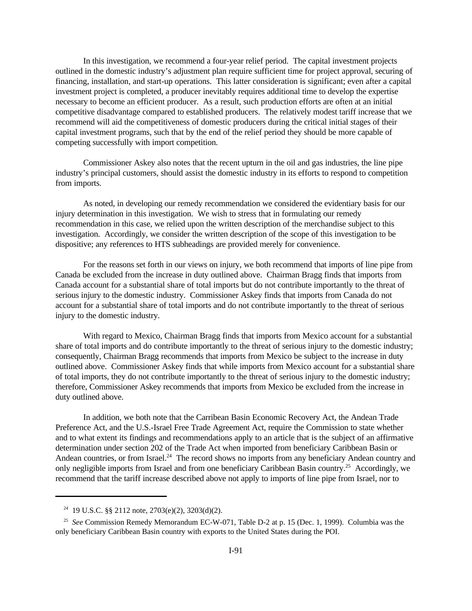In this investigation, we recommend a four-year relief period. The capital investment projects outlined in the domestic industry's adjustment plan require sufficient time for project approval, securing of financing, installation, and start-up operations. This latter consideration is significant; even after a capital investment project is completed, a producer inevitably requires additional time to develop the expertise necessary to become an efficient producer. As a result, such production efforts are often at an initial competitive disadvantage compared to established producers. The relatively modest tariff increase that we recommend will aid the competitiveness of domestic producers during the critical initial stages of their capital investment programs, such that by the end of the relief period they should be more capable of competing successfully with import competition.

Commissioner Askey also notes that the recent upturn in the oil and gas industries, the line pipe industry's principal customers, should assist the domestic industry in its efforts to respond to competition from imports.

As noted, in developing our remedy recommendation we considered the evidentiary basis for our injury determination in this investigation. We wish to stress that in formulating our remedy recommendation in this case, we relied upon the written description of the merchandise subject to this investigation. Accordingly, we consider the written description of the scope of this investigation to be dispositive; any references to HTS subheadings are provided merely for convenience.

For the reasons set forth in our views on injury, we both recommend that imports of line pipe from Canada be excluded from the increase in duty outlined above. Chairman Bragg finds that imports from Canada account for a substantial share of total imports but do not contribute importantly to the threat of serious injury to the domestic industry. Commissioner Askey finds that imports from Canada do not account for a substantial share of total imports and do not contribute importantly to the threat of serious injury to the domestic industry.

With regard to Mexico, Chairman Bragg finds that imports from Mexico account for a substantial share of total imports and do contribute importantly to the threat of serious injury to the domestic industry; consequently, Chairman Bragg recommends that imports from Mexico be subject to the increase in duty outlined above. Commissioner Askey finds that while imports from Mexico account for a substantial share of total imports, they do not contribute importantly to the threat of serious injury to the domestic industry; therefore, Commissioner Askey recommends that imports from Mexico be excluded from the increase in duty outlined above.

In addition, we both note that the Carribean Basin Economic Recovery Act, the Andean Trade Preference Act, and the U.S.-Israel Free Trade Agreement Act, require the Commission to state whether and to what extent its findings and recommendations apply to an article that is the subject of an affirmative determination under section 202 of the Trade Act when imported from beneficiary Caribbean Basin or Andean countries, or from Israel.<sup>24</sup> The record shows no imports from any beneficiary Andean country and only negligible imports from Israel and from one beneficiary Caribbean Basin country.<sup>25</sup> Accordingly, we recommend that the tariff increase described above not apply to imports of line pipe from Israel, nor to

<sup>&</sup>lt;sup>24</sup> 19 U.S.C. §§ 2112 note,  $2703(e)(2)$ ,  $3203(d)(2)$ .

<sup>25</sup> *See* Commission Remedy Memorandum EC-W-071, Table D-2 at p. 15 (Dec. 1, 1999). Columbia was the only beneficiary Caribbean Basin country with exports to the United States during the POI.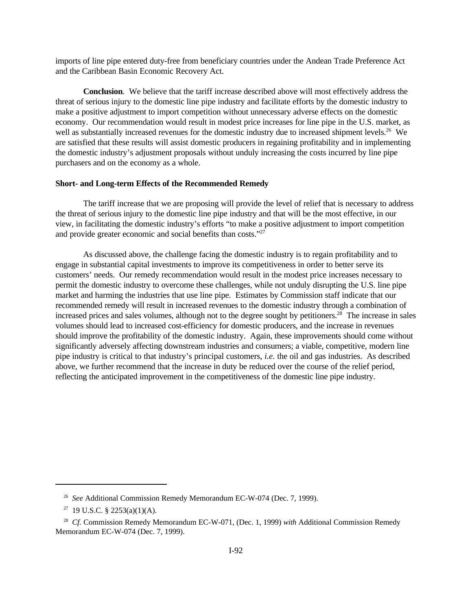imports of line pipe entered duty-free from beneficiary countries under the Andean Trade Preference Act and the Caribbean Basin Economic Recovery Act.

**Conclusion**. We believe that the tariff increase described above will most effectively address the threat of serious injury to the domestic line pipe industry and facilitate efforts by the domestic industry to make a positive adjustment to import competition without unnecessary adverse effects on the domestic economy. Our recommendation would result in modest price increases for line pipe in the U.S. market, as well as substantially increased revenues for the domestic industry due to increased shipment levels.<sup>26</sup> We are satisfied that these results will assist domestic producers in regaining profitability and in implementing the domestic industry's adjustment proposals without unduly increasing the costs incurred by line pipe purchasers and on the economy as a whole.

### **Short- and Long-term Effects of the Recommended Remedy**

The tariff increase that we are proposing will provide the level of relief that is necessary to address the threat of serious injury to the domestic line pipe industry and that will be the most effective, in our view, in facilitating the domestic industry's efforts "to make a positive adjustment to import competition and provide greater economic and social benefits than costs."<sup>27</sup>

As discussed above, the challenge facing the domestic industry is to regain profitability and to engage in substantial capital investments to improve its competitiveness in order to better serve its customers' needs. Our remedy recommendation would result in the modest price increases necessary to permit the domestic industry to overcome these challenges, while not unduly disrupting the U.S. line pipe market and harming the industries that use line pipe. Estimates by Commission staff indicate that our recommended remedy will result in increased revenues to the domestic industry through a combination of increased prices and sales volumes, although not to the degree sought by petitioners.<sup>28</sup> The increase in sales volumes should lead to increased cost-efficiency for domestic producers, and the increase in revenues should improve the profitability of the domestic industry. Again, these improvements should come without significantly adversely affecting downstream industries and consumers; a viable, competitive, modern line pipe industry is critical to that industry's principal customers, *i.e.* the oil and gas industries. As described above, we further recommend that the increase in duty be reduced over the course of the relief period, reflecting the anticipated improvement in the competitiveness of the domestic line pipe industry.

<sup>&</sup>lt;sup>26</sup> See Additional Commission Remedy Memorandum EC-W-074 (Dec. 7, 1999).

<sup>&</sup>lt;sup>27</sup> 19 U.S.C. § 2253(a)(1)(A).

<sup>28</sup> *Cf.* Commission Remedy Memorandum EC-W-071, (Dec. 1, 1999) *with* Additional Commission Remedy Memorandum EC-W-074 (Dec. 7, 1999).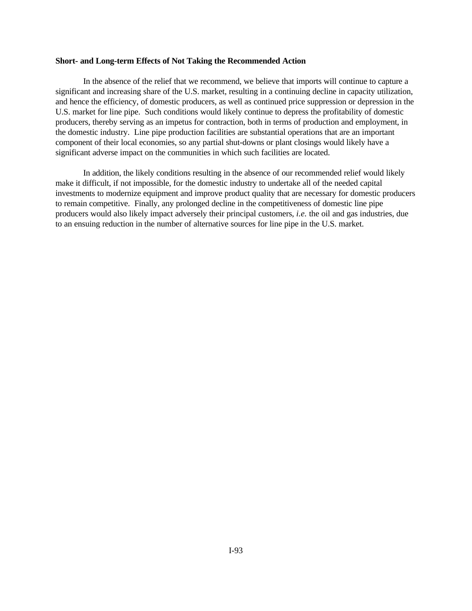#### **Short- and Long-term Effects of Not Taking the Recommended Action**

In the absence of the relief that we recommend, we believe that imports will continue to capture a significant and increasing share of the U.S. market, resulting in a continuing decline in capacity utilization, and hence the efficiency, of domestic producers, as well as continued price suppression or depression in the U.S. market for line pipe. Such conditions would likely continue to depress the profitability of domestic producers, thereby serving as an impetus for contraction, both in terms of production and employment, in the domestic industry. Line pipe production facilities are substantial operations that are an important component of their local economies, so any partial shut-downs or plant closings would likely have a significant adverse impact on the communities in which such facilities are located.

In addition, the likely conditions resulting in the absence of our recommended relief would likely make it difficult, if not impossible, for the domestic industry to undertake all of the needed capital investments to modernize equipment and improve product quality that are necessary for domestic producers to remain competitive. Finally, any prolonged decline in the competitiveness of domestic line pipe producers would also likely impact adversely their principal customers, *i.e.* the oil and gas industries, due to an ensuing reduction in the number of alternative sources for line pipe in the U.S. market.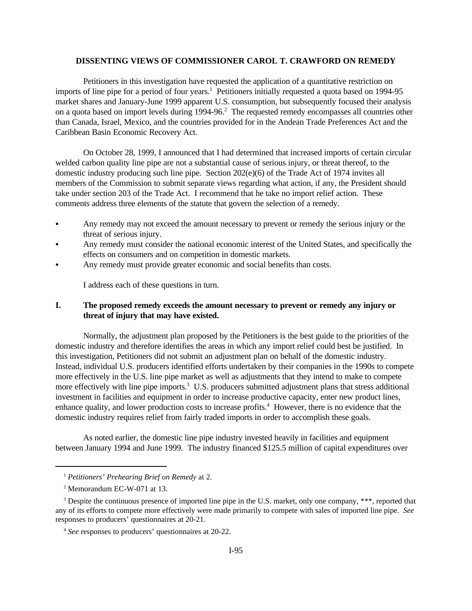## **DISSENTING VIEWS OF COMMISSIONER CAROL T. CRAWFORD ON REMEDY**

Petitioners in this investigation have requested the application of a quantitative restriction on imports of line pipe for a period of four years.<sup>1</sup> Petitioners initially requested a quota based on 1994-95 market shares and January-June 1999 apparent U.S. consumption, but subsequently focused their analysis on a quota based on import levels during 1994-96.<sup>2</sup> The requested remedy encompasses all countries other than Canada, Israel, Mexico, and the countries provided for in the Andean Trade Preferences Act and the Caribbean Basin Economic Recovery Act.

On October 28, 1999, I announced that I had determined that increased imports of certain circular welded carbon quality line pipe are not a substantial cause of serious injury, or threat thereof, to the domestic industry producing such line pipe. Section 202(e)(6) of the Trade Act of 1974 invites all members of the Commission to submit separate views regarding what action, if any, the President should take under section 203 of the Trade Act. I recommend that he take no import relief action. These comments address three elements of the statute that govern the selection of a remedy.

- Any remedy may not exceed the amount necessary to prevent or remedy the serious injury or the threat of serious injury.
- Any remedy must consider the national economic interest of the United States, and specifically the effects on consumers and on competition in domestic markets.
- Any remedy must provide greater economic and social benefits than costs.

I address each of these questions in turn.

# **I. The proposed remedy exceeds the amount necessary to prevent or remedy any injury or threat of injury that may have existed.**

Normally, the adjustment plan proposed by the Petitioners is the best guide to the priorities of the domestic industry and therefore identifies the areas in which any import relief could best be justified. In this investigation, Petitioners did not submit an adjustment plan on behalf of the domestic industry. Instead, individual U.S. producers identified efforts undertaken by their companies in the 1990s to compete more effectively in the U.S. line pipe market as well as adjustments that they intend to make to compete more effectively with line pipe imports.<sup>3</sup> U.S. producers submitted adjustment plans that stress additional investment in facilities and equipment in order to increase productive capacity, enter new product lines, enhance quality, and lower production costs to increase profits.<sup>4</sup> However, there is no evidence that the domestic industry requires relief from fairly traded imports in order to accomplish these goals.

As noted earlier, the domestic line pipe industry invested heavily in facilities and equipment between January 1994 and June 1999. The industry financed \$125.5 million of capital expenditures over

<sup>1</sup> *Petitioners' Prehearing Brief on Remedy* at 2.

<sup>2</sup> Memorandum EC-W-071 at 13.

<sup>&</sup>lt;sup>3</sup> Despite the continuous presence of imported line pipe in the U.S. market, only one company, \*\*\*, reported that any of its efforts to compete more effectively were made primarily to compete with sales of imported line pipe. *See* responses to producers' questionnaires at 20-21.

<sup>4</sup> *See* responses to producers' questionnaires at 20-22.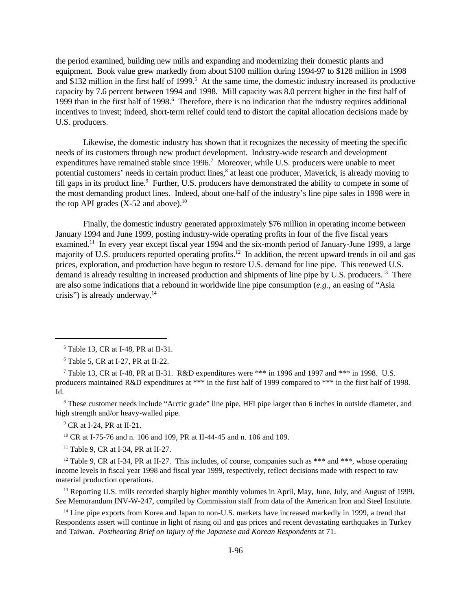the period examined, building new mills and expanding and modernizing their domestic plants and equipment. Book value grew markedly from about \$100 million during 1994-97 to \$128 million in 1998 and \$132 million in the first half of 1999.<sup>5</sup> At the same time, the domestic industry increased its productive capacity by 7.6 percent between 1994 and 1998. Mill capacity was 8.0 percent higher in the first half of 1999 than in the first half of 1998.<sup>6</sup> Therefore, there is no indication that the industry requires additional incentives to invest; indeed, short-term relief could tend to distort the capital allocation decisions made by U.S. producers.

Likewise, the domestic industry has shown that it recognizes the necessity of meeting the specific needs of its customers through new product development. Industry-wide research and development expenditures have remained stable since 1996.<sup>7</sup> Moreover, while U.S. producers were unable to meet potential customers' needs in certain product lines,<sup>8</sup> at least one producer, Maverick, is already moving to fill gaps in its product line.<sup>9</sup> Further, U.S. producers have demonstrated the ability to compete in some of the most demanding product lines. Indeed, about one-half of the industry's line pipe sales in 1998 were in the top API grades  $(X-52$  and above).<sup>10</sup>

Finally, the domestic industry generated approximately \$76 million in operating income between January 1994 and June 1999, posting industry-wide operating profits in four of the five fiscal years examined.<sup>11</sup> In every year except fiscal year 1994 and the six-month period of January-June 1999, a large majority of U.S. producers reported operating profits.<sup>12</sup> In addition, the recent upward trends in oil and gas prices, exploration, and production have begun to restore U.S. demand for line pipe. This renewed U.S. demand is already resulting in increased production and shipments of line pipe by U.S. producers.<sup>13</sup> There are also some indications that a rebound in worldwide line pipe consumption (*e.g.*, an easing of "Asia crisis") is already underway. $14$ 

<sup>8</sup> These customer needs include "Arctic grade" line pipe, HFI pipe larger than 6 inches in outside diameter, and high strength and/or heavy-walled pipe.

9 CR at I-24, PR at II-21.

<sup>10</sup> CR at I-75-76 and n. 106 and 109, PR at II-44-45 and n. 106 and 109.

 $11$  Table 9, CR at I-34, PR at II-27.

<sup>12</sup> Table 9, CR at I-34, PR at II-27. This includes, of course, companies such as \*\*\* and \*\*\*, whose operating income levels in fiscal year 1998 and fiscal year 1999, respectively, reflect decisions made with respect to raw material production operations.

<sup>13</sup> Reporting U.S. mills recorded sharply higher monthly volumes in April, May, June, July, and August of 1999. *See* Memorandum INV-W-247, compiled by Commission staff from data of the American Iron and Steel Institute.

<sup>14</sup> Line pipe exports from Korea and Japan to non-U.S. markets have increased markedly in 1999, a trend that Respondents assert will continue in light of rising oil and gas prices and recent devastating earthquakes in Turkey and Taiwan. *Posthearing Brief on Injury of the Japanese and Korean Respondents* at 71.

<sup>5</sup> Table 13, CR at I-48, PR at II-31.

<sup>6</sup> Table 5, CR at I-27, PR at II-22.

<sup>&</sup>lt;sup>7</sup> Table 13, CR at I-48, PR at II-31. R&D expenditures were \*\*\* in 1996 and 1997 and \*\*\* in 1998. U.S. producers maintained R&D expenditures at \*\*\* in the first half of 1999 compared to \*\*\* in the first half of 1998. Id.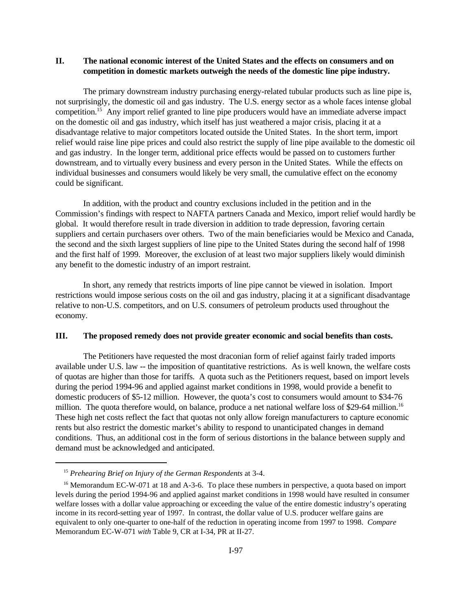# **II. The national economic interest of the United States and the effects on consumers and on competition in domestic markets outweigh the needs of the domestic line pipe industry.**

The primary downstream industry purchasing energy-related tubular products such as line pipe is, not surprisingly, the domestic oil and gas industry. The U.S. energy sector as a whole faces intense global competition.<sup>15</sup> Any import relief granted to line pipe producers would have an immediate adverse impact on the domestic oil and gas industry, which itself has just weathered a major crisis, placing it at a disadvantage relative to major competitors located outside the United States. In the short term, import relief would raise line pipe prices and could also restrict the supply of line pipe available to the domestic oil and gas industry. In the longer term, additional price effects would be passed on to customers further downstream, and to virtually every business and every person in the United States. While the effects on individual businesses and consumers would likely be very small, the cumulative effect on the economy could be significant.

In addition, with the product and country exclusions included in the petition and in the Commission's findings with respect to NAFTA partners Canada and Mexico, import relief would hardly be global. It would therefore result in trade diversion in addition to trade depression, favoring certain suppliers and certain purchasers over others. Two of the main beneficiaries would be Mexico and Canada, the second and the sixth largest suppliers of line pipe to the United States during the second half of 1998 and the first half of 1999. Moreover, the exclusion of at least two major suppliers likely would diminish any benefit to the domestic industry of an import restraint.

In short, any remedy that restricts imports of line pipe cannot be viewed in isolation. Import restrictions would impose serious costs on the oil and gas industry, placing it at a significant disadvantage relative to non-U.S. competitors, and on U.S. consumers of petroleum products used throughout the economy.

### **III. The proposed remedy does not provide greater economic and social benefits than costs.**

The Petitioners have requested the most draconian form of relief against fairly traded imports available under U.S. law -- the imposition of quantitative restrictions. As is well known, the welfare costs of quotas are higher than those for tariffs. A quota such as the Petitioners request, based on import levels during the period 1994-96 and applied against market conditions in 1998, would provide a benefit to domestic producers of \$5-12 million. However, the quota's cost to consumers would amount to \$34-76 million. The quota therefore would, on balance, produce a net national welfare loss of \$29-64 million.<sup>16</sup> These high net costs reflect the fact that quotas not only allow foreign manufacturers to capture economic rents but also restrict the domestic market's ability to respond to unanticipated changes in demand conditions. Thus, an additional cost in the form of serious distortions in the balance between supply and demand must be acknowledged and anticipated.

<sup>15</sup> *Prehearing Brief on Injury of the German Respondents* at 3-4.

<sup>&</sup>lt;sup>16</sup> Memorandum EC-W-071 at 18 and A-3-6. To place these numbers in perspective, a quota based on import levels during the period 1994-96 and applied against market conditions in 1998 would have resulted in consumer welfare losses with a dollar value approaching or exceeding the value of the entire domestic industry's operating income in its record-setting year of 1997. In contrast, the dollar value of U.S. producer welfare gains are equivalent to only one-quarter to one-half of the reduction in operating income from 1997 to 1998. *Compare* Memorandum EC-W-071 *with* Table 9, CR at I-34, PR at II-27.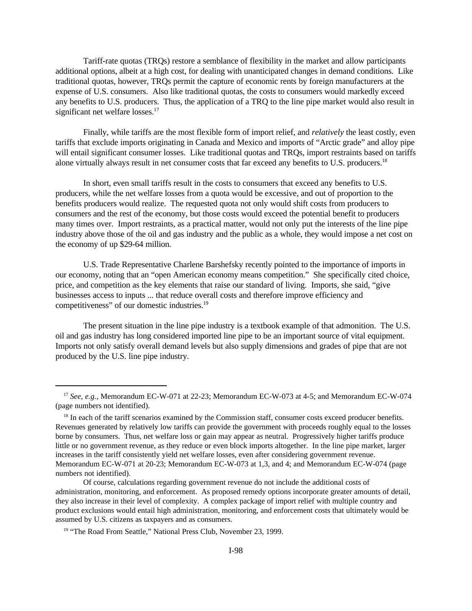Tariff-rate quotas (TRQs) restore a semblance of flexibility in the market and allow participants additional options, albeit at a high cost, for dealing with unanticipated changes in demand conditions. Like traditional quotas, however, TRQs permit the capture of economic rents by foreign manufacturers at the expense of U.S. consumers. Also like traditional quotas, the costs to consumers would markedly exceed any benefits to U.S. producers. Thus, the application of a TRQ to the line pipe market would also result in significant net welfare losses.<sup>17</sup>

Finally, while tariffs are the most flexible form of import relief, and *relatively* the least costly, even tariffs that exclude imports originating in Canada and Mexico and imports of "Arctic grade" and alloy pipe will entail significant consumer losses. Like traditional quotas and TRQs, import restraints based on tariffs alone virtually always result in net consumer costs that far exceed any benefits to U.S. producers.<sup>18</sup>

In short, even small tariffs result in the costs to consumers that exceed any benefits to U.S. producers, while the net welfare losses from a quota would be excessive, and out of proportion to the benefits producers would realize. The requested quota not only would shift costs from producers to consumers and the rest of the economy, but those costs would exceed the potential benefit to producers many times over. Import restraints, as a practical matter, would not only put the interests of the line pipe industry above those of the oil and gas industry and the public as a whole, they would impose a net cost on the economy of up \$29-64 million.

U.S. Trade Representative Charlene Barshefsky recently pointed to the importance of imports in our economy, noting that an "open American economy means competition." She specifically cited choice, price, and competition as the key elements that raise our standard of living. Imports, she said, "give businesses access to inputs ... that reduce overall costs and therefore improve efficiency and competitiveness" of our domestic industries.<sup>19</sup>

The present situation in the line pipe industry is a textbook example of that admonition. The U.S. oil and gas industry has long considered imported line pipe to be an important source of vital equipment. Imports not only satisfy overall demand levels but also supply dimensions and grades of pipe that are not produced by the U.S. line pipe industry.

<sup>17</sup> *See, e.g.*, Memorandum EC-W-071 at 22-23; Memorandum EC-W-073 at 4-5; and Memorandum EC-W-074 (page numbers not identified).

<sup>&</sup>lt;sup>18</sup> In each of the tariff scenarios examined by the Commission staff, consumer costs exceed producer benefits. Revenues generated by relatively low tariffs can provide the government with proceeds roughly equal to the losses borne by consumers. Thus, net welfare loss or gain may appear as neutral. Progressively higher tariffs produce little or no government revenue, as they reduce or even block imports altogether. In the line pipe market, larger increases in the tariff consistently yield net welfare losses, even after considering government revenue. Memorandum EC-W-071 at 20-23; Memorandum EC-W-073 at 1,3, and 4; and Memorandum EC-W-074 (page numbers not identified).

Of course, calculations regarding government revenue do not include the additional costs of administration, monitoring, and enforcement. As proposed remedy options incorporate greater amounts of detail, they also increase in their level of complexity. A complex package of import relief with multiple country and product exclusions would entail high administration, monitoring, and enforcement costs that ultimately would be assumed by U.S. citizens as taxpayers and as consumers.

<sup>&</sup>lt;sup>19</sup> "The Road From Seattle," National Press Club, November 23, 1999.